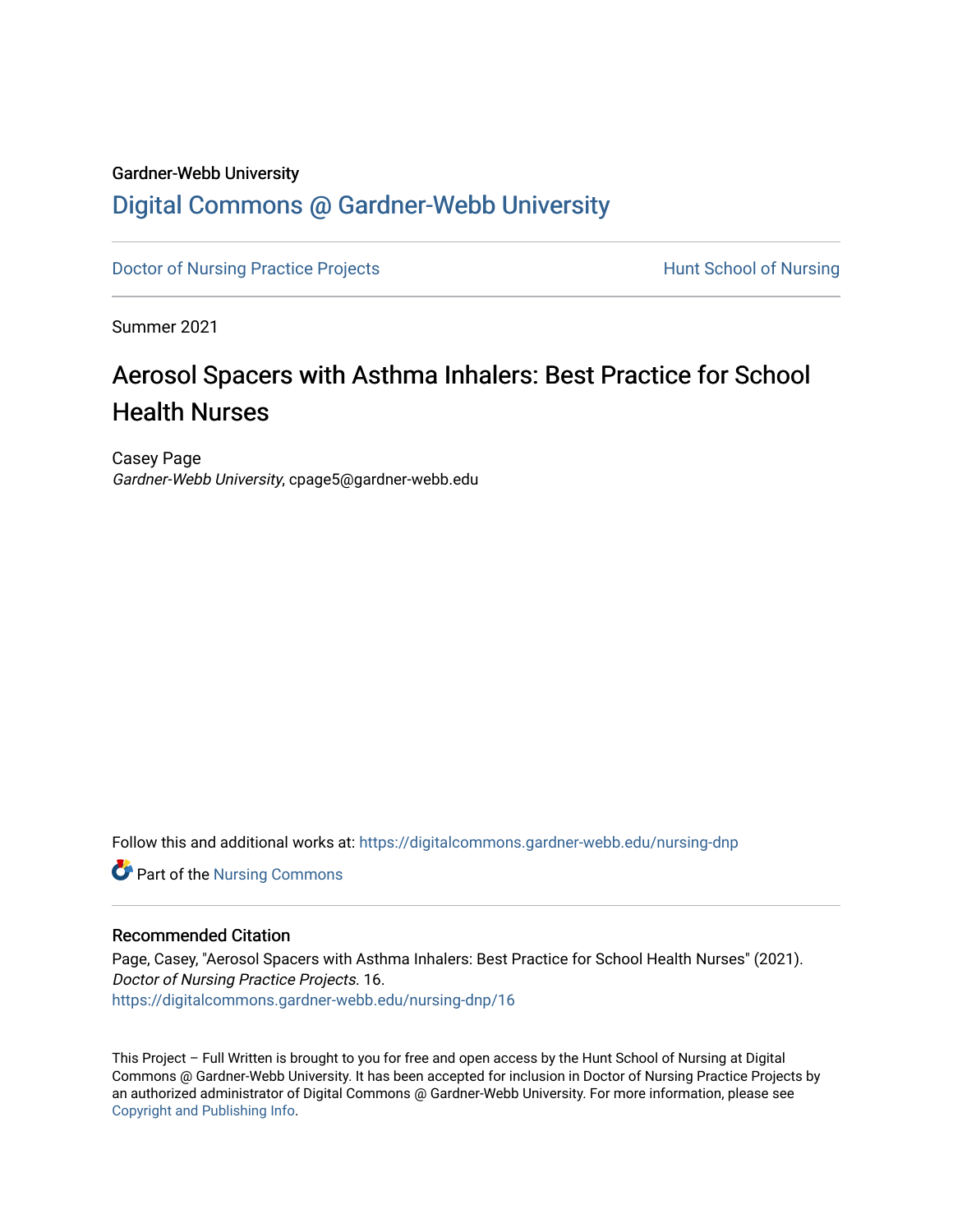#### Gardner-Webb University

## [Digital Commons @ Gardner-Webb University](https://digitalcommons.gardner-webb.edu/)

[Doctor of Nursing Practice Projects](https://digitalcommons.gardner-webb.edu/nursing-dnp) **Exercise Exercise Serverse Hunt School of Nursing** 

Summer 2021

# Aerosol Spacers with Asthma Inhalers: Best Practice for School Health Nurses

Casey Page Gardner-Webb University, cpage5@gardner-webb.edu

Follow this and additional works at: [https://digitalcommons.gardner-webb.edu/nursing-dnp](https://digitalcommons.gardner-webb.edu/nursing-dnp?utm_source=digitalcommons.gardner-webb.edu%2Fnursing-dnp%2F16&utm_medium=PDF&utm_campaign=PDFCoverPages) 

Part of the [Nursing Commons](http://network.bepress.com/hgg/discipline/718?utm_source=digitalcommons.gardner-webb.edu%2Fnursing-dnp%2F16&utm_medium=PDF&utm_campaign=PDFCoverPages) 

#### Recommended Citation

Page, Casey, "Aerosol Spacers with Asthma Inhalers: Best Practice for School Health Nurses" (2021). Doctor of Nursing Practice Projects. 16. [https://digitalcommons.gardner-webb.edu/nursing-dnp/16](https://digitalcommons.gardner-webb.edu/nursing-dnp/16?utm_source=digitalcommons.gardner-webb.edu%2Fnursing-dnp%2F16&utm_medium=PDF&utm_campaign=PDFCoverPages)

This Project – Full Written is brought to you for free and open access by the Hunt School of Nursing at Digital Commons @ Gardner-Webb University. It has been accepted for inclusion in Doctor of Nursing Practice Projects by an authorized administrator of Digital Commons @ Gardner-Webb University. For more information, please see [Copyright and Publishing Info.](https://digitalcommons.gardner-webb.edu/copyright_publishing.html)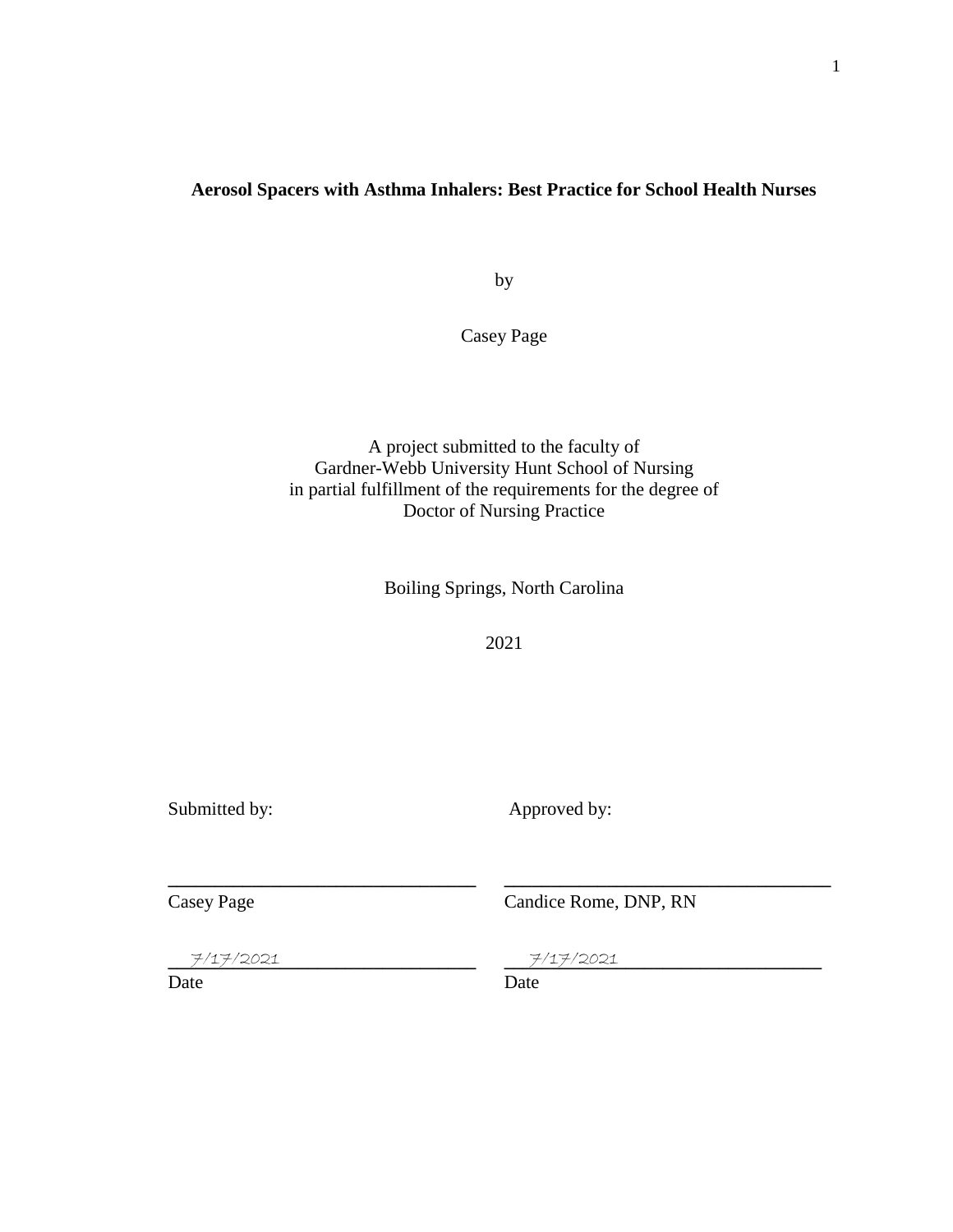### **Aerosol Spacers with Asthma Inhalers: Best Practice for School Health Nurses**

by

Casey Page

A project submitted to the faculty of Gardner-Webb University Hunt School of Nursing in partial fulfillment of the requirements for the degree of Doctor of Nursing Practice

Boiling Springs, North Carolina

2021

**\_\_\_\_\_\_\_\_\_\_\_\_\_\_\_\_\_\_\_\_\_\_\_\_\_\_\_\_\_\_\_\_\_ \_\_\_\_\_\_\_\_\_\_\_\_\_\_\_\_\_\_\_\_\_\_\_\_\_\_\_\_\_\_\_\_\_\_\_**

Submitted by: Approved by:

Casey Page Candice Rome, DNP, RN

**\_\_\_\_\_\_\_\_\_\_\_\_\_\_\_\_\_\_\_\_\_\_\_\_\_\_\_\_\_\_\_\_\_ \_\_\_\_\_\_\_\_\_\_\_\_\_\_\_\_\_\_\_\_\_\_\_\_\_\_\_\_\_\_\_\_\_\_**

7/17/2021 7/17/2021

Date Date Date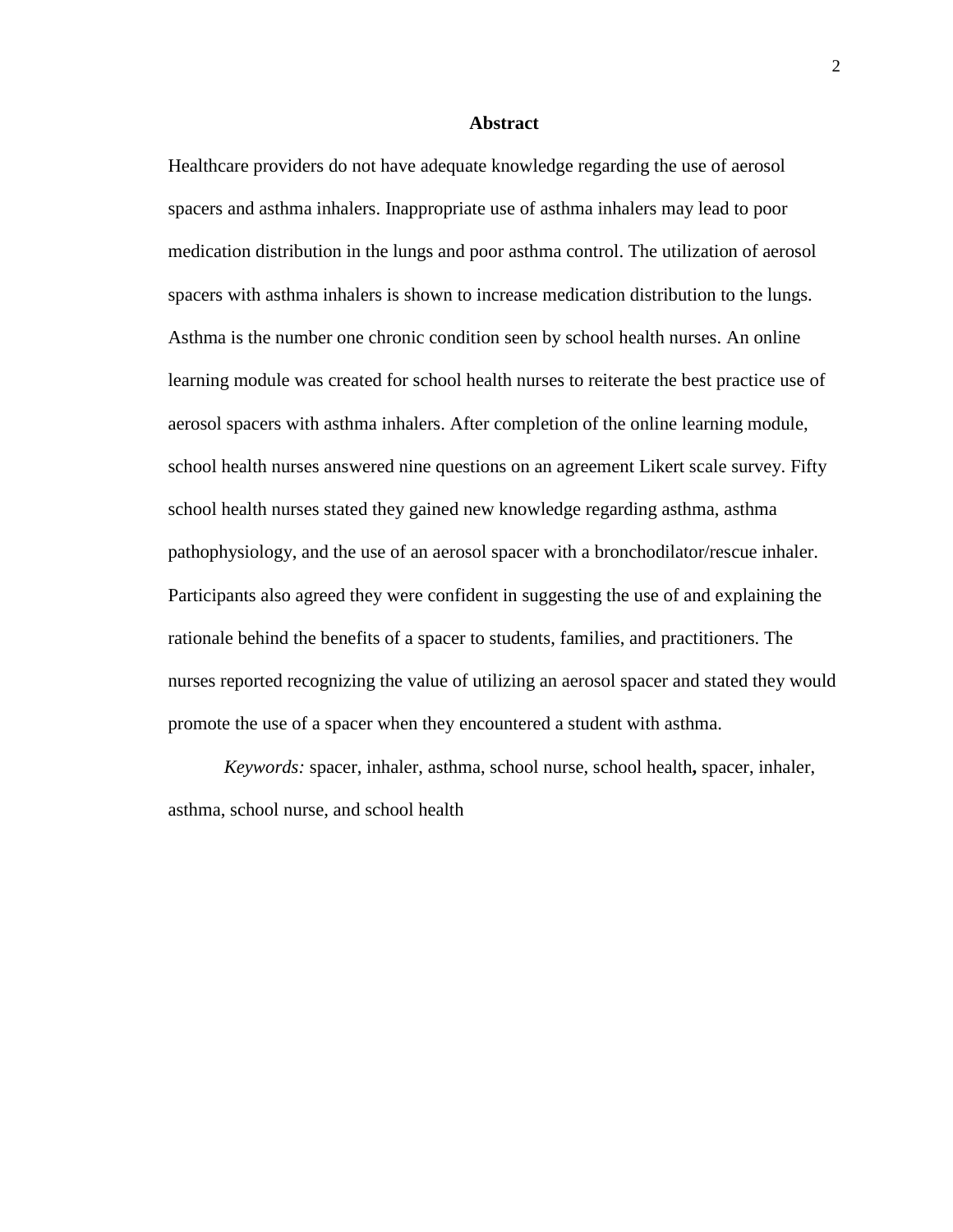#### **Abstract**

Healthcare providers do not have adequate knowledge regarding the use of aerosol spacers and asthma inhalers. Inappropriate use of asthma inhalers may lead to poor medication distribution in the lungs and poor asthma control. The utilization of aerosol spacers with asthma inhalers is shown to increase medication distribution to the lungs. Asthma is the number one chronic condition seen by school health nurses. An online learning module was created for school health nurses to reiterate the best practice use of aerosol spacers with asthma inhalers. After completion of the online learning module, school health nurses answered nine questions on an agreement Likert scale survey. Fifty school health nurses stated they gained new knowledge regarding asthma, asthma pathophysiology, and the use of an aerosol spacer with a bronchodilator/rescue inhaler. Participants also agreed they were confident in suggesting the use of and explaining the rationale behind the benefits of a spacer to students, families, and practitioners. The nurses reported recognizing the value of utilizing an aerosol spacer and stated they would promote the use of a spacer when they encountered a student with asthma.

*Keywords:* spacer, inhaler, asthma, school nurse, school health**,** spacer, inhaler, asthma, school nurse, and school health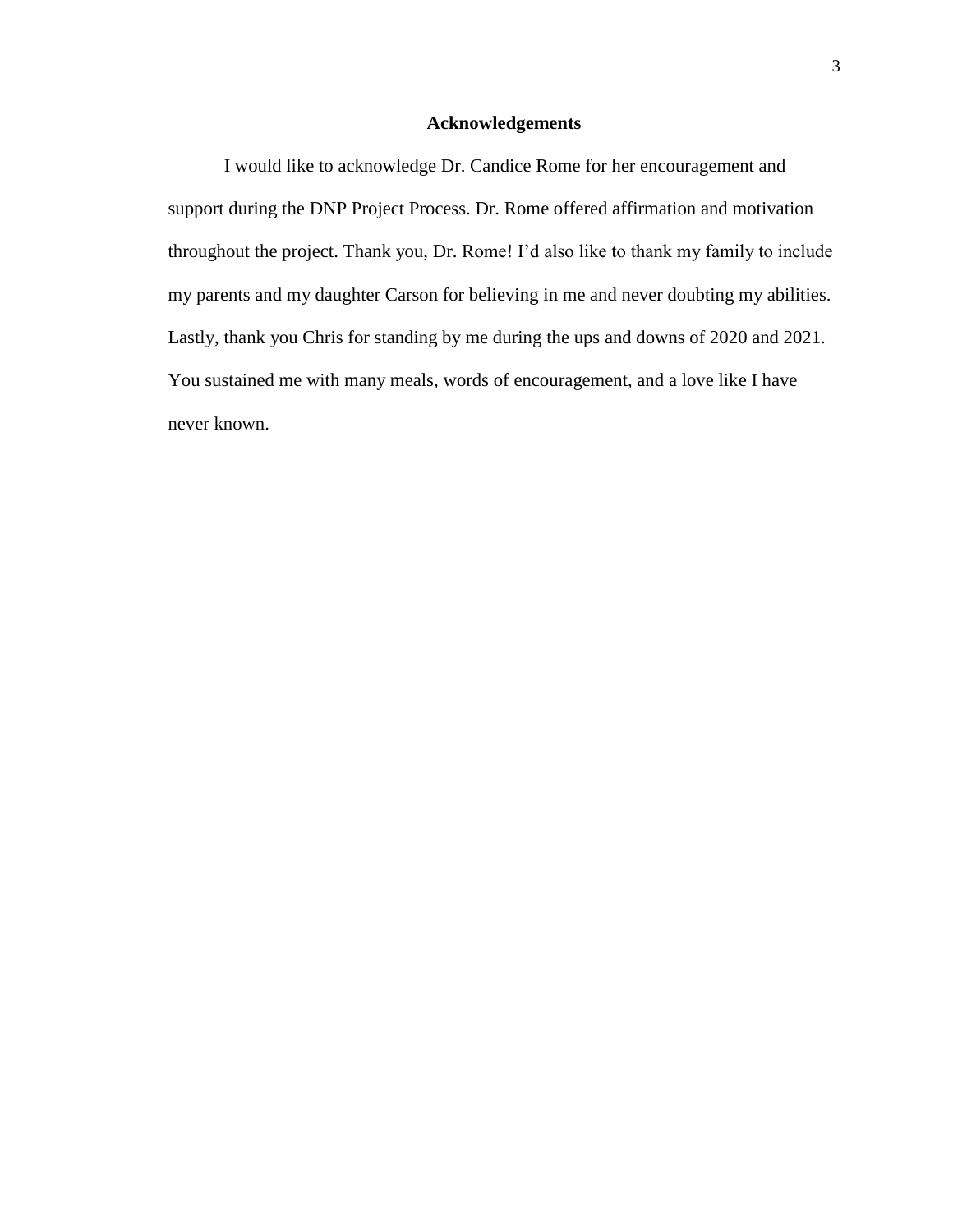#### **Acknowledgements**

I would like to acknowledge Dr. Candice Rome for her encouragement and support during the DNP Project Process. Dr. Rome offered affirmation and motivation throughout the project. Thank you, Dr. Rome! I'd also like to thank my family to include my parents and my daughter Carson for believing in me and never doubting my abilities. Lastly, thank you Chris for standing by me during the ups and downs of 2020 and 2021. You sustained me with many meals, words of encouragement, and a love like I have never known.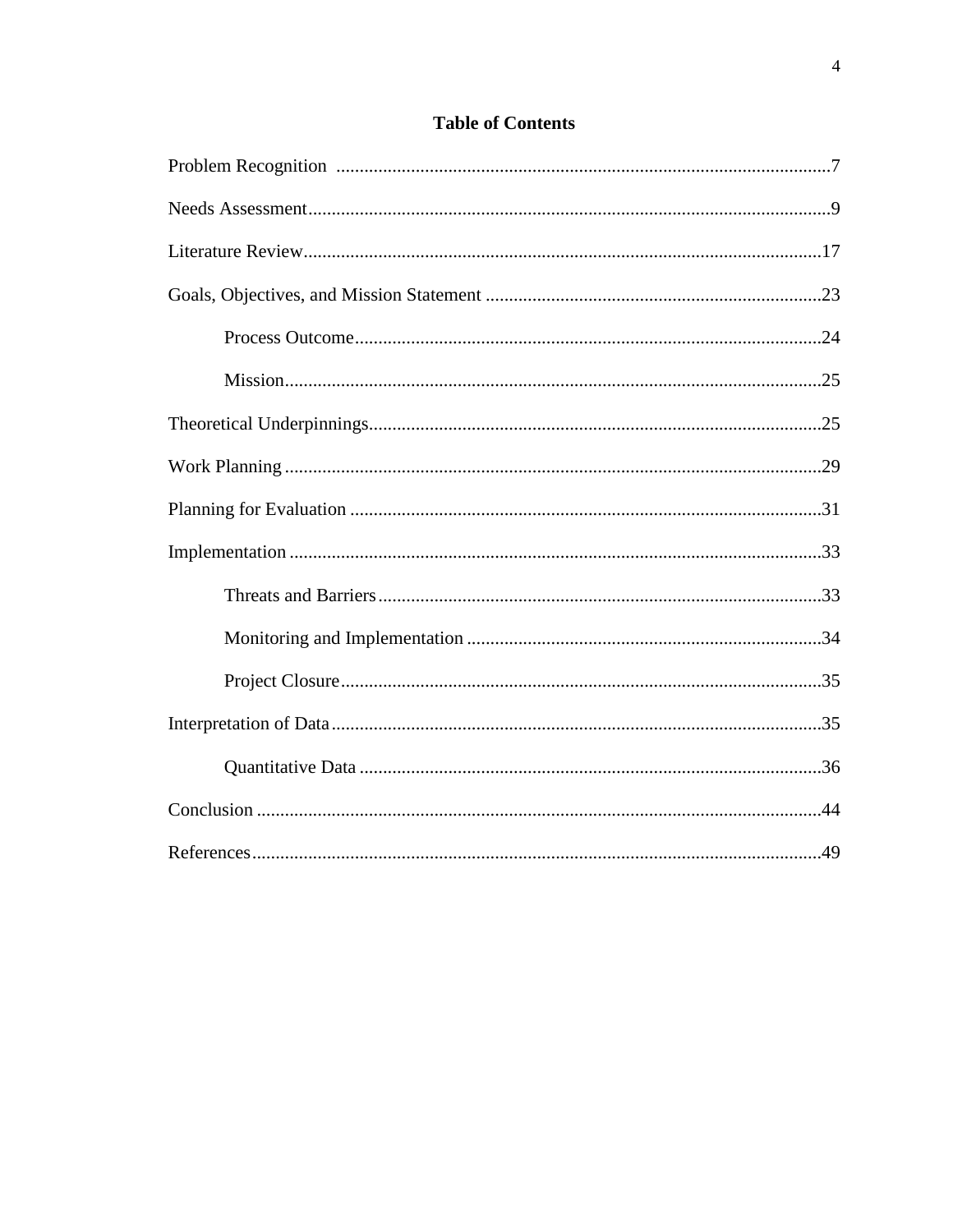### **Table of Contents**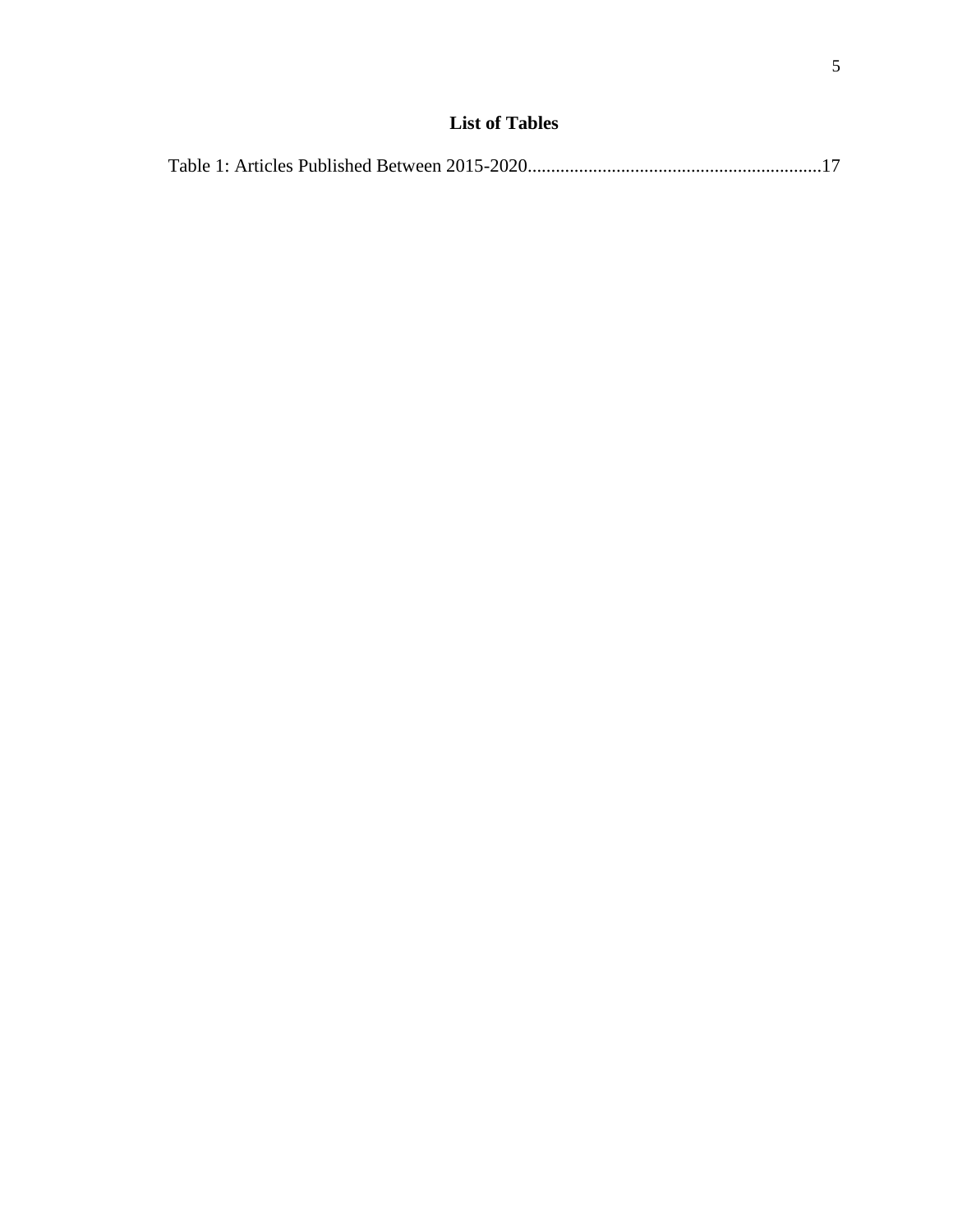|--|--|--|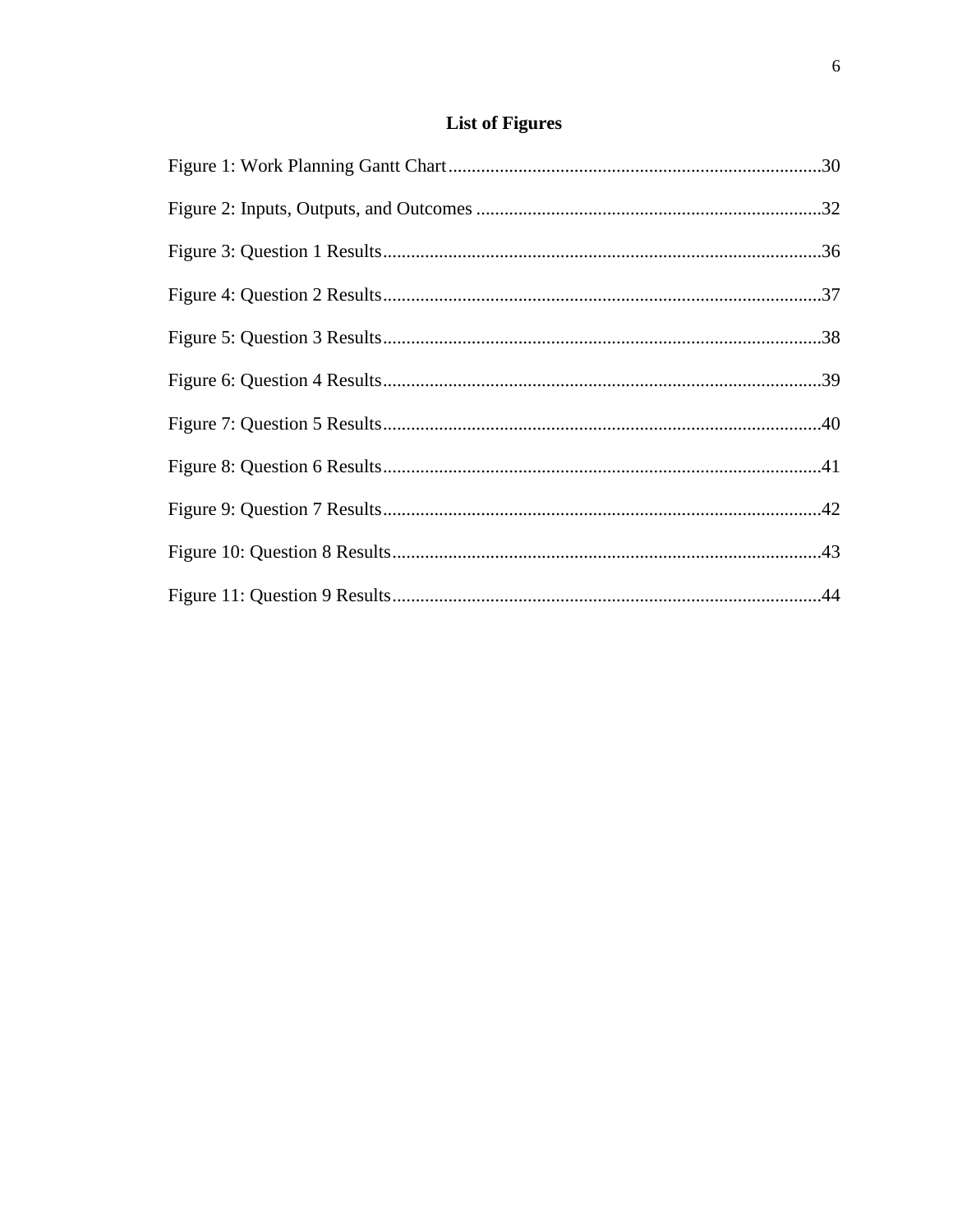# **List of Figures**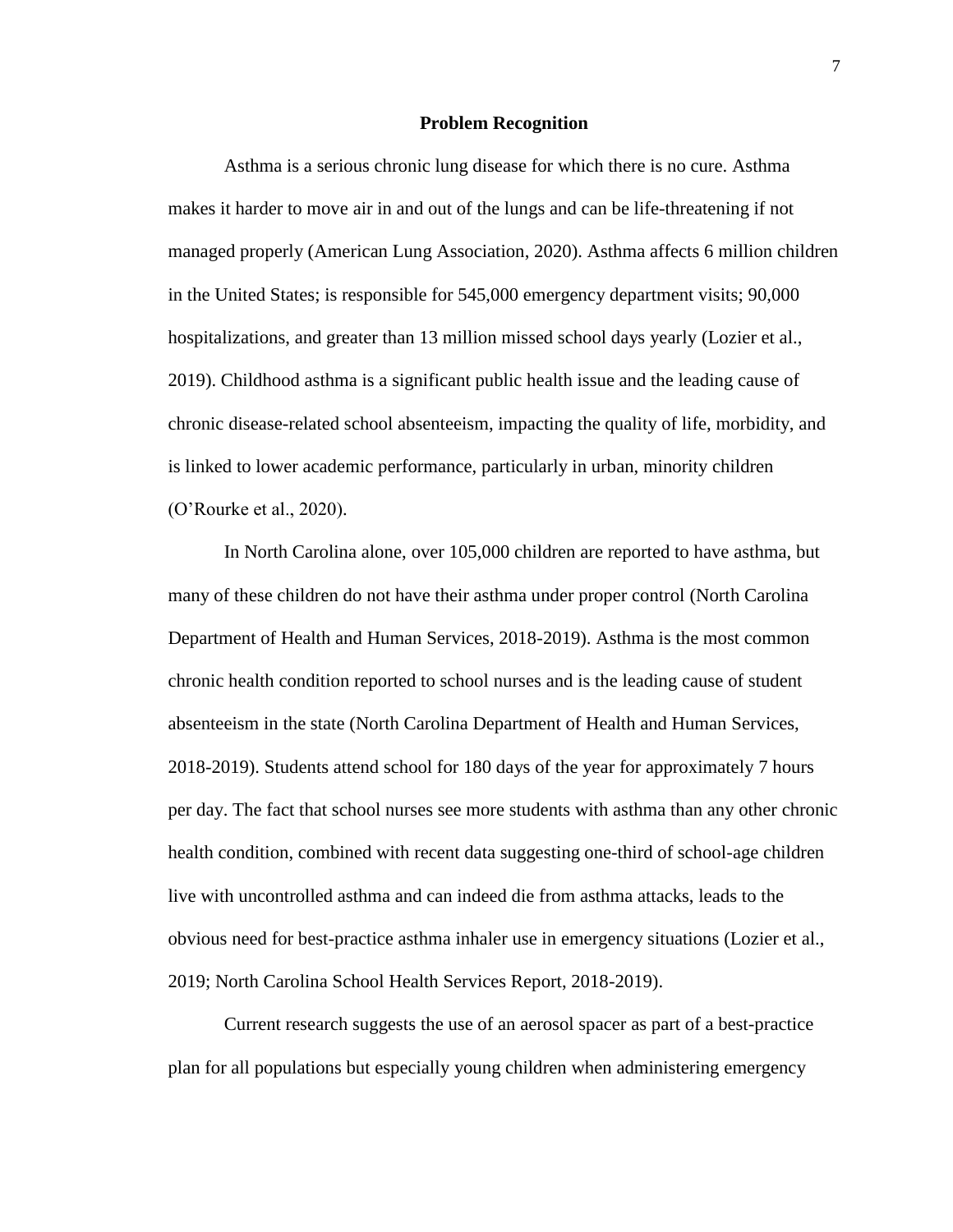#### **Problem Recognition**

Asthma is a serious chronic lung disease for which there is no cure. Asthma makes it harder to move air in and out of the lungs and can be life-threatening if not managed properly (American Lung Association, 2020). Asthma affects 6 million children in the United States; is responsible for 545,000 emergency department visits; 90,000 hospitalizations, and greater than 13 million missed school days yearly (Lozier et al., 2019). Childhood asthma is a significant public health issue and the leading cause of chronic disease-related school absenteeism, impacting the quality of life, morbidity, and is linked to lower academic performance, particularly in urban, minority children (O'Rourke et al., 2020).

In North Carolina alone, over 105,000 children are reported to have asthma, but many of these children do not have their asthma under proper control (North Carolina Department of Health and Human Services, 2018-2019). Asthma is the most common chronic health condition reported to school nurses and is the leading cause of student absenteeism in the state (North Carolina Department of Health and Human Services, 2018-2019). Students attend school for 180 days of the year for approximately 7 hours per day. The fact that school nurses see more students with asthma than any other chronic health condition, combined with recent data suggesting one-third of school-age children live with uncontrolled asthma and can indeed die from asthma attacks, leads to the obvious need for best-practice asthma inhaler use in emergency situations (Lozier et al., 2019; North Carolina School Health Services Report, 2018-2019).

Current research suggests the use of an aerosol spacer as part of a best-practice plan for all populations but especially young children when administering emergency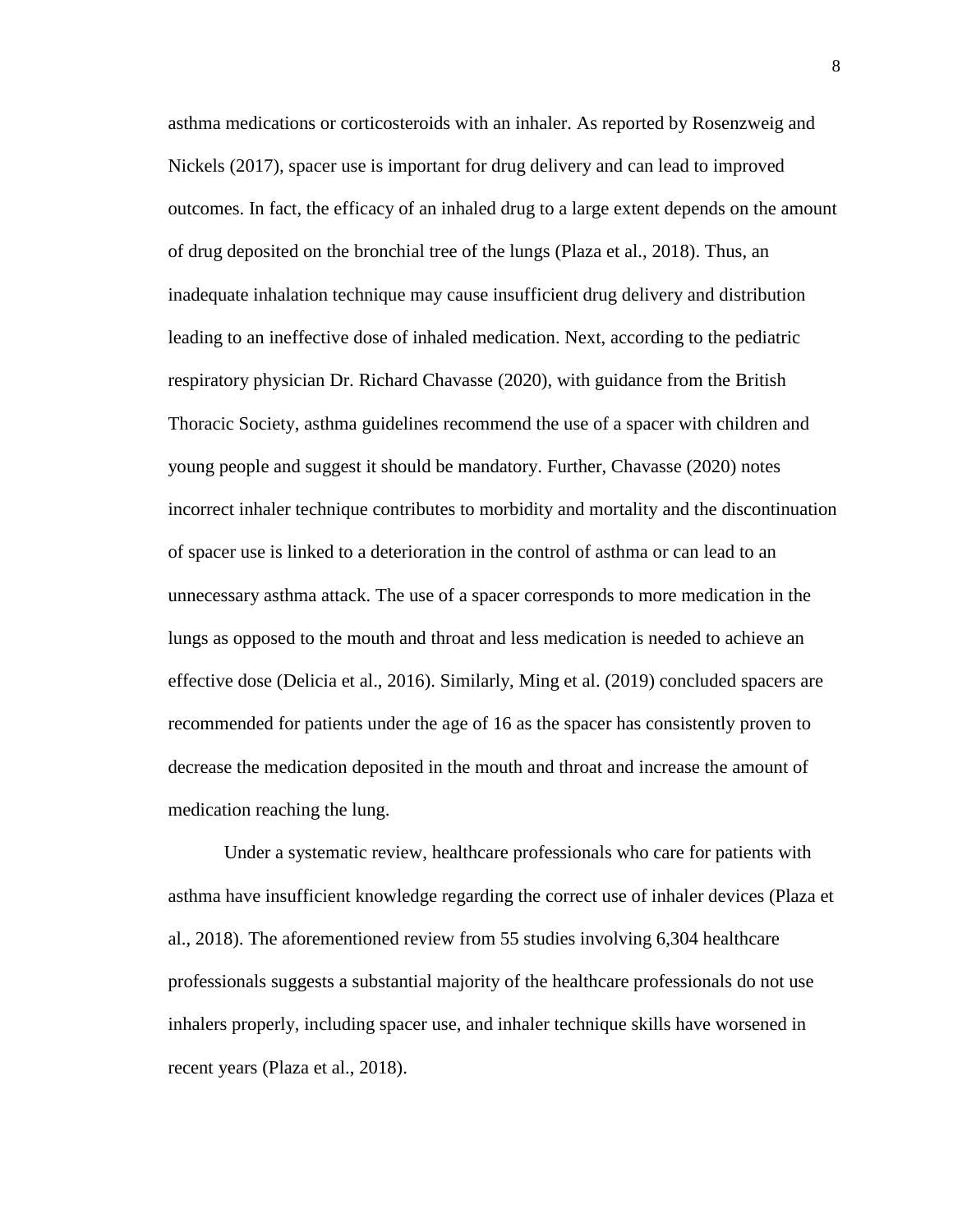asthma medications or corticosteroids with an inhaler. As reported by Rosenzweig and Nickels (2017), spacer use is important for drug delivery and can lead to improved outcomes. In fact, the efficacy of an inhaled drug to a large extent depends on the amount of drug deposited on the bronchial tree of the lungs (Plaza et al., 2018). Thus, an inadequate inhalation technique may cause insufficient drug delivery and distribution leading to an ineffective dose of inhaled medication. Next, according to the pediatric respiratory physician Dr. Richard Chavasse (2020), with guidance from the British Thoracic Society, asthma guidelines recommend the use of a spacer with children and young people and suggest it should be mandatory. Further, Chavasse (2020) notes incorrect inhaler technique contributes to morbidity and mortality and the discontinuation of spacer use is linked to a deterioration in the control of asthma or can lead to an unnecessary asthma attack. The use of a spacer corresponds to more medication in the lungs as opposed to the mouth and throat and less medication is needed to achieve an effective dose (Delicia et al., 2016). Similarly, Ming et al. (2019) concluded spacers are recommended for patients under the age of 16 as the spacer has consistently proven to decrease the medication deposited in the mouth and throat and increase the amount of medication reaching the lung.

Under a systematic review, healthcare professionals who care for patients with asthma have insufficient knowledge regarding the correct use of inhaler devices (Plaza et al., 2018). The aforementioned review from 55 studies involving 6,304 healthcare professionals suggests a substantial majority of the healthcare professionals do not use inhalers properly, including spacer use, and inhaler technique skills have worsened in recent years (Plaza et al., 2018).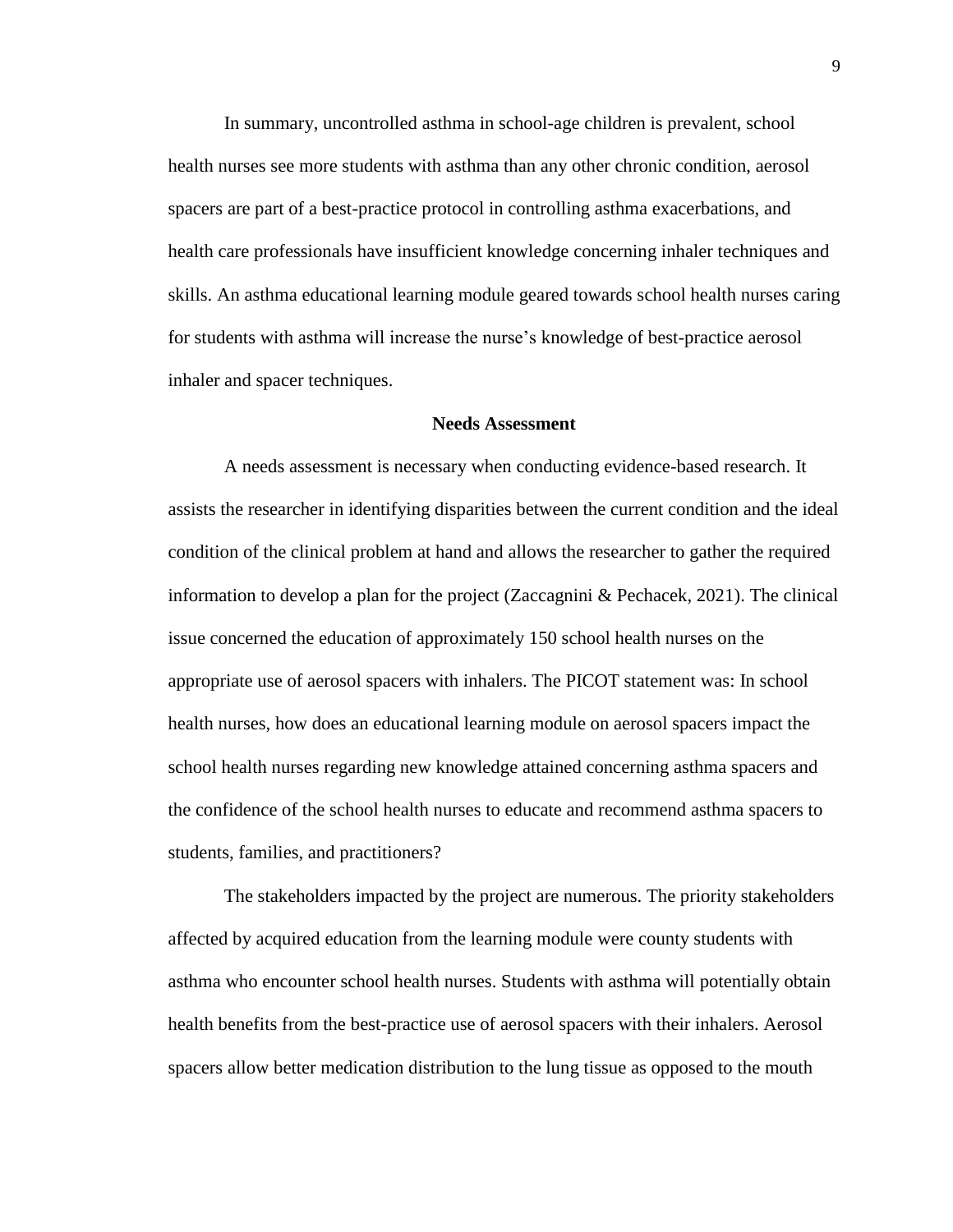In summary, uncontrolled asthma in school-age children is prevalent, school health nurses see more students with asthma than any other chronic condition, aerosol spacers are part of a best-practice protocol in controlling asthma exacerbations, and health care professionals have insufficient knowledge concerning inhaler techniques and skills. An asthma educational learning module geared towards school health nurses caring for students with asthma will increase the nurse's knowledge of best-practice aerosol inhaler and spacer techniques.

#### **Needs Assessment**

A needs assessment is necessary when conducting evidence-based research. It assists the researcher in identifying disparities between the current condition and the ideal condition of the clinical problem at hand and allows the researcher to gather the required information to develop a plan for the project (Zaccagnini & Pechacek, 2021). The clinical issue concerned the education of approximately 150 school health nurses on the appropriate use of aerosol spacers with inhalers. The PICOT statement was: In school health nurses, how does an educational learning module on aerosol spacers impact the school health nurses regarding new knowledge attained concerning asthma spacers and the confidence of the school health nurses to educate and recommend asthma spacers to students, families, and practitioners?

The stakeholders impacted by the project are numerous. The priority stakeholders affected by acquired education from the learning module were county students with asthma who encounter school health nurses. Students with asthma will potentially obtain health benefits from the best-practice use of aerosol spacers with their inhalers. Aerosol spacers allow better medication distribution to the lung tissue as opposed to the mouth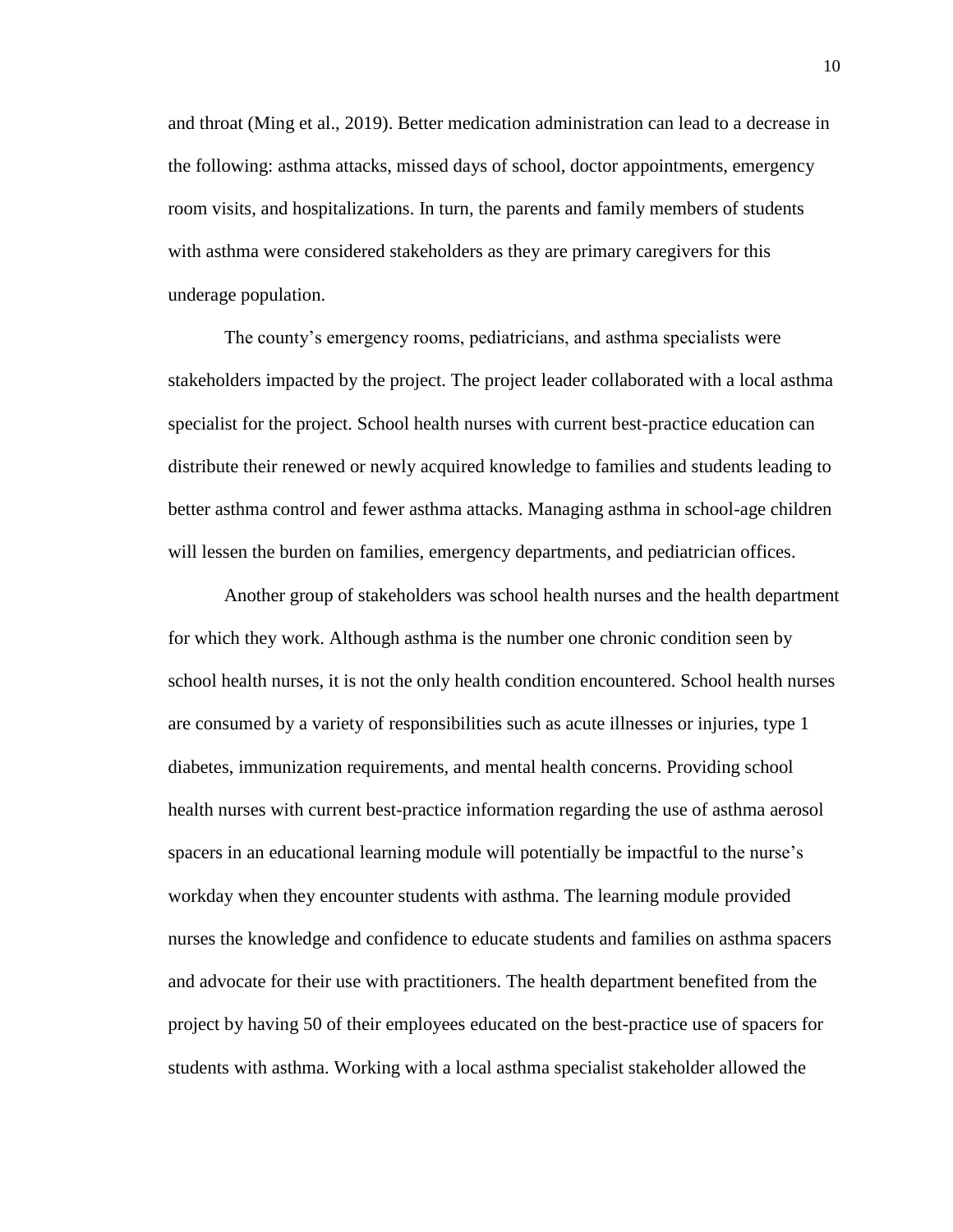and throat (Ming et al., 2019). Better medication administration can lead to a decrease in the following: asthma attacks, missed days of school, doctor appointments, emergency room visits, and hospitalizations. In turn, the parents and family members of students with asthma were considered stakeholders as they are primary caregivers for this underage population.

The county's emergency rooms, pediatricians, and asthma specialists were stakeholders impacted by the project. The project leader collaborated with a local asthma specialist for the project. School health nurses with current best-practice education can distribute their renewed or newly acquired knowledge to families and students leading to better asthma control and fewer asthma attacks. Managing asthma in school-age children will lessen the burden on families, emergency departments, and pediatrician offices.

Another group of stakeholders was school health nurses and the health department for which they work. Although asthma is the number one chronic condition seen by school health nurses, it is not the only health condition encountered. School health nurses are consumed by a variety of responsibilities such as acute illnesses or injuries, type 1 diabetes, immunization requirements, and mental health concerns. Providing school health nurses with current best-practice information regarding the use of asthma aerosol spacers in an educational learning module will potentially be impactful to the nurse's workday when they encounter students with asthma. The learning module provided nurses the knowledge and confidence to educate students and families on asthma spacers and advocate for their use with practitioners. The health department benefited from the project by having 50 of their employees educated on the best-practice use of spacers for students with asthma. Working with a local asthma specialist stakeholder allowed the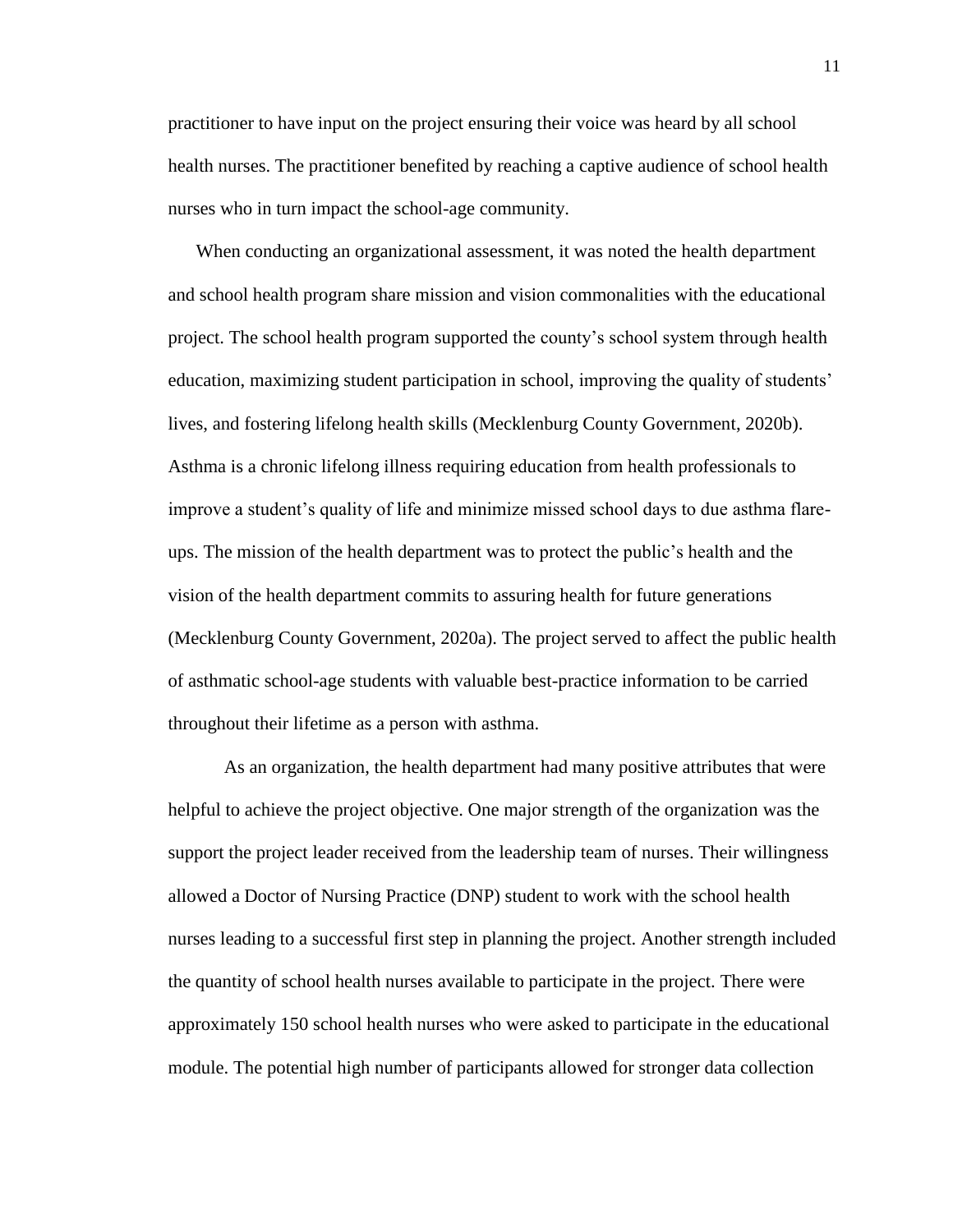practitioner to have input on the project ensuring their voice was heard by all school health nurses. The practitioner benefited by reaching a captive audience of school health nurses who in turn impact the school-age community.

When conducting an organizational assessment, it was noted the health department and school health program share mission and vision commonalities with the educational project. The school health program supported the county's school system through health education, maximizing student participation in school, improving the quality of students' lives, and fostering lifelong health skills (Mecklenburg County Government, 2020b). Asthma is a chronic lifelong illness requiring education from health professionals to improve a student's quality of life and minimize missed school days to due asthma flareups. The mission of the health department was to protect the public's health and the vision of the health department commits to assuring health for future generations (Mecklenburg County Government, 2020a). The project served to affect the public health of asthmatic school-age students with valuable best-practice information to be carried throughout their lifetime as a person with asthma.

As an organization, the health department had many positive attributes that were helpful to achieve the project objective. One major strength of the organization was the support the project leader received from the leadership team of nurses. Their willingness allowed a Doctor of Nursing Practice (DNP) student to work with the school health nurses leading to a successful first step in planning the project. Another strength included the quantity of school health nurses available to participate in the project. There were approximately 150 school health nurses who were asked to participate in the educational module. The potential high number of participants allowed for stronger data collection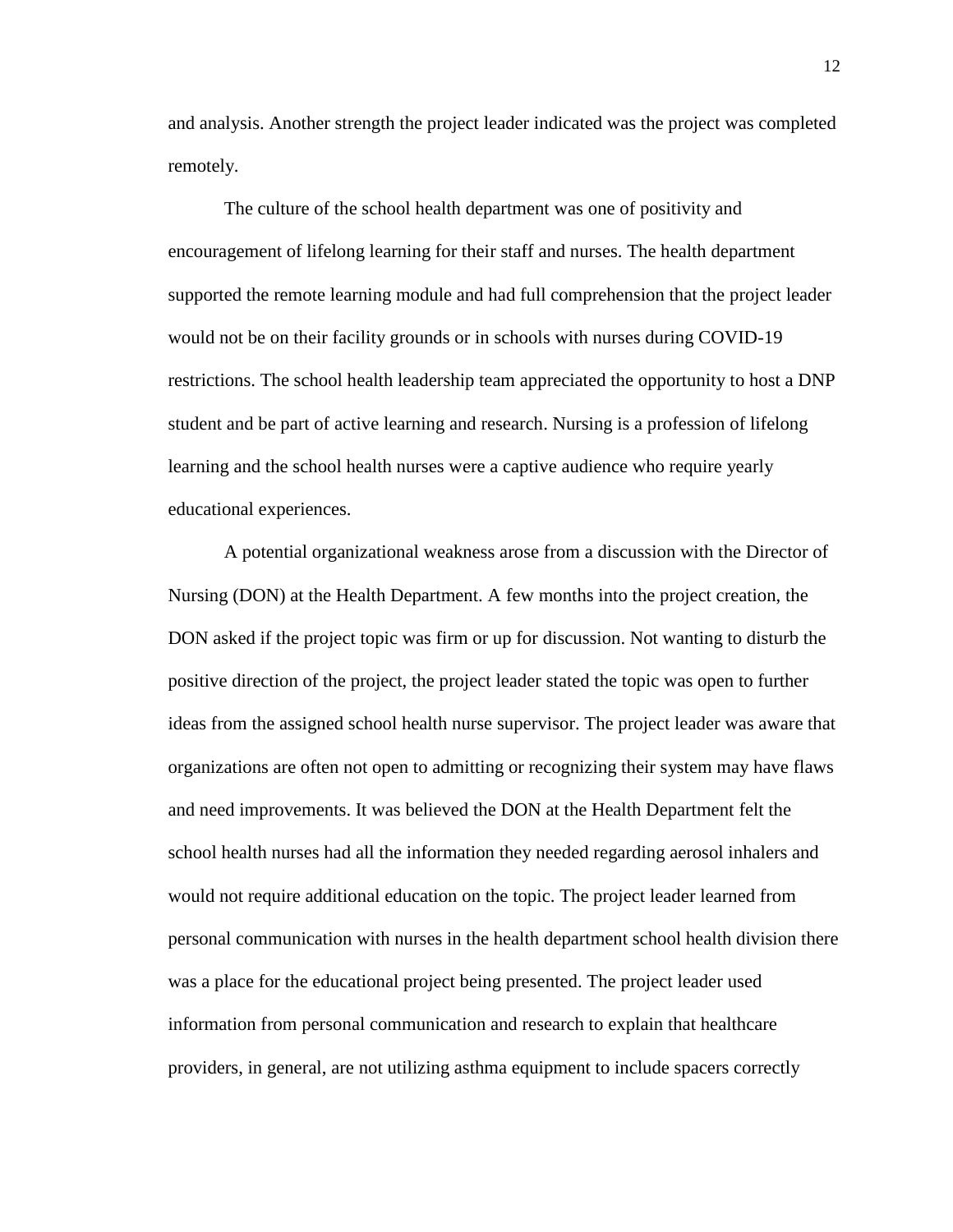and analysis. Another strength the project leader indicated was the project was completed remotely.

The culture of the school health department was one of positivity and encouragement of lifelong learning for their staff and nurses. The health department supported the remote learning module and had full comprehension that the project leader would not be on their facility grounds or in schools with nurses during COVID-19 restrictions. The school health leadership team appreciated the opportunity to host a DNP student and be part of active learning and research. Nursing is a profession of lifelong learning and the school health nurses were a captive audience who require yearly educational experiences.

A potential organizational weakness arose from a discussion with the Director of Nursing (DON) at the Health Department. A few months into the project creation, the DON asked if the project topic was firm or up for discussion. Not wanting to disturb the positive direction of the project, the project leader stated the topic was open to further ideas from the assigned school health nurse supervisor. The project leader was aware that organizations are often not open to admitting or recognizing their system may have flaws and need improvements. It was believed the DON at the Health Department felt the school health nurses had all the information they needed regarding aerosol inhalers and would not require additional education on the topic. The project leader learned from personal communication with nurses in the health department school health division there was a place for the educational project being presented. The project leader used information from personal communication and research to explain that healthcare providers, in general, are not utilizing asthma equipment to include spacers correctly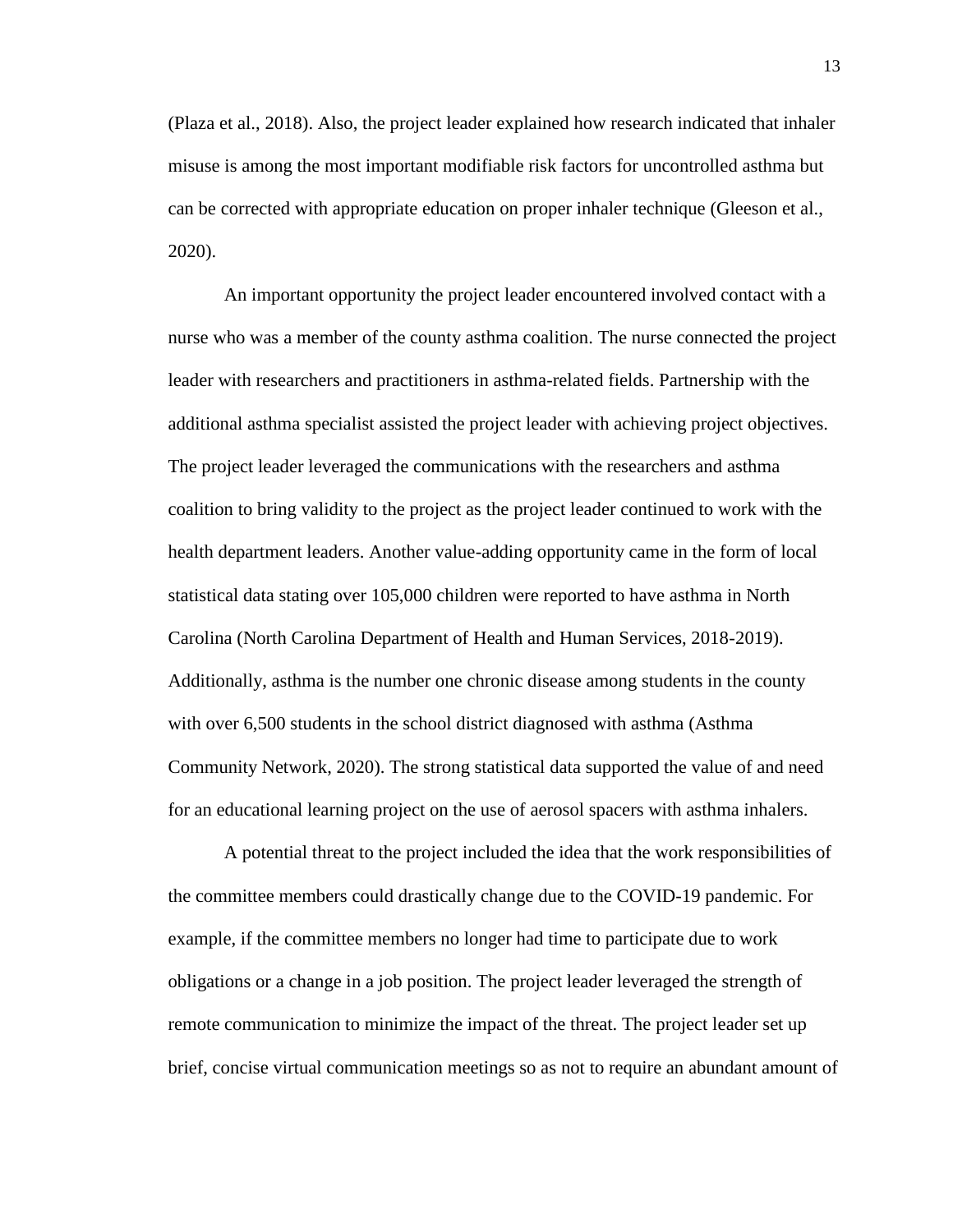(Plaza et al., 2018). Also, the project leader explained how research indicated that inhaler misuse is among the most important modifiable risk factors for uncontrolled asthma but can be corrected with appropriate education on proper inhaler technique (Gleeson et al., 2020).

An important opportunity the project leader encountered involved contact with a nurse who was a member of the county asthma coalition. The nurse connected the project leader with researchers and practitioners in asthma-related fields. Partnership with the additional asthma specialist assisted the project leader with achieving project objectives. The project leader leveraged the communications with the researchers and asthma coalition to bring validity to the project as the project leader continued to work with the health department leaders. Another value-adding opportunity came in the form of local statistical data stating over 105,000 children were reported to have asthma in North Carolina (North Carolina Department of Health and Human Services, 2018-2019). Additionally, asthma is the number one chronic disease among students in the county with over 6,500 students in the school district diagnosed with asthma (Asthma Community Network, 2020). The strong statistical data supported the value of and need for an educational learning project on the use of aerosol spacers with asthma inhalers.

A potential threat to the project included the idea that the work responsibilities of the committee members could drastically change due to the COVID-19 pandemic. For example, if the committee members no longer had time to participate due to work obligations or a change in a job position. The project leader leveraged the strength of remote communication to minimize the impact of the threat. The project leader set up brief, concise virtual communication meetings so as not to require an abundant amount of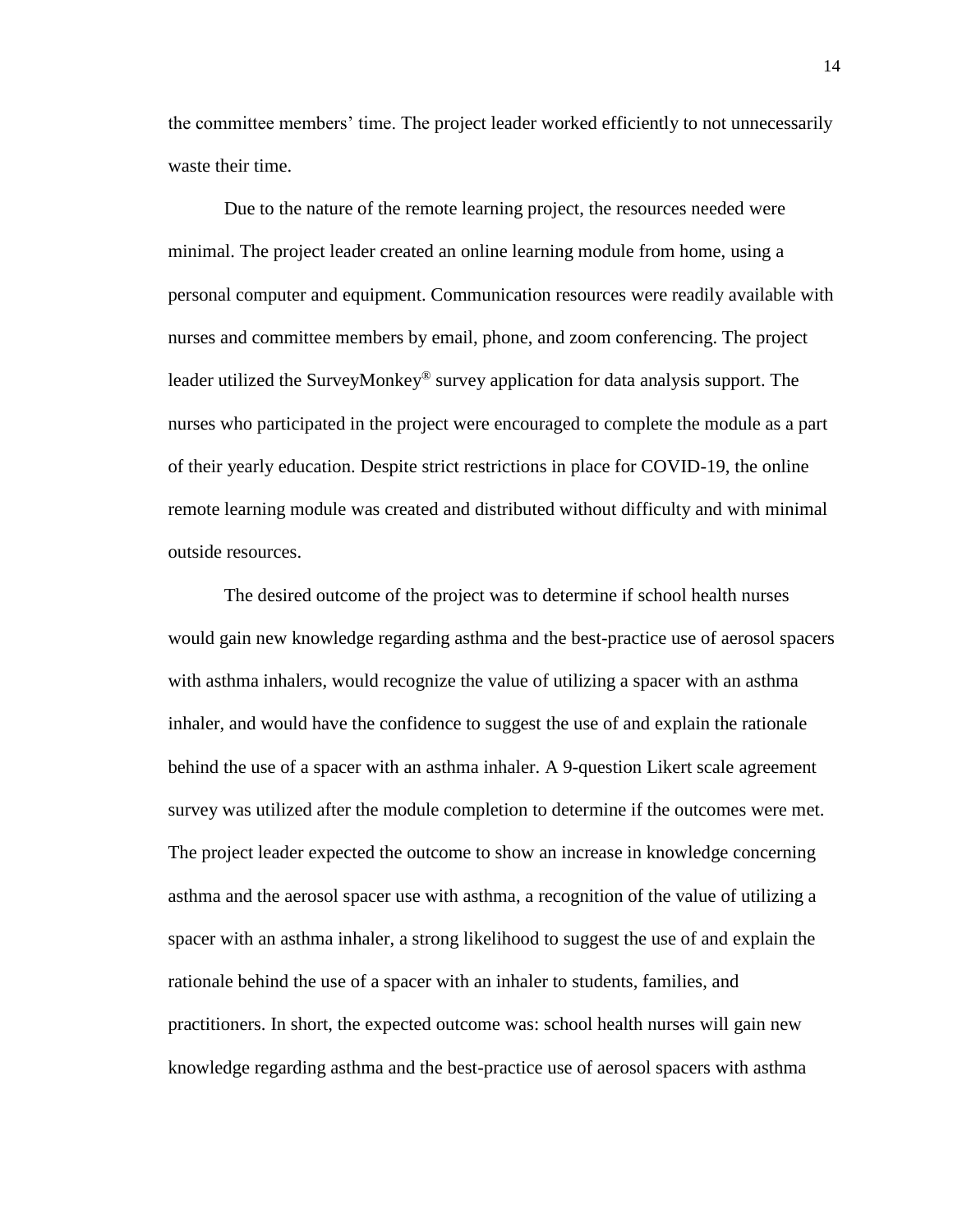the committee members' time. The project leader worked efficiently to not unnecessarily waste their time.

Due to the nature of the remote learning project, the resources needed were minimal. The project leader created an online learning module from home, using a personal computer and equipment. Communication resources were readily available with nurses and committee members by email, phone, and zoom conferencing. The project leader utilized the SurveyMonkey® survey application for data analysis support. The nurses who participated in the project were encouraged to complete the module as a part of their yearly education. Despite strict restrictions in place for COVID-19, the online remote learning module was created and distributed without difficulty and with minimal outside resources.

The desired outcome of the project was to determine if school health nurses would gain new knowledge regarding asthma and the best-practice use of aerosol spacers with asthma inhalers, would recognize the value of utilizing a spacer with an asthma inhaler, and would have the confidence to suggest the use of and explain the rationale behind the use of a spacer with an asthma inhaler. A 9-question Likert scale agreement survey was utilized after the module completion to determine if the outcomes were met. The project leader expected the outcome to show an increase in knowledge concerning asthma and the aerosol spacer use with asthma, a recognition of the value of utilizing a spacer with an asthma inhaler, a strong likelihood to suggest the use of and explain the rationale behind the use of a spacer with an inhaler to students, families, and practitioners. In short, the expected outcome was: school health nurses will gain new knowledge regarding asthma and the best-practice use of aerosol spacers with asthma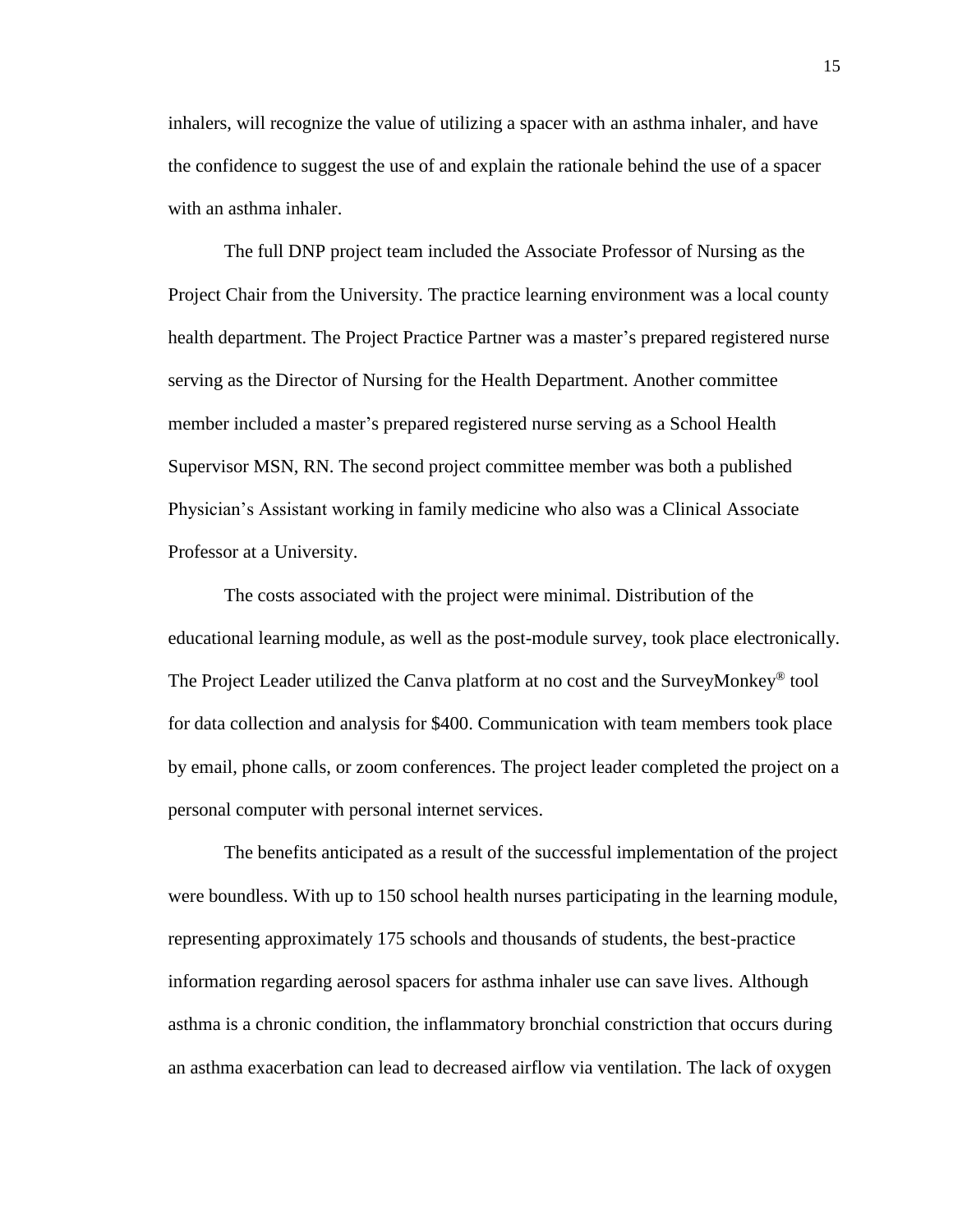inhalers, will recognize the value of utilizing a spacer with an asthma inhaler, and have the confidence to suggest the use of and explain the rationale behind the use of a spacer with an asthma inhaler.

The full DNP project team included the Associate Professor of Nursing as the Project Chair from the University. The practice learning environment was a local county health department. The Project Practice Partner was a master's prepared registered nurse serving as the Director of Nursing for the Health Department. Another committee member included a master's prepared registered nurse serving as a School Health Supervisor MSN, RN. The second project committee member was both a published Physician's Assistant working in family medicine who also was a Clinical Associate Professor at a University.

The costs associated with the project were minimal. Distribution of the educational learning module, as well as the post-module survey, took place electronically. The Project Leader utilized the Canva platform at no cost and the SurveyMonkey<sup>®</sup> tool for data collection and analysis for \$400. Communication with team members took place by email, phone calls, or zoom conferences. The project leader completed the project on a personal computer with personal internet services.

The benefits anticipated as a result of the successful implementation of the project were boundless. With up to 150 school health nurses participating in the learning module, representing approximately 175 schools and thousands of students, the best-practice information regarding aerosol spacers for asthma inhaler use can save lives. Although asthma is a chronic condition, the inflammatory bronchial constriction that occurs during an asthma exacerbation can lead to decreased airflow via ventilation. The lack of oxygen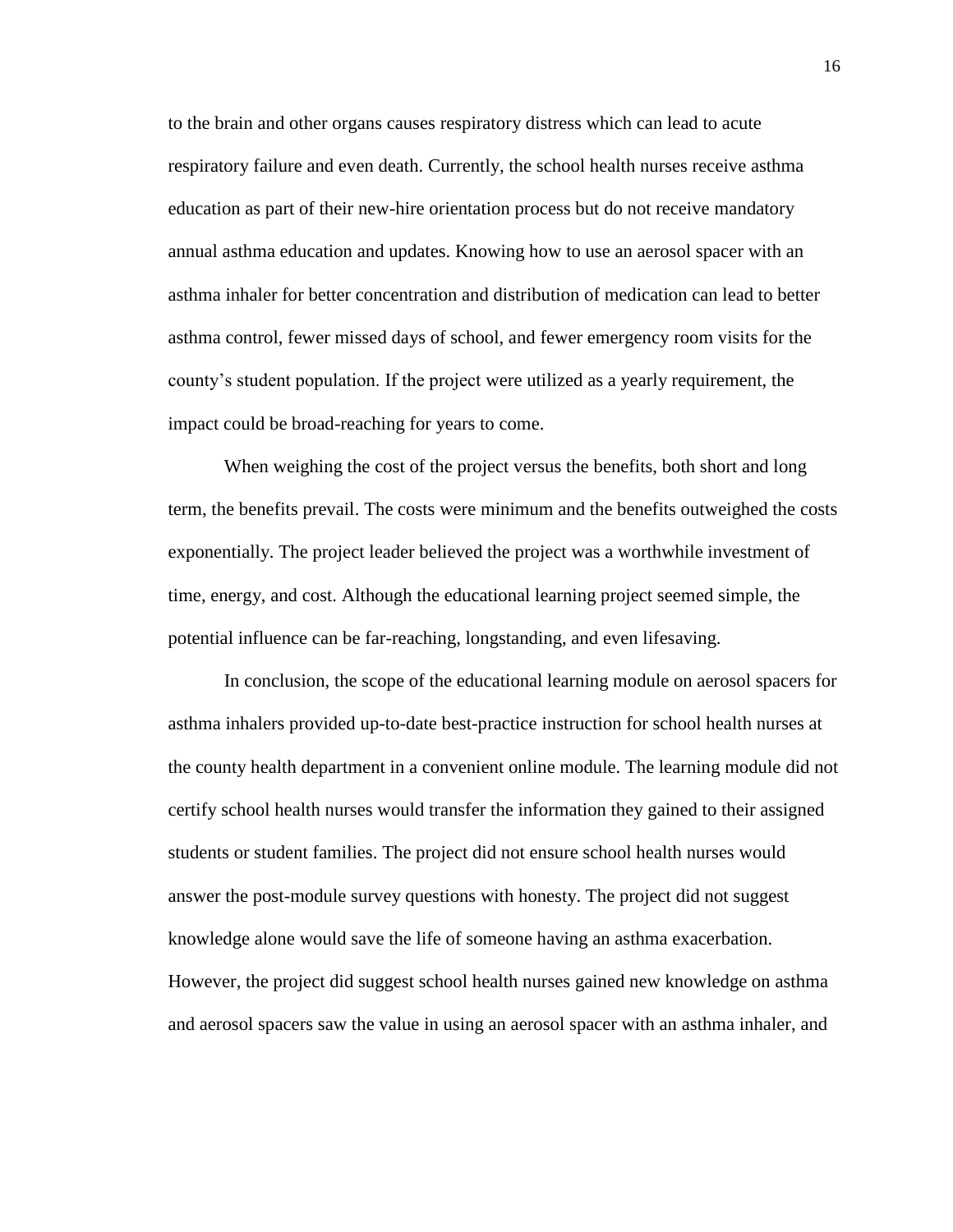to the brain and other organs causes respiratory distress which can lead to acute respiratory failure and even death. Currently, the school health nurses receive asthma education as part of their new-hire orientation process but do not receive mandatory annual asthma education and updates. Knowing how to use an aerosol spacer with an asthma inhaler for better concentration and distribution of medication can lead to better asthma control, fewer missed days of school, and fewer emergency room visits for the county's student population. If the project were utilized as a yearly requirement, the impact could be broad-reaching for years to come.

When weighing the cost of the project versus the benefits, both short and long term, the benefits prevail. The costs were minimum and the benefits outweighed the costs exponentially. The project leader believed the project was a worthwhile investment of time, energy, and cost. Although the educational learning project seemed simple, the potential influence can be far-reaching, longstanding, and even lifesaving.

In conclusion, the scope of the educational learning module on aerosol spacers for asthma inhalers provided up-to-date best-practice instruction for school health nurses at the county health department in a convenient online module. The learning module did not certify school health nurses would transfer the information they gained to their assigned students or student families. The project did not ensure school health nurses would answer the post-module survey questions with honesty. The project did not suggest knowledge alone would save the life of someone having an asthma exacerbation. However, the project did suggest school health nurses gained new knowledge on asthma and aerosol spacers saw the value in using an aerosol spacer with an asthma inhaler, and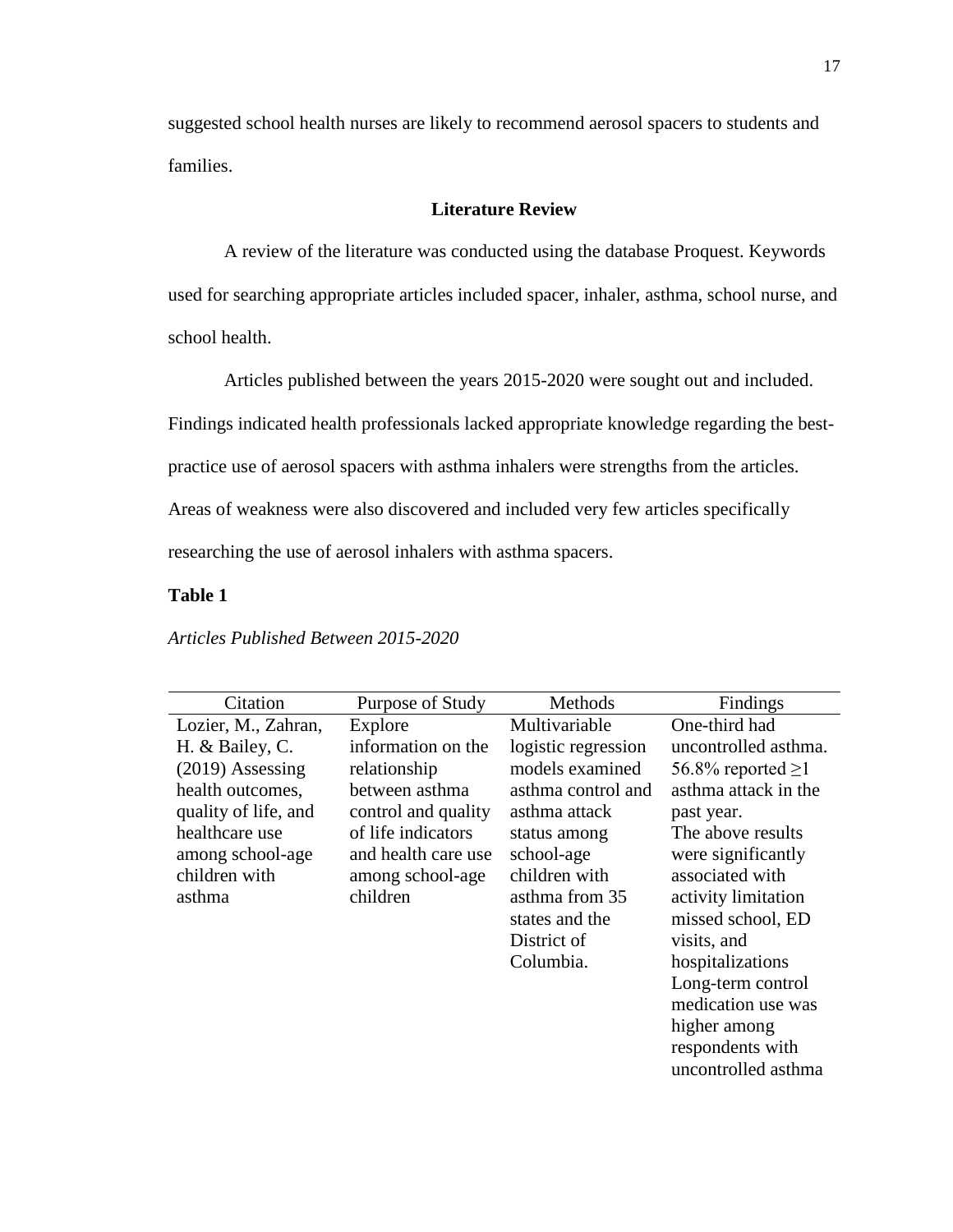suggested school health nurses are likely to recommend aerosol spacers to students and families.

#### **Literature Review**

A review of the literature was conducted using the database Proquest. Keywords used for searching appropriate articles included spacer, inhaler, asthma, school nurse, and school health.

Articles published between the years 2015-2020 were sought out and included.

Findings indicated health professionals lacked appropriate knowledge regarding the best-

practice use of aerosol spacers with asthma inhalers were strengths from the articles.

Areas of weakness were also discovered and included very few articles specifically

researching the use of aerosol inhalers with asthma spacers.

#### **Table 1**

*Articles Published Between 2015-2020*

| Citation             | Purpose of Study    | Methods             | Findings                |
|----------------------|---------------------|---------------------|-------------------------|
| Lozier, M., Zahran,  | Explore             | Multivariable       | One-third had           |
| H. & Bailey, C.      | information on the  | logistic regression | uncontrolled asthma.    |
| $(2019)$ Assessing   | relationship        | models examined     | 56.8% reported $\geq$ 1 |
| health outcomes,     | between asthma      | asthma control and  | asthma attack in the    |
| quality of life, and | control and quality | asthma attack       | past year.              |
| healthcare use       | of life indicators  | status among        | The above results       |
| among school-age     | and health care use | school-age          | were significantly      |
| children with        | among school-age    | children with       | associated with         |
| asthma               | children            | asthma from 35      | activity limitation     |
|                      |                     | states and the      | missed school, ED       |
|                      |                     | District of         | visits, and             |
|                      |                     | Columbia.           | hospitalizations        |
|                      |                     |                     | Long-term control       |
|                      |                     |                     | medication use was      |
|                      |                     |                     | higher among            |
|                      |                     |                     | respondents with        |
|                      |                     |                     | uncontrolled asthma     |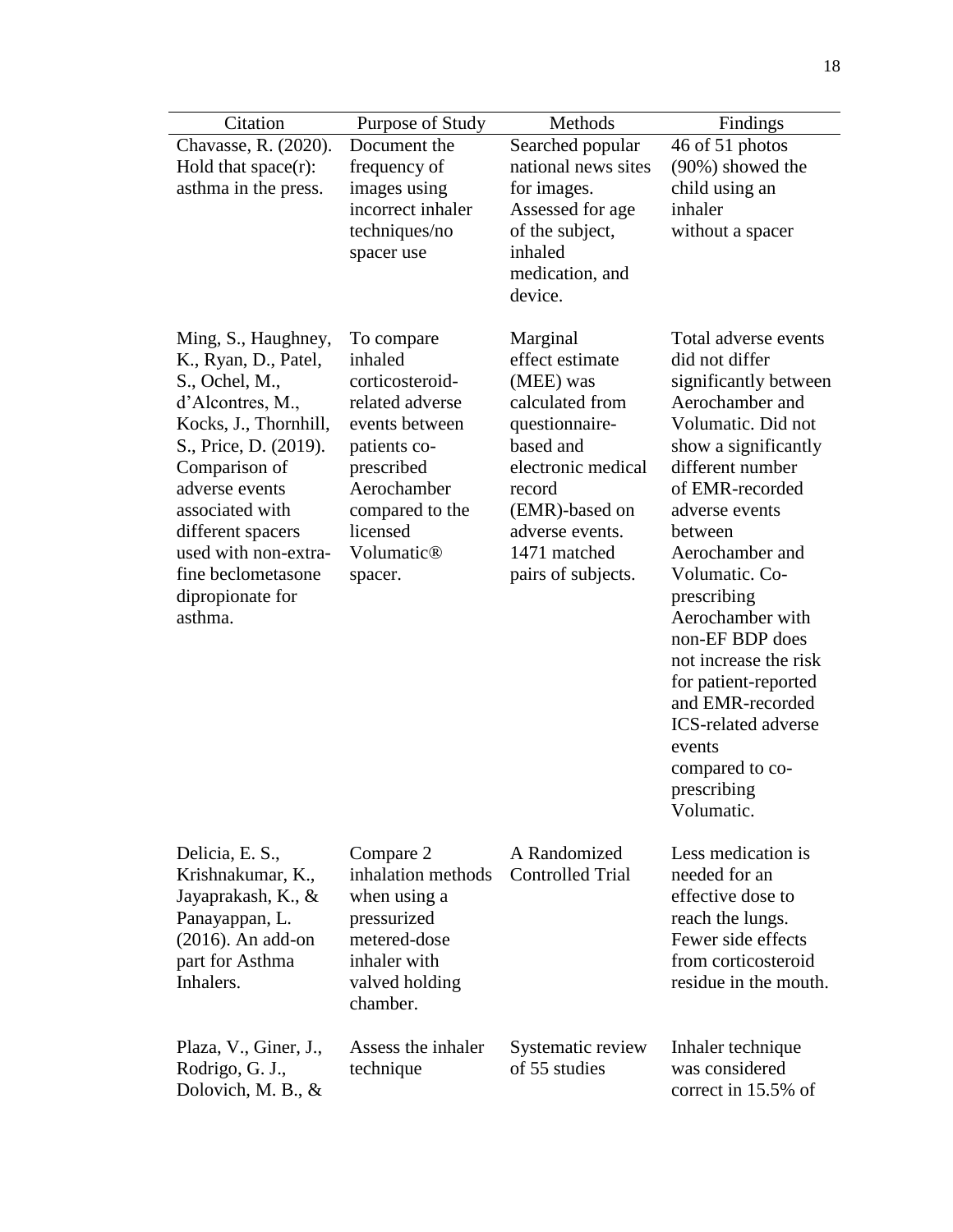| Citation                                                      | Purpose of Study                         | Methods                                  | Findings                                                        |
|---------------------------------------------------------------|------------------------------------------|------------------------------------------|-----------------------------------------------------------------|
| Chavasse, R. (2020).                                          | Document the                             | Searched popular                         | 46 of 51 photos                                                 |
| Hold that $space(r)$ :                                        | frequency of                             | national news sites                      | (90%) showed the                                                |
| asthma in the press.                                          | images using                             | for images.                              | child using an                                                  |
|                                                               | incorrect inhaler                        | Assessed for age                         | inhaler                                                         |
|                                                               | techniques/no                            | of the subject,                          | without a spacer                                                |
|                                                               | spacer use                               | inhaled                                  |                                                                 |
|                                                               |                                          | medication, and<br>device.               |                                                                 |
|                                                               |                                          |                                          |                                                                 |
| Ming, S., Haughney,<br>K., Ryan, D., Patel,<br>S., Ochel, M., | To compare<br>inhaled<br>corticosteroid- | Marginal<br>effect estimate<br>(MEE) was | Total adverse events<br>did not differ<br>significantly between |
| d'Alcontres, M.,                                              | related adverse                          | calculated from                          | Aerochamber and                                                 |
| Kocks, J., Thornhill,                                         | events between                           | questionnaire-                           | Volumatic. Did not                                              |
| S., Price, D. (2019).                                         | patients co-                             | based and<br>electronic medical          | show a significantly                                            |
| Comparison of<br>adverse events                               | prescribed<br>Aerochamber                | record                                   | different number<br>of EMR-recorded                             |
| associated with                                               | compared to the                          | (EMR)-based on                           | adverse events                                                  |
| different spacers                                             | licensed                                 | adverse events.                          | between                                                         |
| used with non-extra-                                          | Volumatic <sup>®</sup>                   | 1471 matched                             | Aerochamber and                                                 |
| fine beclometasone                                            | spacer.                                  | pairs of subjects.                       | Volumatic. Co-                                                  |
| dipropionate for<br>asthma.                                   |                                          |                                          | prescribing<br>Aerochamber with                                 |
|                                                               |                                          |                                          | non-EF BDP does                                                 |
|                                                               |                                          |                                          | not increase the risk                                           |
|                                                               |                                          |                                          | for patient-reported<br>and EMR-recorded                        |
|                                                               |                                          |                                          | <b>ICS-related adverse</b>                                      |
|                                                               |                                          |                                          | events                                                          |
|                                                               |                                          |                                          | compared to co-                                                 |
|                                                               |                                          |                                          | prescribing                                                     |
|                                                               |                                          |                                          | Volumatic.                                                      |
| Delicia, E. S.,                                               | Compare 2                                | A Randomized                             | Less medication is                                              |
| Krishnakumar, K.,                                             | inhalation methods                       | <b>Controlled Trial</b>                  | needed for an                                                   |
| Jayaprakash, K., &                                            | when using a                             |                                          | effective dose to                                               |
| Panayappan, L.                                                | pressurized                              |                                          | reach the lungs.                                                |
| $(2016)$ . An add-on                                          | metered-dose<br>inhaler with             |                                          | Fewer side effects<br>from corticosteroid                       |
| part for Asthma<br>Inhalers.                                  | valved holding                           |                                          | residue in the mouth.                                           |
|                                                               | chamber.                                 |                                          |                                                                 |
| Plaza, V., Giner, J.,                                         | Assess the inhaler                       | Systematic review                        | Inhaler technique                                               |
| Rodrigo, G. J.,                                               | technique                                | of 55 studies                            | was considered                                                  |
| Dolovich, M. B., &                                            |                                          |                                          | correct in 15.5% of                                             |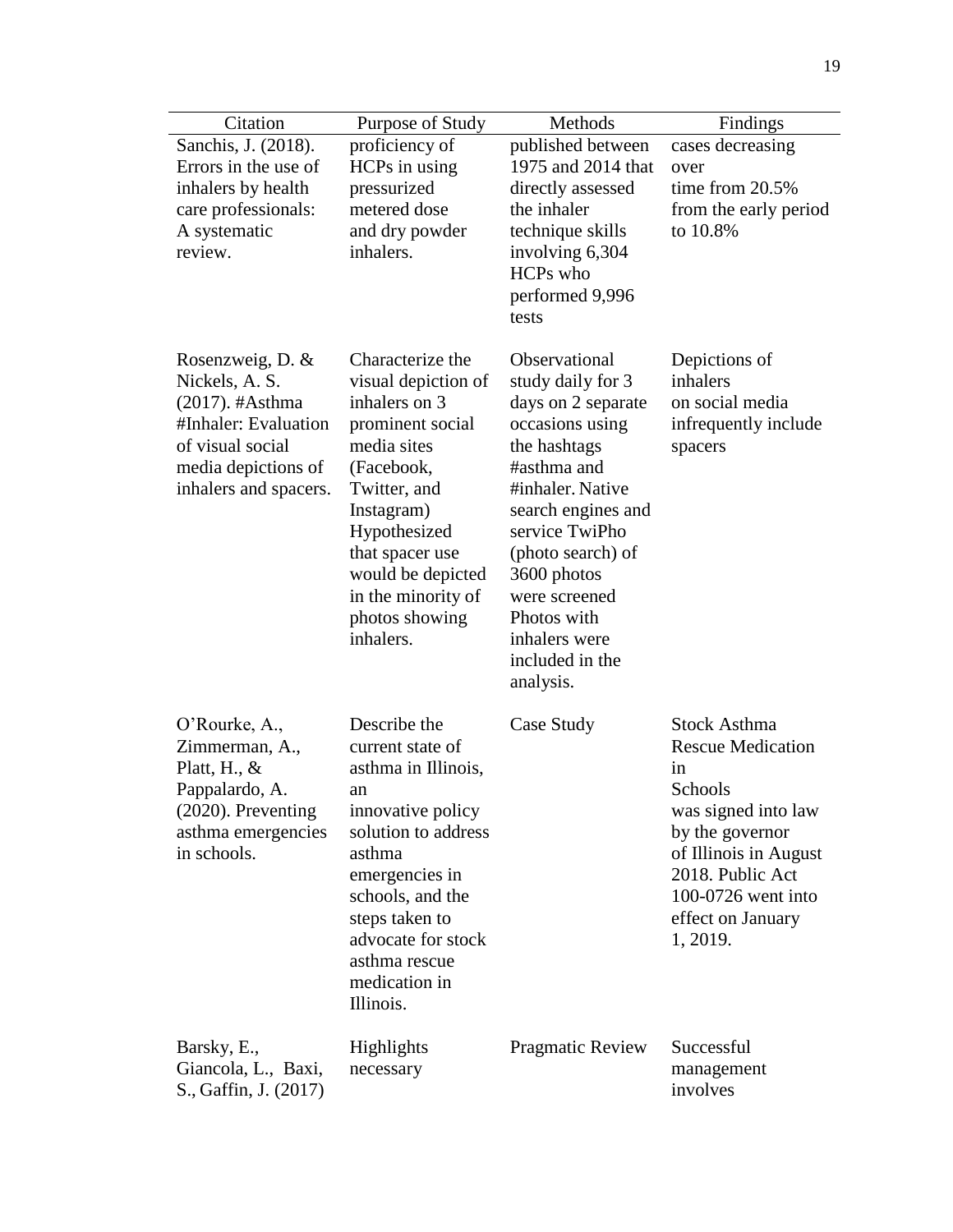| Citation                           | Purpose of Study                        | Methods                            | Findings                                 |
|------------------------------------|-----------------------------------------|------------------------------------|------------------------------------------|
| Sanchis, J. (2018).                | proficiency of                          | published between                  | cases decreasing                         |
| Errors in the use of               | HCPs in using                           | 1975 and 2014 that                 | over                                     |
| inhalers by health                 | pressurized                             | directly assessed                  | time from 20.5%                          |
| care professionals:                | metered dose                            | the inhaler                        | from the early period                    |
| A systematic                       | and dry powder                          | technique skills                   | to 10.8%                                 |
| review.                            | inhalers.                               | involving 6,304                    |                                          |
|                                    |                                         | HCPs who                           |                                          |
|                                    |                                         | performed 9,996                    |                                          |
|                                    |                                         | tests                              |                                          |
| Rosenzweig, D. &<br>Nickels, A. S. | Characterize the<br>visual depiction of | Observational<br>study daily for 3 | Depictions of<br>inhalers                |
| (2017). #Asthma                    | inhalers on 3                           | days on 2 separate                 | on social media                          |
| #Inhaler: Evaluation               | prominent social                        | occasions using                    | infrequently include                     |
| of visual social                   | media sites                             | the hashtags                       | spacers                                  |
| media depictions of                | (Facebook,                              | #asthma and                        |                                          |
| inhalers and spacers.              | Twitter, and                            | #inhaler. Native                   |                                          |
|                                    | Instagram)                              | search engines and                 |                                          |
|                                    | Hypothesized                            | service TwiPho                     |                                          |
|                                    | that spacer use<br>would be depicted    | (photo search) of<br>3600 photos   |                                          |
|                                    | in the minority of                      | were screened                      |                                          |
|                                    | photos showing                          | Photos with                        |                                          |
|                                    | inhalers.                               | inhalers were                      |                                          |
|                                    |                                         | included in the                    |                                          |
|                                    |                                         | analysis.                          |                                          |
| O'Rourke, A.,                      | Describe the                            | Case Study                         | <b>Stock Asthma</b>                      |
| Zimmerman, A.,                     | current state of                        |                                    | <b>Rescue Medication</b>                 |
| Platt, H., $&$                     | asthma in Illinois,                     |                                    | in                                       |
| Pappalardo, A.                     | an                                      |                                    | Schools                                  |
| (2020). Preventing                 | innovative policy                       |                                    | was signed into law                      |
| asthma emergencies<br>in schools.  | solution to address<br>asthma           |                                    | by the governor<br>of Illinois in August |
|                                    | emergencies in                          |                                    | 2018. Public Act                         |
|                                    | schools, and the                        |                                    | 100-0726 went into                       |
|                                    | steps taken to                          |                                    | effect on January                        |
|                                    | advocate for stock                      |                                    | 1, 2019.                                 |
|                                    | asthma rescue                           |                                    |                                          |
|                                    | medication in                           |                                    |                                          |
|                                    | Illinois.                               |                                    |                                          |
| Barsky, E.,                        | Highlights                              | Pragmatic Review                   | Successful                               |
| Giancola, L., Baxi,                | necessary                               |                                    | management                               |
| S., Gaffin, J. (2017)              |                                         |                                    | involves                                 |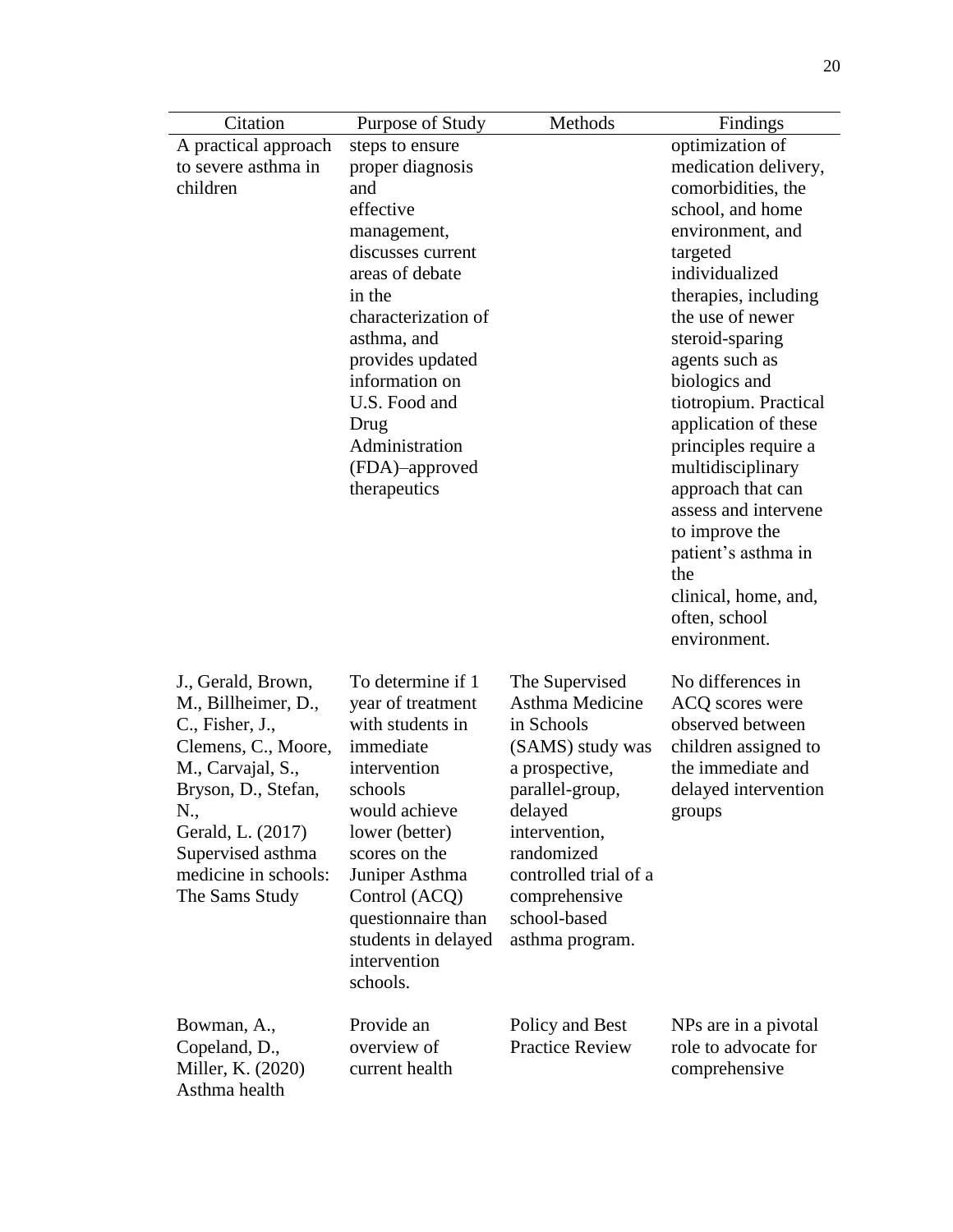| Citation             | Purpose of Study    | Methods                | Findings              |
|----------------------|---------------------|------------------------|-----------------------|
| A practical approach | steps to ensure     |                        | optimization of       |
| to severe asthma in  | proper diagnosis    |                        | medication delivery,  |
| children             | and                 |                        | comorbidities, the    |
|                      | effective           |                        | school, and home      |
|                      | management,         |                        | environment, and      |
|                      | discusses current   |                        | targeted              |
|                      | areas of debate     |                        | individualized        |
|                      | in the              |                        | therapies, including  |
|                      | characterization of |                        | the use of newer      |
|                      | asthma, and         |                        | steroid-sparing       |
|                      | provides updated    |                        | agents such as        |
|                      | information on      |                        | biologics and         |
|                      | U.S. Food and       |                        | tiotropium. Practical |
|                      | Drug                |                        | application of these  |
|                      | Administration      |                        | principles require a  |
|                      | (FDA)-approved      |                        | multidisciplinary     |
|                      | therapeutics        |                        | approach that can     |
|                      |                     |                        | assess and intervene  |
|                      |                     |                        | to improve the        |
|                      |                     |                        | patient's asthma in   |
|                      |                     |                        | the                   |
|                      |                     |                        | clinical, home, and,  |
|                      |                     |                        | often, school         |
|                      |                     |                        | environment.          |
|                      |                     |                        |                       |
| J., Gerald, Brown,   | To determine if 1   | The Supervised         | No differences in     |
| M., Billheimer, D.,  | year of treatment   | Asthma Medicine        | ACQ scores were       |
| C., Fisher, J.,      | with students in    | in Schools             | observed between      |
| Clemens, C., Moore,  | immediate           | (SAMS) study was       | children assigned to  |
| M., Carvajal, S.,    | intervention        | a prospective,         | the immediate and     |
| Bryson, D., Stefan,  | schools             | parallel-group,        | delayed intervention  |
| N.,                  | would achieve       | delayed                | groups                |
| Gerald, L. (2017)    | lower (better)      | intervention,          |                       |
| Supervised asthma    | scores on the       | randomized             |                       |
| medicine in schools: | Juniper Asthma      | controlled trial of a  |                       |
| The Sams Study       | Control (ACQ)       | comprehensive          |                       |
|                      | questionnaire than  | school-based           |                       |
|                      | students in delayed | asthma program.        |                       |
|                      | intervention        |                        |                       |
|                      | schools.            |                        |                       |
|                      |                     |                        |                       |
| Bowman, A.,          | Provide an          | Policy and Best        | NPs are in a pivotal  |
| Copeland, D.,        | overview of         | <b>Practice Review</b> | role to advocate for  |
| Miller, K. (2020)    | current health      |                        | comprehensive         |
| Asthma health        |                     |                        |                       |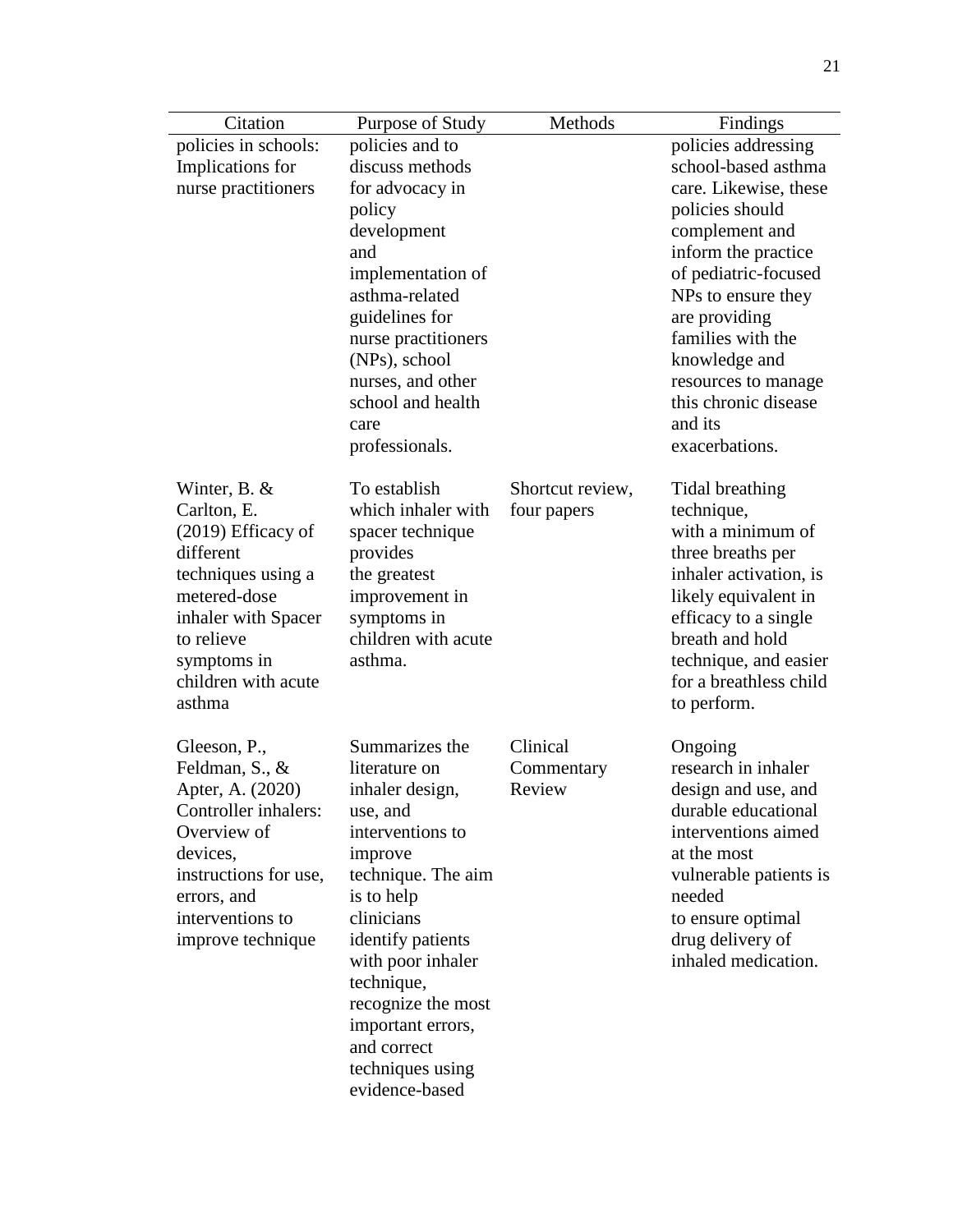| Citation                           | Purpose of Study                       | Methods          | Findings                                        |
|------------------------------------|----------------------------------------|------------------|-------------------------------------------------|
| policies in schools:               | policies and to                        |                  | policies addressing                             |
| Implications for                   | discuss methods                        |                  | school-based asthma                             |
| nurse practitioners                | for advocacy in                        |                  | care. Likewise, these                           |
|                                    | policy                                 |                  | policies should                                 |
|                                    | development                            |                  | complement and                                  |
|                                    | and                                    |                  | inform the practice                             |
|                                    | implementation of                      |                  | of pediatric-focused                            |
|                                    | asthma-related                         |                  | NPs to ensure they                              |
|                                    | guidelines for                         |                  | are providing                                   |
|                                    | nurse practitioners                    |                  | families with the                               |
|                                    | (NPs), school                          |                  | knowledge and                                   |
|                                    | nurses, and other<br>school and health |                  | resources to manage<br>this chronic disease     |
|                                    | care                                   |                  | and its                                         |
|                                    | professionals.                         |                  | exacerbations.                                  |
|                                    |                                        |                  |                                                 |
| Winter, B. $&$                     | To establish                           | Shortcut review, | Tidal breathing                                 |
| Carlton, E.                        | which inhaler with                     | four papers      | technique,                                      |
| (2019) Efficacy of                 | spacer technique                       |                  | with a minimum of                               |
| different                          | provides                               |                  | three breaths per                               |
| techniques using a                 | the greatest                           |                  | inhaler activation, is                          |
| metered-dose                       | improvement in                         |                  | likely equivalent in                            |
| inhaler with Spacer                | symptoms in                            |                  | efficacy to a single                            |
| to relieve                         | children with acute                    |                  | breath and hold                                 |
| symptoms in<br>children with acute | asthma.                                |                  | technique, and easier<br>for a breathless child |
| asthma                             |                                        |                  | to perform.                                     |
|                                    |                                        |                  |                                                 |
| Gleeson, P.,                       | Summarizes the                         | Clinical         | Ongoing                                         |
| Feldman, S., &                     | literature on                          | Commentary       | research in inhaler                             |
| Apter, A. (2020)                   | inhaler design,                        | Review           | design and use, and                             |
| Controller inhalers:               | use, and                               |                  | durable educational                             |
| Overview of                        | interventions to                       |                  | interventions aimed                             |
| devices,                           | improve                                |                  | at the most                                     |
| instructions for use,              | technique. The aim                     |                  | vulnerable patients is                          |
| errors, and                        | is to help                             |                  | needed                                          |
| interventions to                   | clinicians                             |                  | to ensure optimal                               |
| improve technique                  | identify patients                      |                  | drug delivery of                                |
|                                    | with poor inhaler                      |                  | inhaled medication.                             |
|                                    | technique,<br>recognize the most       |                  |                                                 |
|                                    | important errors,                      |                  |                                                 |
|                                    | and correct                            |                  |                                                 |
|                                    | techniques using                       |                  |                                                 |
|                                    | evidence-based                         |                  |                                                 |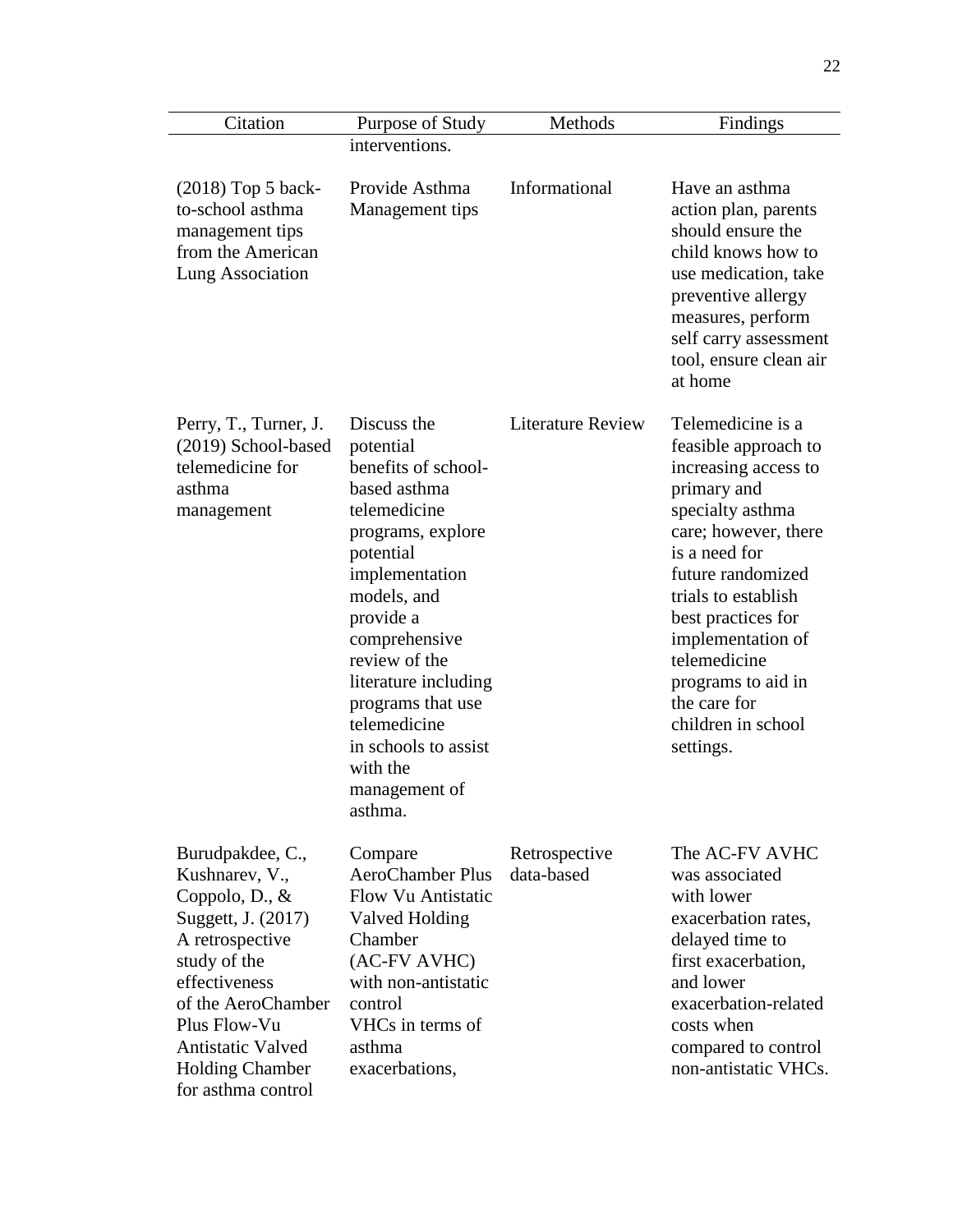| Citation                                                                                                                                                                                                                                                   | Purpose of Study                                                                                                                                                                                                                                                                                                               | Methods                     | Findings                                                                                                                                                                                                                                                                                                                      |
|------------------------------------------------------------------------------------------------------------------------------------------------------------------------------------------------------------------------------------------------------------|--------------------------------------------------------------------------------------------------------------------------------------------------------------------------------------------------------------------------------------------------------------------------------------------------------------------------------|-----------------------------|-------------------------------------------------------------------------------------------------------------------------------------------------------------------------------------------------------------------------------------------------------------------------------------------------------------------------------|
|                                                                                                                                                                                                                                                            | interventions.                                                                                                                                                                                                                                                                                                                 |                             |                                                                                                                                                                                                                                                                                                                               |
| (2018) Top 5 back-<br>to-school asthma<br>management tips<br>from the American<br><b>Lung Association</b>                                                                                                                                                  | Provide Asthma<br>Management tips                                                                                                                                                                                                                                                                                              | Informational               | Have an asthma<br>action plan, parents<br>should ensure the<br>child knows how to<br>use medication, take<br>preventive allergy<br>measures, perform<br>self carry assessment<br>tool, ensure clean air<br>at home                                                                                                            |
| Perry, T., Turner, J.<br>(2019) School-based<br>telemedicine for<br>asthma<br>management                                                                                                                                                                   | Discuss the<br>potential<br>benefits of school-<br>based asthma<br>telemedicine<br>programs, explore<br>potential<br>implementation<br>models, and<br>provide a<br>comprehensive<br>review of the<br>literature including<br>programs that use<br>telemedicine<br>in schools to assist<br>with the<br>management of<br>asthma. | <b>Literature Review</b>    | Telemedicine is a<br>feasible approach to<br>increasing access to<br>primary and<br>specialty asthma<br>care; however, there<br>is a need for<br>future randomized<br>trials to establish<br>best practices for<br>implementation of<br>telemedicine<br>programs to aid in<br>the care for<br>children in school<br>settings. |
| Burudpakdee, C.,<br>Kushnarev, V.,<br>Coppolo, $D_{\cdot}, \&$<br>Suggett, J. (2017)<br>A retrospective<br>study of the<br>effectiveness<br>of the AeroChamber<br>Plus Flow-Vu<br><b>Antistatic Valved</b><br><b>Holding Chamber</b><br>for asthma control | Compare<br><b>AeroChamber Plus</b><br>Flow Vu Antistatic<br>Valved Holding<br>Chamber<br>(AC-FV AVHC)<br>with non-antistatic<br>control<br>VHCs in terms of<br>asthma<br>exacerbations,                                                                                                                                        | Retrospective<br>data-based | The AC-FV AVHC<br>was associated<br>with lower<br>exacerbation rates,<br>delayed time to<br>first exacerbation,<br>and lower<br>exacerbation-related<br>costs when<br>compared to control<br>non-antistatic VHCs.                                                                                                             |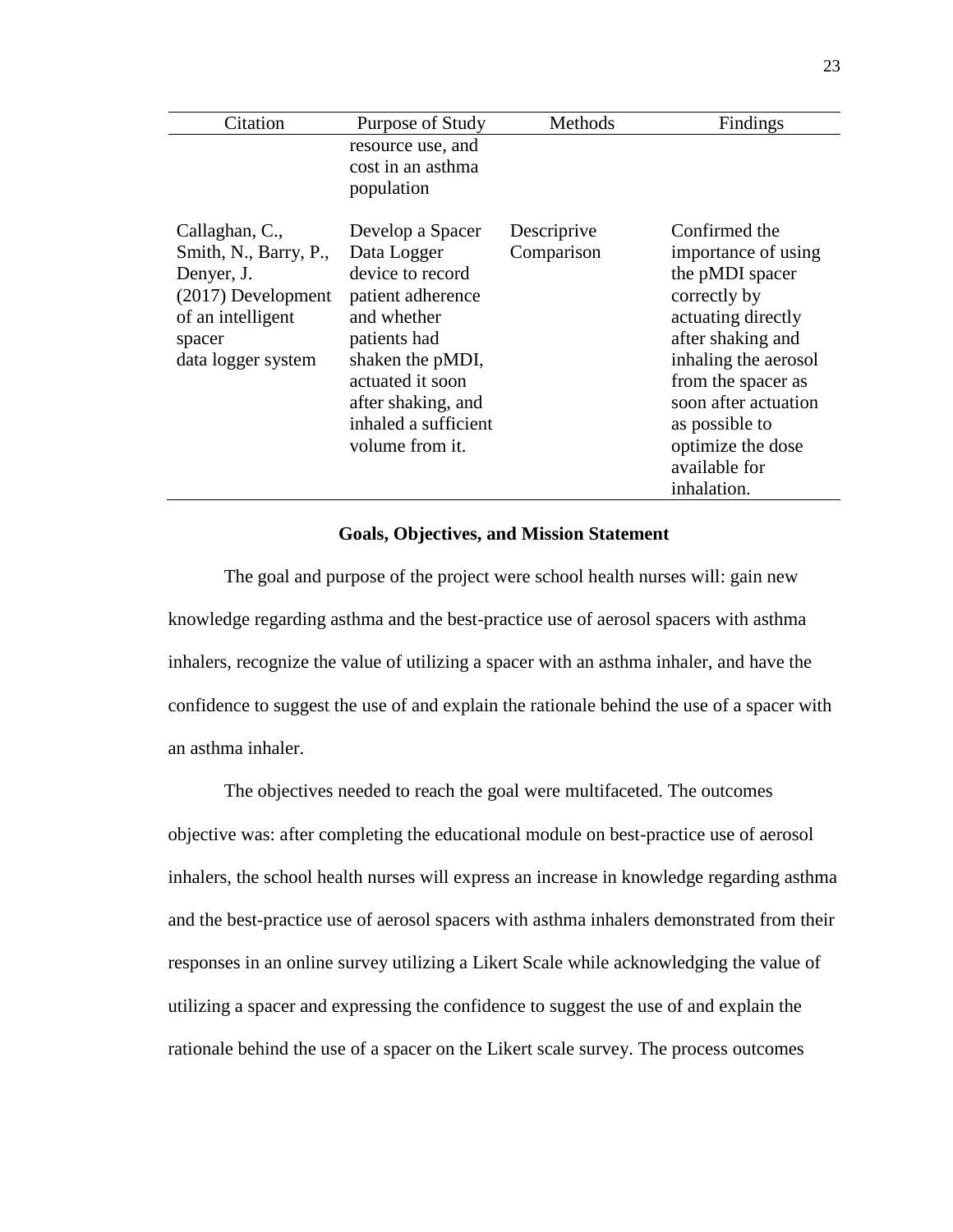| Citation                                                                                                                         | Purpose of Study                                                                                                                                                                                                 | Methods                   | Findings                                                                                                                                                                                                                                                        |
|----------------------------------------------------------------------------------------------------------------------------------|------------------------------------------------------------------------------------------------------------------------------------------------------------------------------------------------------------------|---------------------------|-----------------------------------------------------------------------------------------------------------------------------------------------------------------------------------------------------------------------------------------------------------------|
|                                                                                                                                  | resource use, and<br>cost in an asthma<br>population                                                                                                                                                             |                           |                                                                                                                                                                                                                                                                 |
| Callaghan, C.,<br>Smith, N., Barry, P.,<br>Denyer, J.<br>(2017) Development<br>of an intelligent<br>spacer<br>data logger system | Develop a Spacer<br>Data Logger<br>device to record<br>patient adherence<br>and whether<br>patients had<br>shaken the pMDI,<br>actuated it soon<br>after shaking, and<br>inhaled a sufficient<br>volume from it. | Descriprive<br>Comparison | Confirmed the<br>importance of using<br>the pMDI spacer<br>correctly by<br>actuating directly<br>after shaking and<br>inhaling the aerosol<br>from the spacer as<br>soon after actuation<br>as possible to<br>optimize the dose<br>available for<br>inhalation. |

#### **Goals, Objectives, and Mission Statement**

The goal and purpose of the project were school health nurses will: gain new knowledge regarding asthma and the best-practice use of aerosol spacers with asthma inhalers, recognize the value of utilizing a spacer with an asthma inhaler, and have the confidence to suggest the use of and explain the rationale behind the use of a spacer with an asthma inhaler.

The objectives needed to reach the goal were multifaceted. The outcomes objective was: after completing the educational module on best-practice use of aerosol inhalers, the school health nurses will express an increase in knowledge regarding asthma and the best-practice use of aerosol spacers with asthma inhalers demonstrated from their responses in an online survey utilizing a Likert Scale while acknowledging the value of utilizing a spacer and expressing the confidence to suggest the use of and explain the rationale behind the use of a spacer on the Likert scale survey. The process outcomes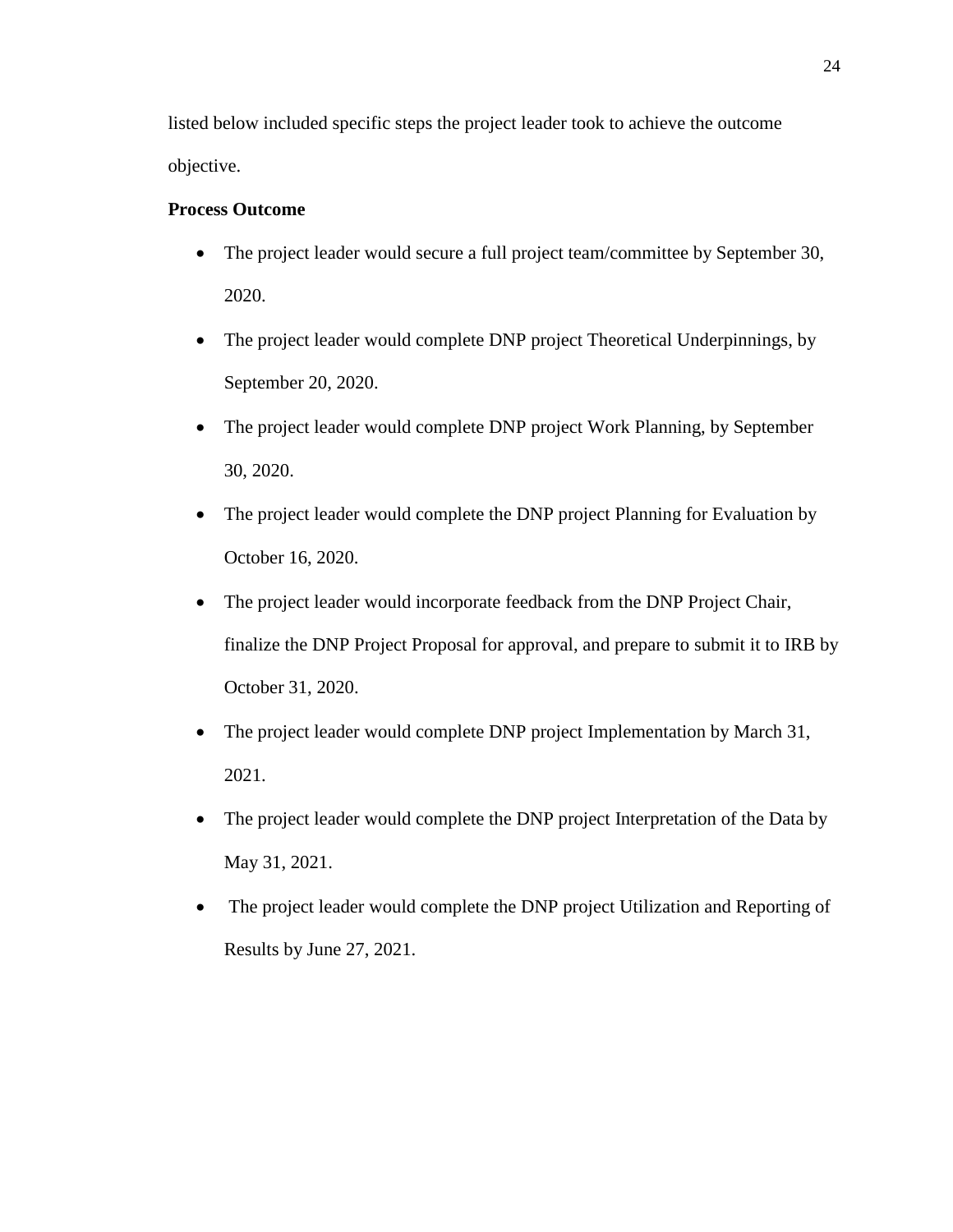listed below included specific steps the project leader took to achieve the outcome objective.

#### **Process Outcome**

- The project leader would secure a full project team/committee by September 30, 2020.
- The project leader would complete DNP project Theoretical Underpinnings, by September 20, 2020.
- The project leader would complete DNP project Work Planning, by September 30, 2020.
- The project leader would complete the DNP project Planning for Evaluation by October 16, 2020.
- The project leader would incorporate feedback from the DNP Project Chair, finalize the DNP Project Proposal for approval, and prepare to submit it to IRB by October 31, 2020.
- The project leader would complete DNP project Implementation by March 31, 2021.
- The project leader would complete the DNP project Interpretation of the Data by May 31, 2021.
- The project leader would complete the DNP project Utilization and Reporting of Results by June 27, 2021.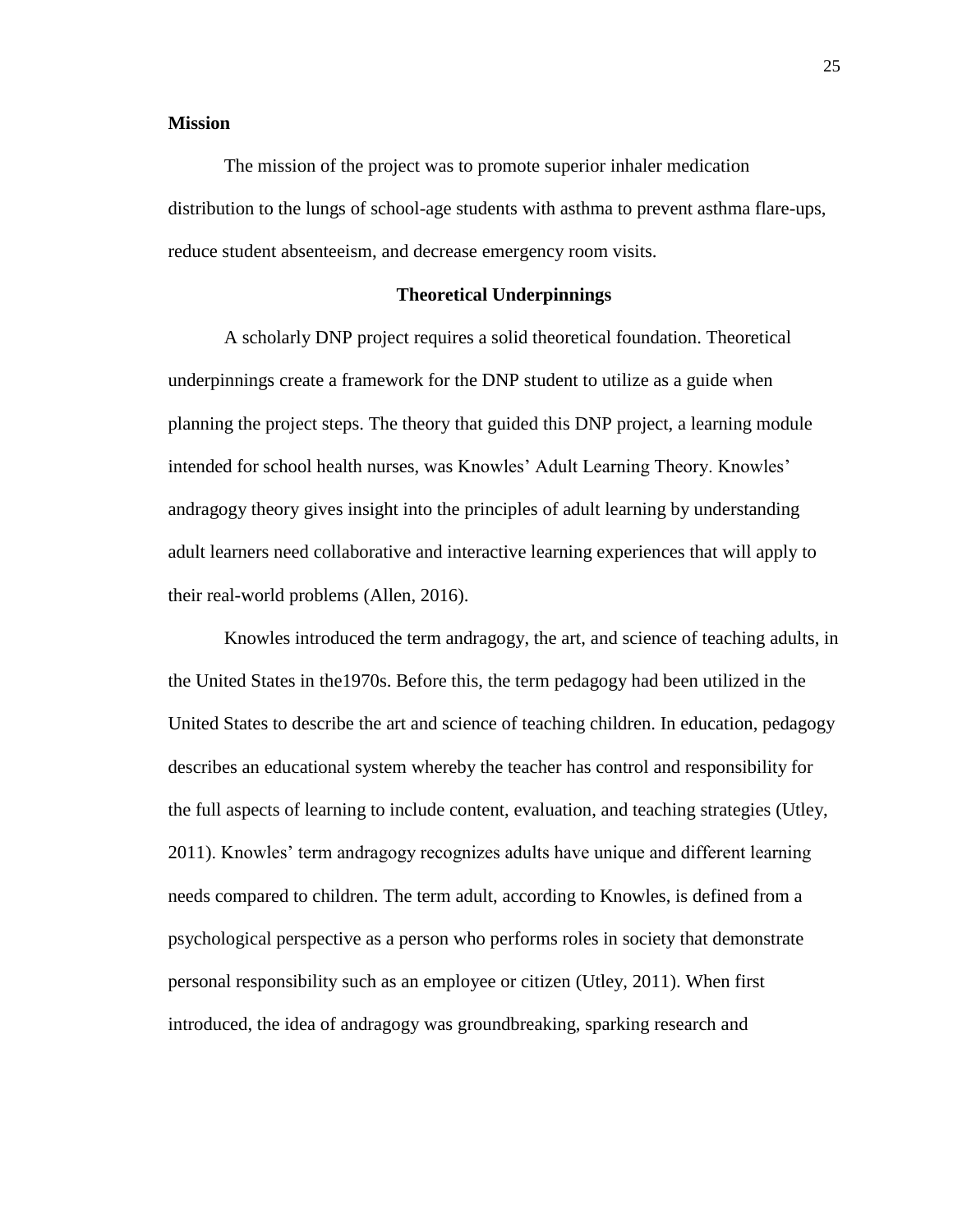#### **Mission**

The mission of the project was to promote superior inhaler medication distribution to the lungs of school-age students with asthma to prevent asthma flare-ups, reduce student absenteeism, and decrease emergency room visits.

#### **Theoretical Underpinnings**

A scholarly DNP project requires a solid theoretical foundation. Theoretical underpinnings create a framework for the DNP student to utilize as a guide when planning the project steps. The theory that guided this DNP project, a learning module intended for school health nurses, was Knowles' Adult Learning Theory. Knowles' andragogy theory gives insight into the principles of adult learning by understanding adult learners need collaborative and interactive learning experiences that will apply to their real-world problems (Allen, 2016).

Knowles introduced the term andragogy, the art, and science of teaching adults, in the United States in the1970s. Before this, the term pedagogy had been utilized in the United States to describe the art and science of teaching children. In education, pedagogy describes an educational system whereby the teacher has control and responsibility for the full aspects of learning to include content, evaluation, and teaching strategies (Utley, 2011). Knowles' term andragogy recognizes adults have unique and different learning needs compared to children. The term adult, according to Knowles, is defined from a psychological perspective as a person who performs roles in society that demonstrate personal responsibility such as an employee or citizen (Utley, 2011). When first introduced, the idea of andragogy was groundbreaking, sparking research and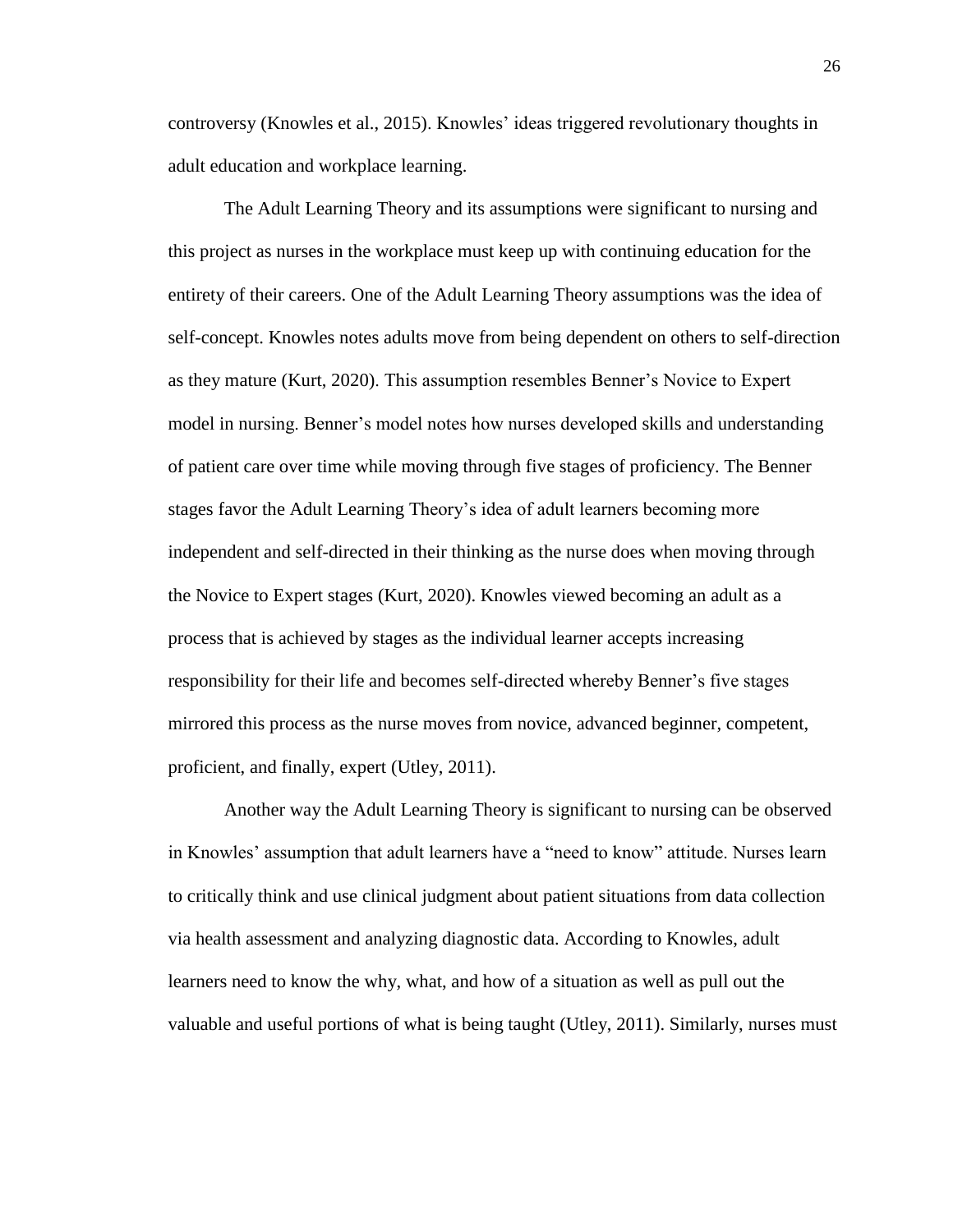controversy (Knowles et al., 2015). Knowles' ideas triggered revolutionary thoughts in adult education and workplace learning.

The Adult Learning Theory and its assumptions were significant to nursing and this project as nurses in the workplace must keep up with continuing education for the entirety of their careers. One of the Adult Learning Theory assumptions was the idea of self-concept. Knowles notes adults move from being dependent on others to self-direction as they mature (Kurt, 2020). This assumption resembles Benner's Novice to Expert model in nursing. Benner's model notes how nurses developed skills and understanding of patient care over time while moving through five stages of proficiency. The Benner stages favor the Adult Learning Theory's idea of adult learners becoming more independent and self-directed in their thinking as the nurse does when moving through the Novice to Expert stages (Kurt, 2020). Knowles viewed becoming an adult as a process that is achieved by stages as the individual learner accepts increasing responsibility for their life and becomes self-directed whereby Benner's five stages mirrored this process as the nurse moves from novice, advanced beginner, competent, proficient, and finally, expert (Utley, 2011).

Another way the Adult Learning Theory is significant to nursing can be observed in Knowles' assumption that adult learners have a "need to know" attitude. Nurses learn to critically think and use clinical judgment about patient situations from data collection via health assessment and analyzing diagnostic data. According to Knowles, adult learners need to know the why, what, and how of a situation as well as pull out the valuable and useful portions of what is being taught (Utley, 2011). Similarly, nurses must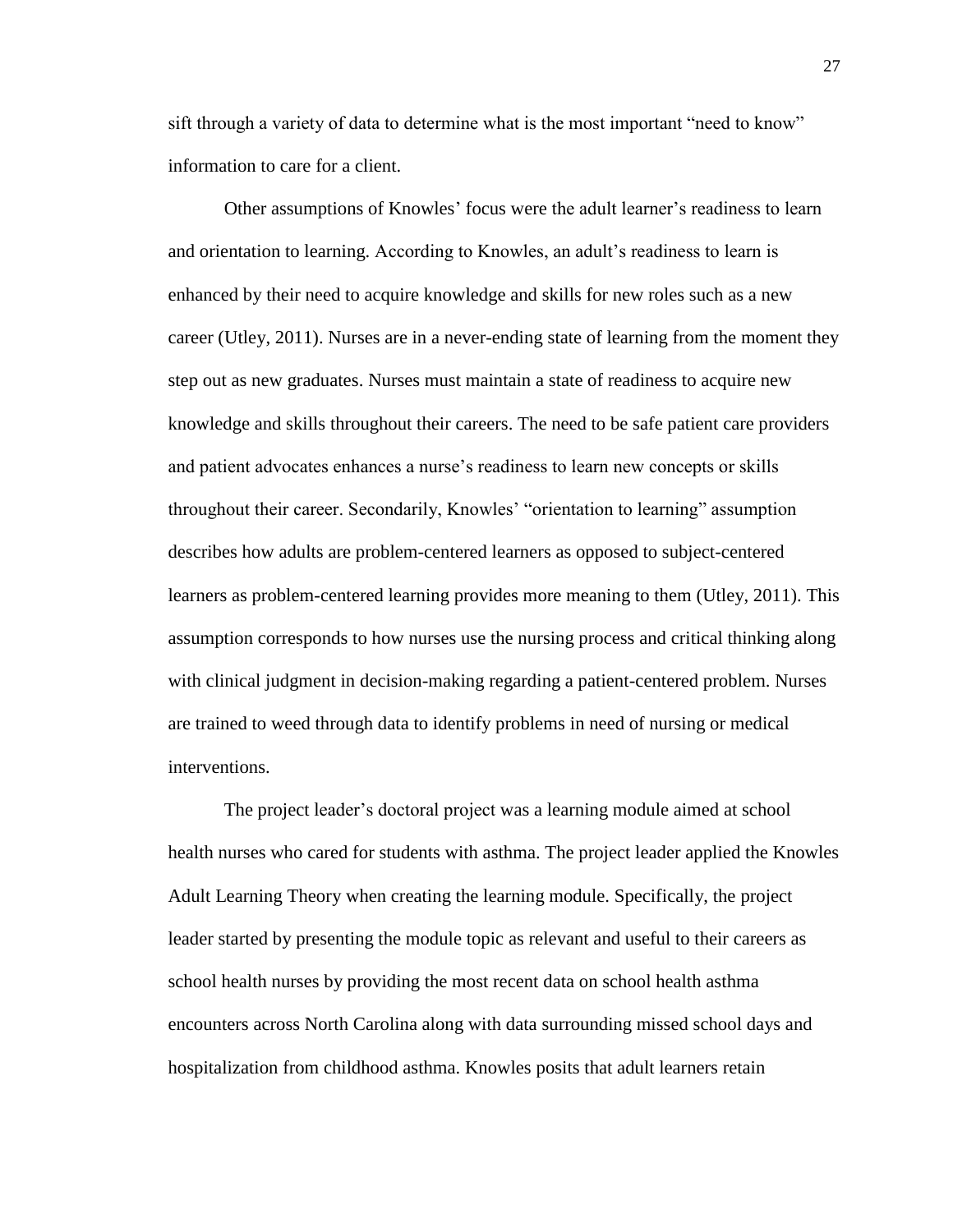sift through a variety of data to determine what is the most important "need to know" information to care for a client.

Other assumptions of Knowles' focus were the adult learner's readiness to learn and orientation to learning. According to Knowles, an adult's readiness to learn is enhanced by their need to acquire knowledge and skills for new roles such as a new career (Utley, 2011). Nurses are in a never-ending state of learning from the moment they step out as new graduates. Nurses must maintain a state of readiness to acquire new knowledge and skills throughout their careers. The need to be safe patient care providers and patient advocates enhances a nurse's readiness to learn new concepts or skills throughout their career. Secondarily, Knowles' "orientation to learning" assumption describes how adults are problem-centered learners as opposed to subject-centered learners as problem-centered learning provides more meaning to them (Utley, 2011). This assumption corresponds to how nurses use the nursing process and critical thinking along with clinical judgment in decision-making regarding a patient-centered problem. Nurses are trained to weed through data to identify problems in need of nursing or medical interventions.

The project leader's doctoral project was a learning module aimed at school health nurses who cared for students with asthma. The project leader applied the Knowles Adult Learning Theory when creating the learning module. Specifically, the project leader started by presenting the module topic as relevant and useful to their careers as school health nurses by providing the most recent data on school health asthma encounters across North Carolina along with data surrounding missed school days and hospitalization from childhood asthma. Knowles posits that adult learners retain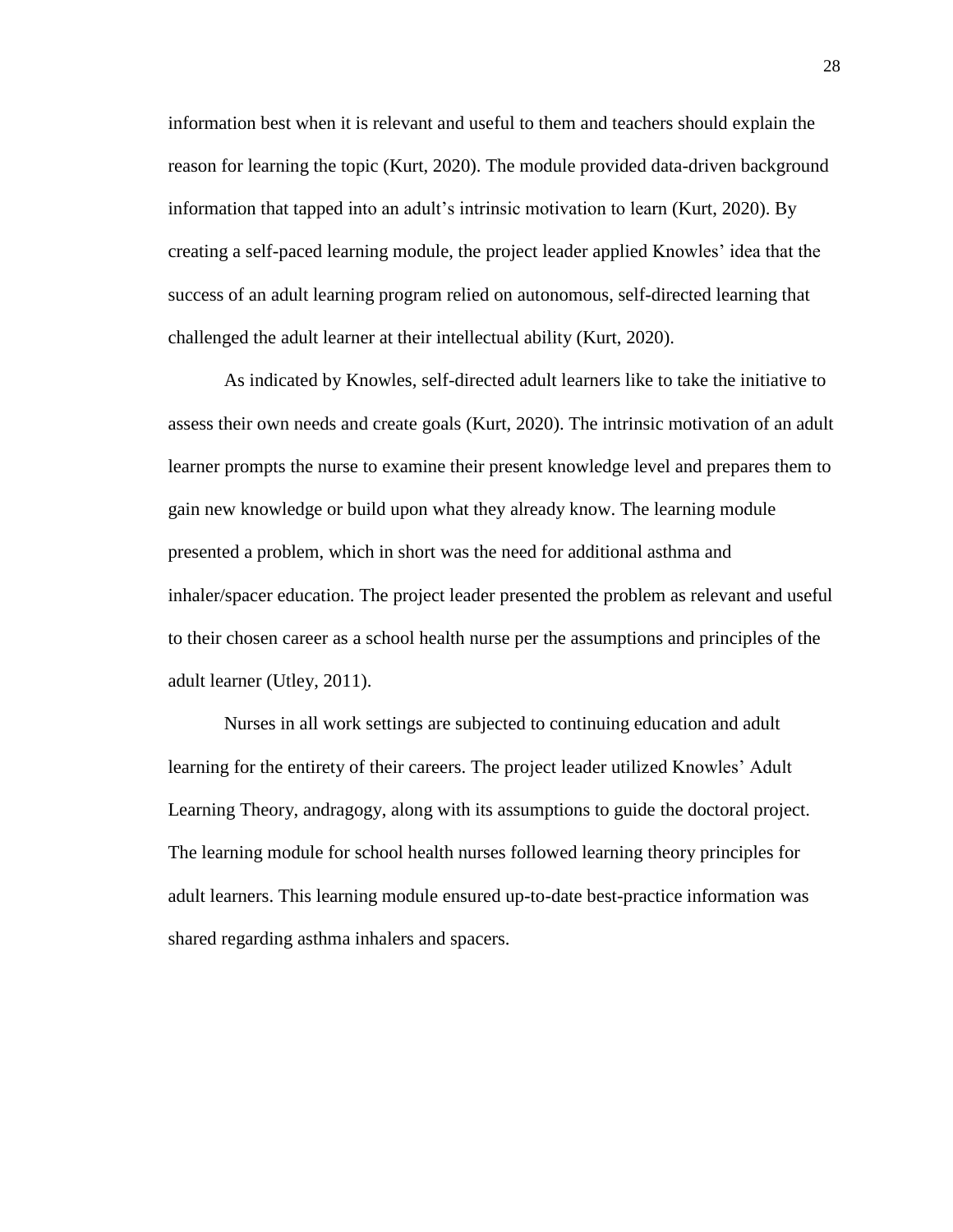information best when it is relevant and useful to them and teachers should explain the reason for learning the topic (Kurt, 2020). The module provided data-driven background information that tapped into an adult's intrinsic motivation to learn (Kurt, 2020). By creating a self-paced learning module, the project leader applied Knowles' idea that the success of an adult learning program relied on autonomous, self-directed learning that challenged the adult learner at their intellectual ability (Kurt, 2020).

As indicated by Knowles, self-directed adult learners like to take the initiative to assess their own needs and create goals (Kurt, 2020). The intrinsic motivation of an adult learner prompts the nurse to examine their present knowledge level and prepares them to gain new knowledge or build upon what they already know. The learning module presented a problem, which in short was the need for additional asthma and inhaler/spacer education. The project leader presented the problem as relevant and useful to their chosen career as a school health nurse per the assumptions and principles of the adult learner (Utley, 2011).

Nurses in all work settings are subjected to continuing education and adult learning for the entirety of their careers. The project leader utilized Knowles' Adult Learning Theory, andragogy, along with its assumptions to guide the doctoral project. The learning module for school health nurses followed learning theory principles for adult learners. This learning module ensured up-to-date best-practice information was shared regarding asthma inhalers and spacers.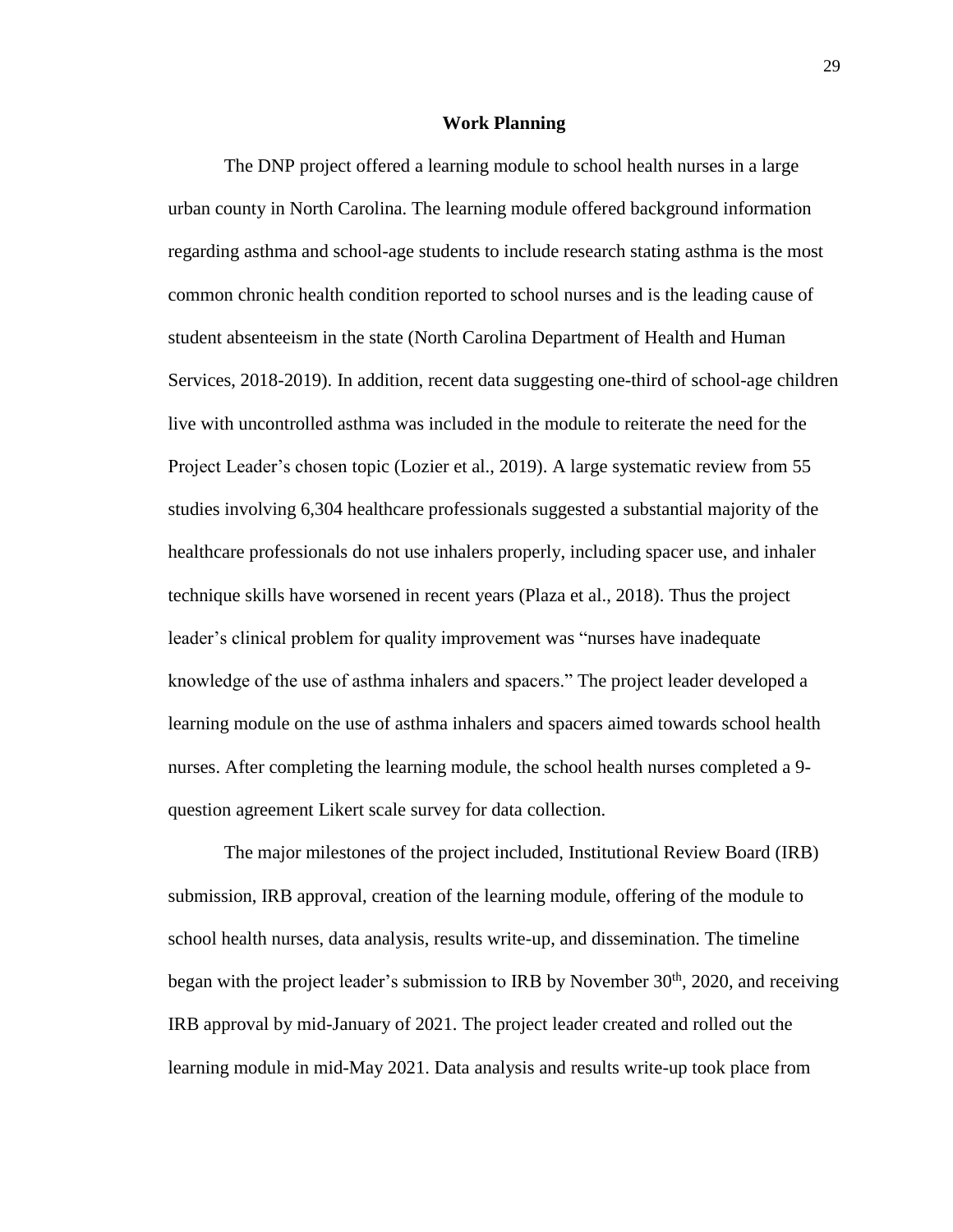#### **Work Planning**

The DNP project offered a learning module to school health nurses in a large urban county in North Carolina. The learning module offered background information regarding asthma and school-age students to include research stating asthma is the most common chronic health condition reported to school nurses and is the leading cause of student absenteeism in the state (North Carolina Department of Health and Human Services, 2018-2019). In addition, recent data suggesting one-third of school-age children live with uncontrolled asthma was included in the module to reiterate the need for the Project Leader's chosen topic (Lozier et al., 2019). A large systematic review from 55 studies involving 6,304 healthcare professionals suggested a substantial majority of the healthcare professionals do not use inhalers properly, including spacer use, and inhaler technique skills have worsened in recent years (Plaza et al., 2018). Thus the project leader's clinical problem for quality improvement was "nurses have inadequate knowledge of the use of asthma inhalers and spacers." The project leader developed a learning module on the use of asthma inhalers and spacers aimed towards school health nurses. After completing the learning module, the school health nurses completed a 9 question agreement Likert scale survey for data collection.

The major milestones of the project included, Institutional Review Board (IRB) submission, IRB approval, creation of the learning module, offering of the module to school health nurses, data analysis, results write-up, and dissemination. The timeline began with the project leader's submission to IRB by November  $30<sup>th</sup>$ , 2020, and receiving IRB approval by mid-January of 2021. The project leader created and rolled out the learning module in mid-May 2021. Data analysis and results write-up took place from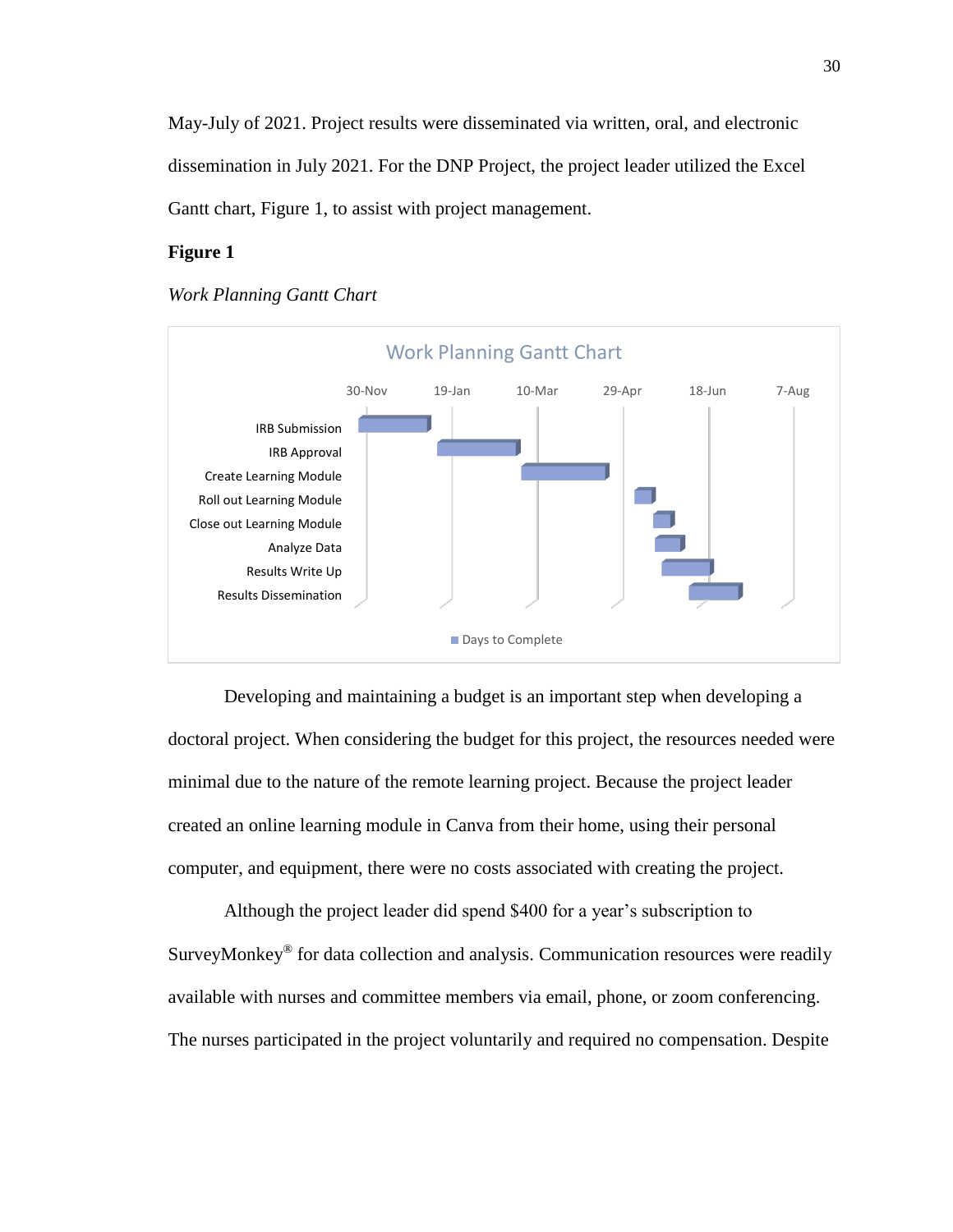May-July of 2021. Project results were disseminated via written, oral, and electronic dissemination in July 2021. For the DNP Project, the project leader utilized the Excel Gantt chart, Figure 1, to assist with project management.

#### **Figure 1**



#### *Work Planning Gantt Chart*

Developing and maintaining a budget is an important step when developing a doctoral project. When considering the budget for this project, the resources needed were minimal due to the nature of the remote learning project. Because the project leader created an online learning module in Canva from their home, using their personal computer, and equipment, there were no costs associated with creating the project.

Although the project leader did spend \$400 for a year's subscription to SurveyMonkey® for data collection and analysis. Communication resources were readily available with nurses and committee members via email, phone, or zoom conferencing. The nurses participated in the project voluntarily and required no compensation. Despite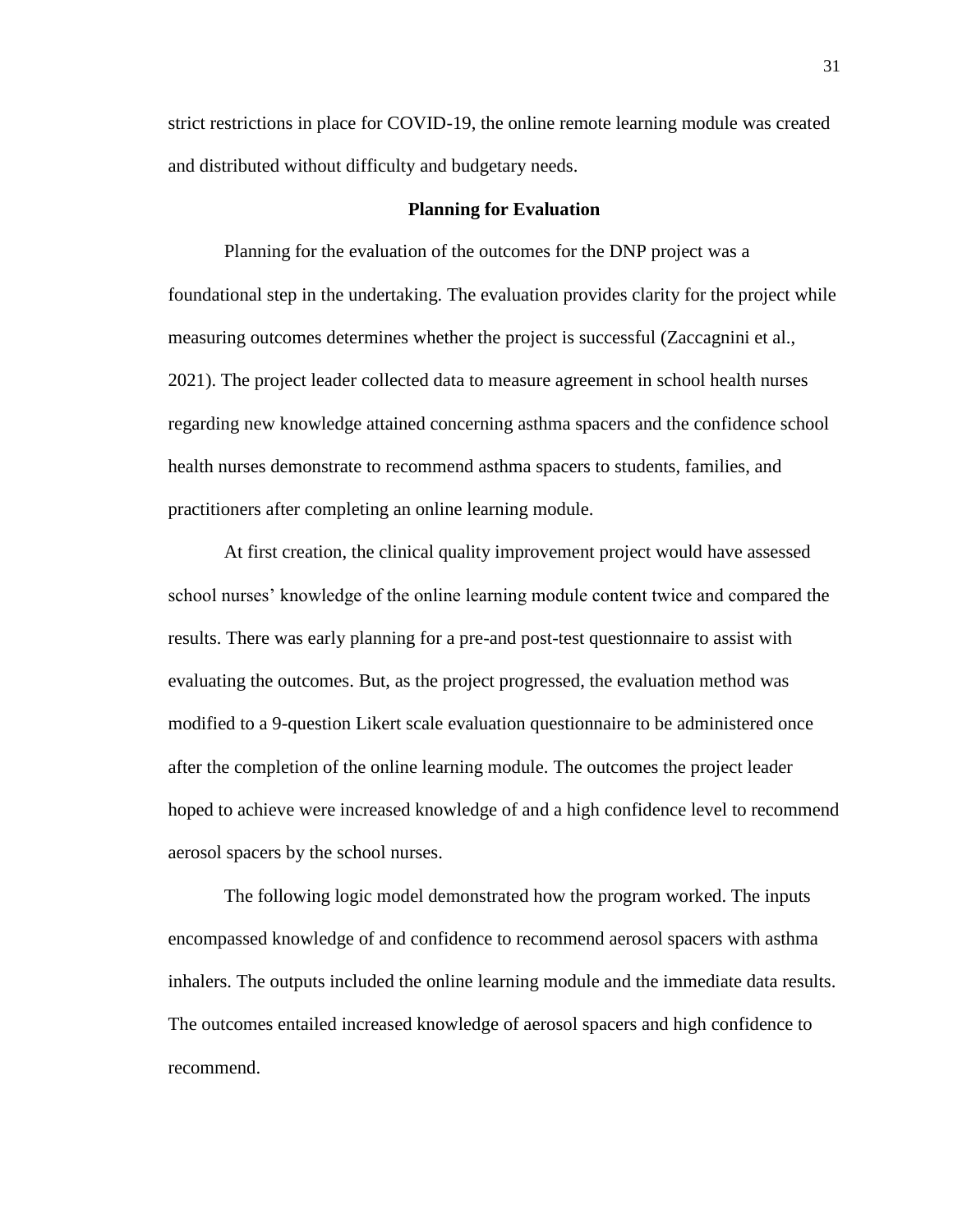strict restrictions in place for COVID-19, the online remote learning module was created and distributed without difficulty and budgetary needs.

#### **Planning for Evaluation**

Planning for the evaluation of the outcomes for the DNP project was a foundational step in the undertaking. The evaluation provides clarity for the project while measuring outcomes determines whether the project is successful (Zaccagnini et al., 2021). The project leader collected data to measure agreement in school health nurses regarding new knowledge attained concerning asthma spacers and the confidence school health nurses demonstrate to recommend asthma spacers to students, families, and practitioners after completing an online learning module.

At first creation, the clinical quality improvement project would have assessed school nurses' knowledge of the online learning module content twice and compared the results. There was early planning for a pre-and post-test questionnaire to assist with evaluating the outcomes. But, as the project progressed, the evaluation method was modified to a 9-question Likert scale evaluation questionnaire to be administered once after the completion of the online learning module. The outcomes the project leader hoped to achieve were increased knowledge of and a high confidence level to recommend aerosol spacers by the school nurses.

The following logic model demonstrated how the program worked. The inputs encompassed knowledge of and confidence to recommend aerosol spacers with asthma inhalers. The outputs included the online learning module and the immediate data results. The outcomes entailed increased knowledge of aerosol spacers and high confidence to recommend.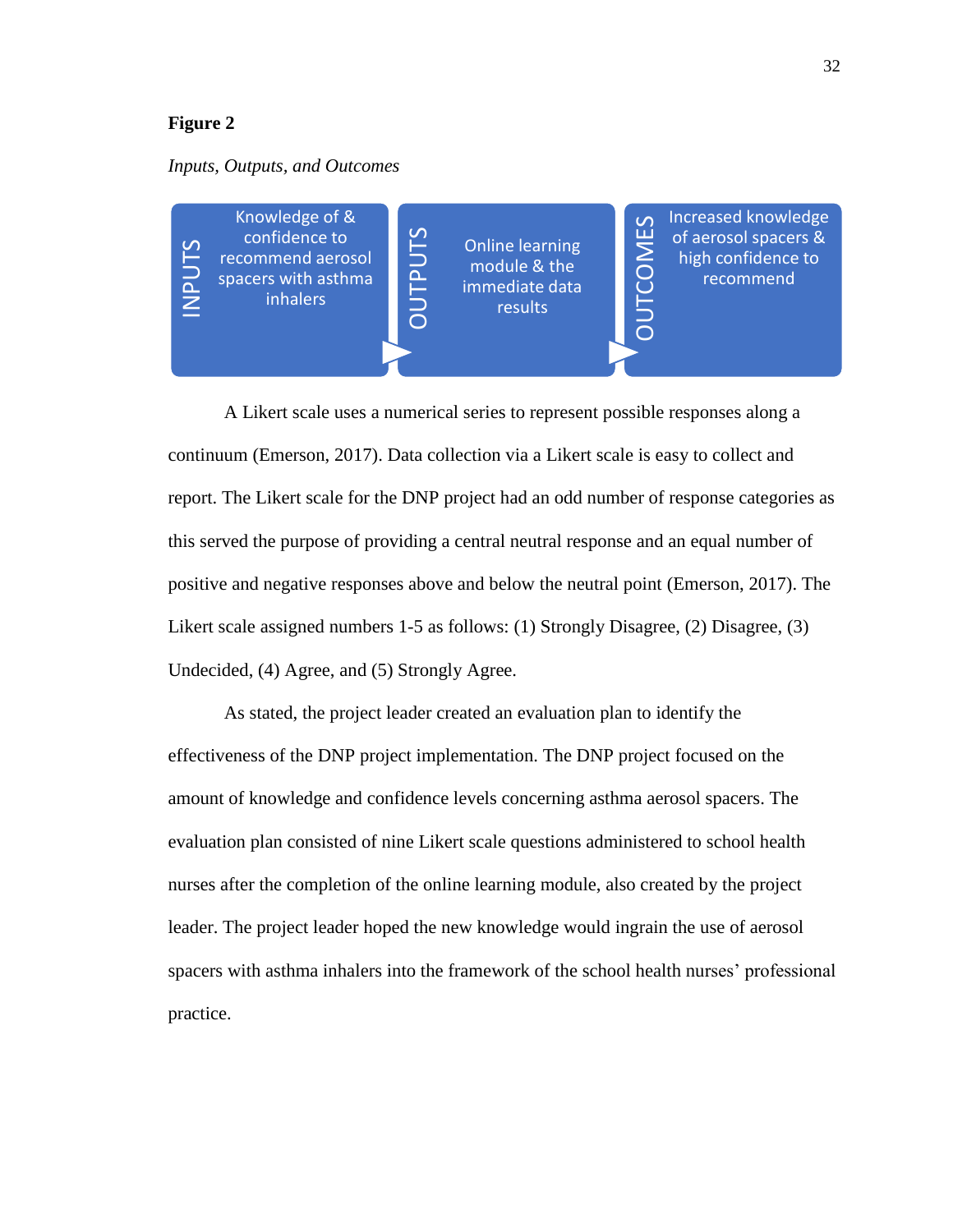#### *Inputs, Outputs, and Outcomes*



A Likert scale uses a numerical series to represent possible responses along a continuum (Emerson, 2017). Data collection via a Likert scale is easy to collect and report. The Likert scale for the DNP project had an odd number of response categories as this served the purpose of providing a central neutral response and an equal number of positive and negative responses above and below the neutral point (Emerson, 2017). The Likert scale assigned numbers 1-5 as follows: (1) Strongly Disagree, (2) Disagree, (3) Undecided, (4) Agree, and (5) Strongly Agree.

Free sp<br>
and A<br>
continuum<br>
report. Tl<br>
this serve<br>
positive a<br>
Likert sca<br>
Undecide<br>
A<br>
effectiver<br>
amount c<br>
evaluatio<br>
nurses af<br>
leader. Tl<br>
spacers w<br>
practice. As stated, the project leader created an evaluation plan to identify the effectiveness of the DNP project implementation. The DNP project focused on the amount of knowledge and confidence levels concerning asthma aerosol spacers. The evaluation plan consisted of nine Likert scale questions administered to school health nurses after the completion of the online learning module, also created by the project leader. The project leader hoped the new knowledge would ingrain the use of aerosol spacers with asthma inhalers into the framework of the school health nurses' professional practice.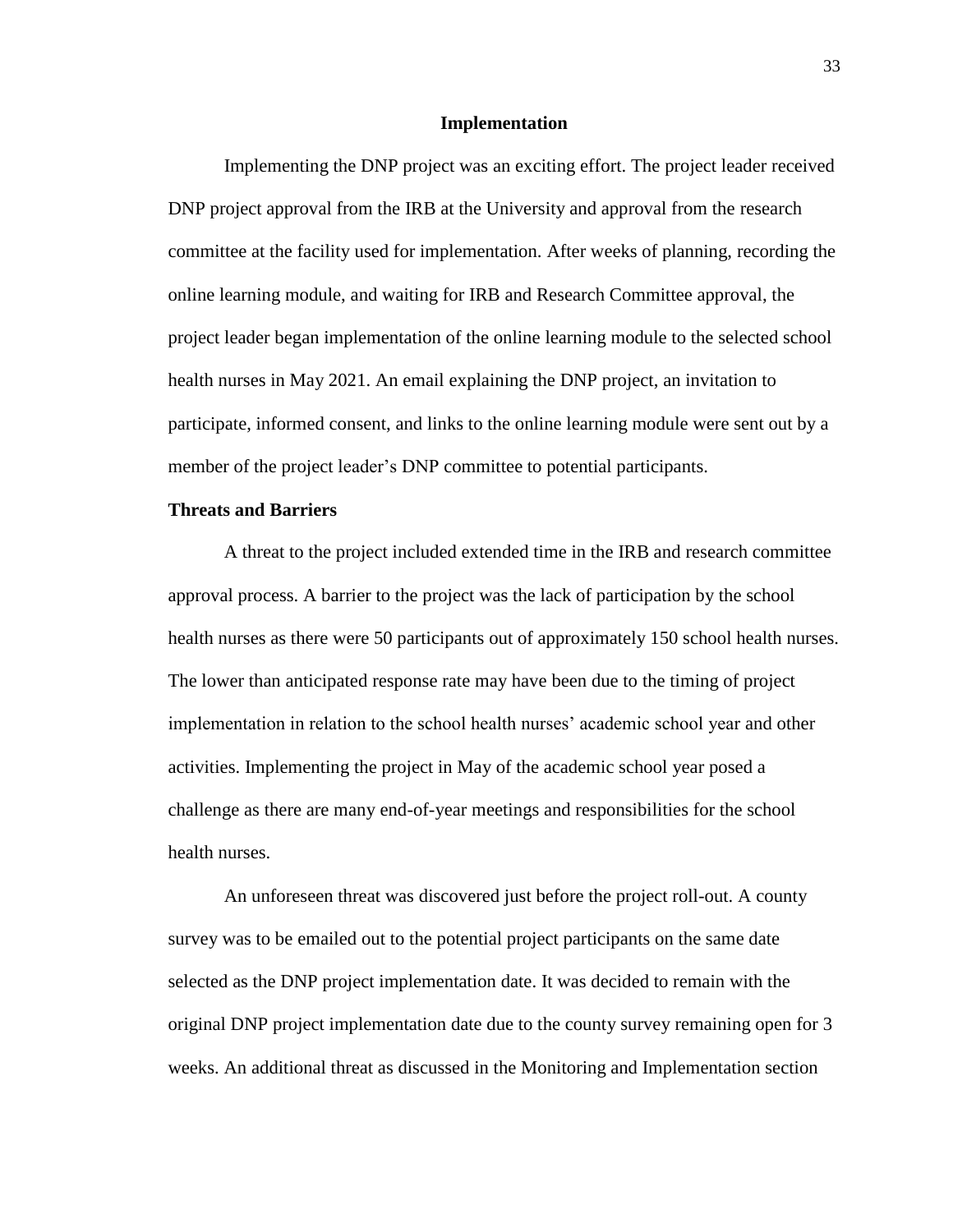#### **Implementation**

Implementing the DNP project was an exciting effort. The project leader received DNP project approval from the IRB at the University and approval from the research committee at the facility used for implementation. After weeks of planning, recording the online learning module, and waiting for IRB and Research Committee approval, the project leader began implementation of the online learning module to the selected school health nurses in May 2021. An email explaining the DNP project, an invitation to participate, informed consent, and links to the online learning module were sent out by a member of the project leader's DNP committee to potential participants.

#### **Threats and Barriers**

A threat to the project included extended time in the IRB and research committee approval process. A barrier to the project was the lack of participation by the school health nurses as there were 50 participants out of approximately 150 school health nurses. The lower than anticipated response rate may have been due to the timing of project implementation in relation to the school health nurses' academic school year and other activities. Implementing the project in May of the academic school year posed a challenge as there are many end-of-year meetings and responsibilities for the school health nurses.

An unforeseen threat was discovered just before the project roll-out. A county survey was to be emailed out to the potential project participants on the same date selected as the DNP project implementation date. It was decided to remain with the original DNP project implementation date due to the county survey remaining open for 3 weeks. An additional threat as discussed in the Monitoring and Implementation section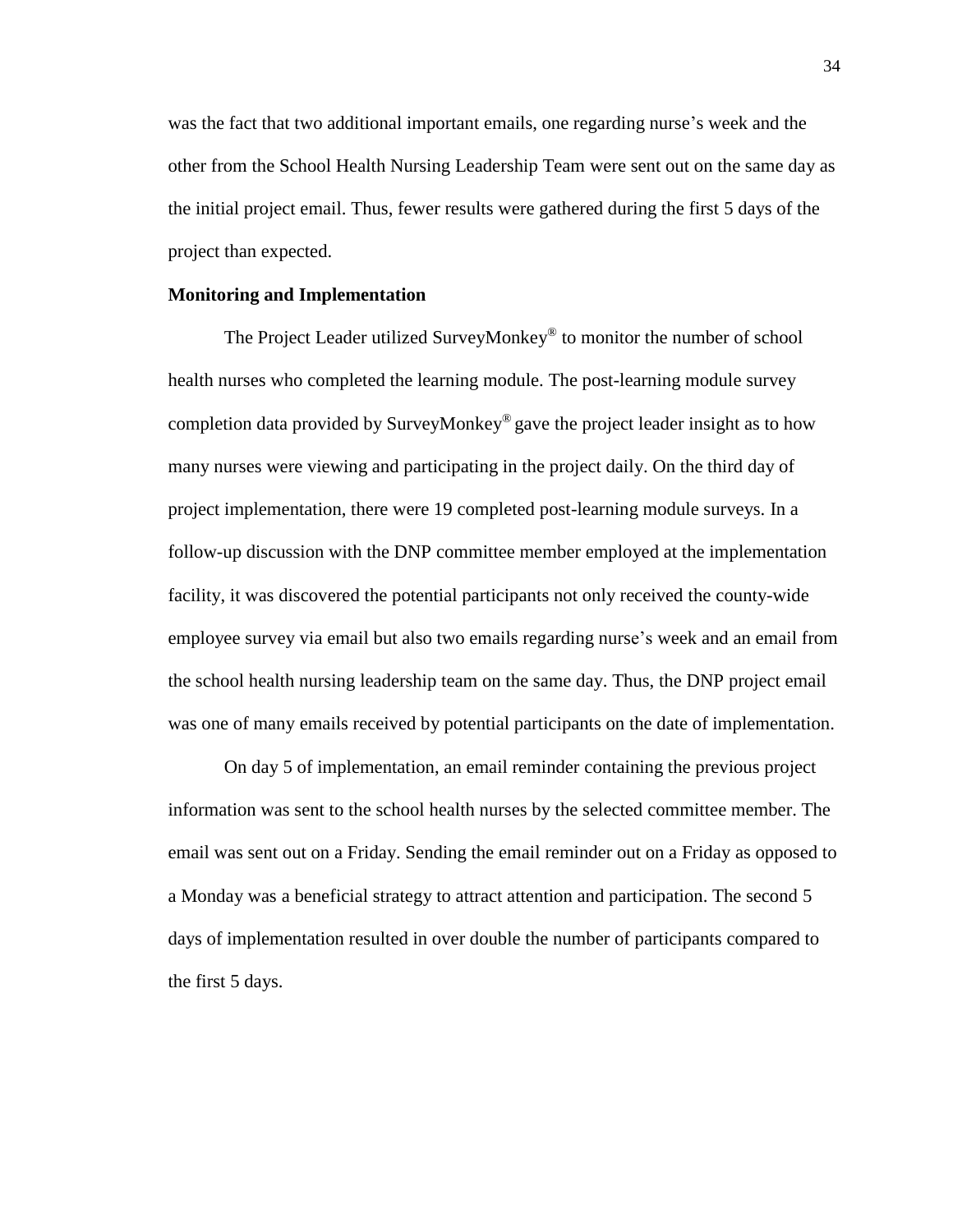was the fact that two additional important emails, one regarding nurse's week and the other from the School Health Nursing Leadership Team were sent out on the same day as the initial project email. Thus, fewer results were gathered during the first 5 days of the project than expected.

#### **Monitoring and Implementation**

The Project Leader utilized SurveyMonkey® to monitor the number of school health nurses who completed the learning module. The post-learning module survey completion data provided by SurveyMonkey® gave the project leader insight as to how many nurses were viewing and participating in the project daily. On the third day of project implementation, there were 19 completed post-learning module surveys. In a follow-up discussion with the DNP committee member employed at the implementation facility, it was discovered the potential participants not only received the county-wide employee survey via email but also two emails regarding nurse's week and an email from the school health nursing leadership team on the same day. Thus, the DNP project email was one of many emails received by potential participants on the date of implementation.

On day 5 of implementation, an email reminder containing the previous project information was sent to the school health nurses by the selected committee member. The email was sent out on a Friday. Sending the email reminder out on a Friday as opposed to a Monday was a beneficial strategy to attract attention and participation. The second 5 days of implementation resulted in over double the number of participants compared to the first 5 days.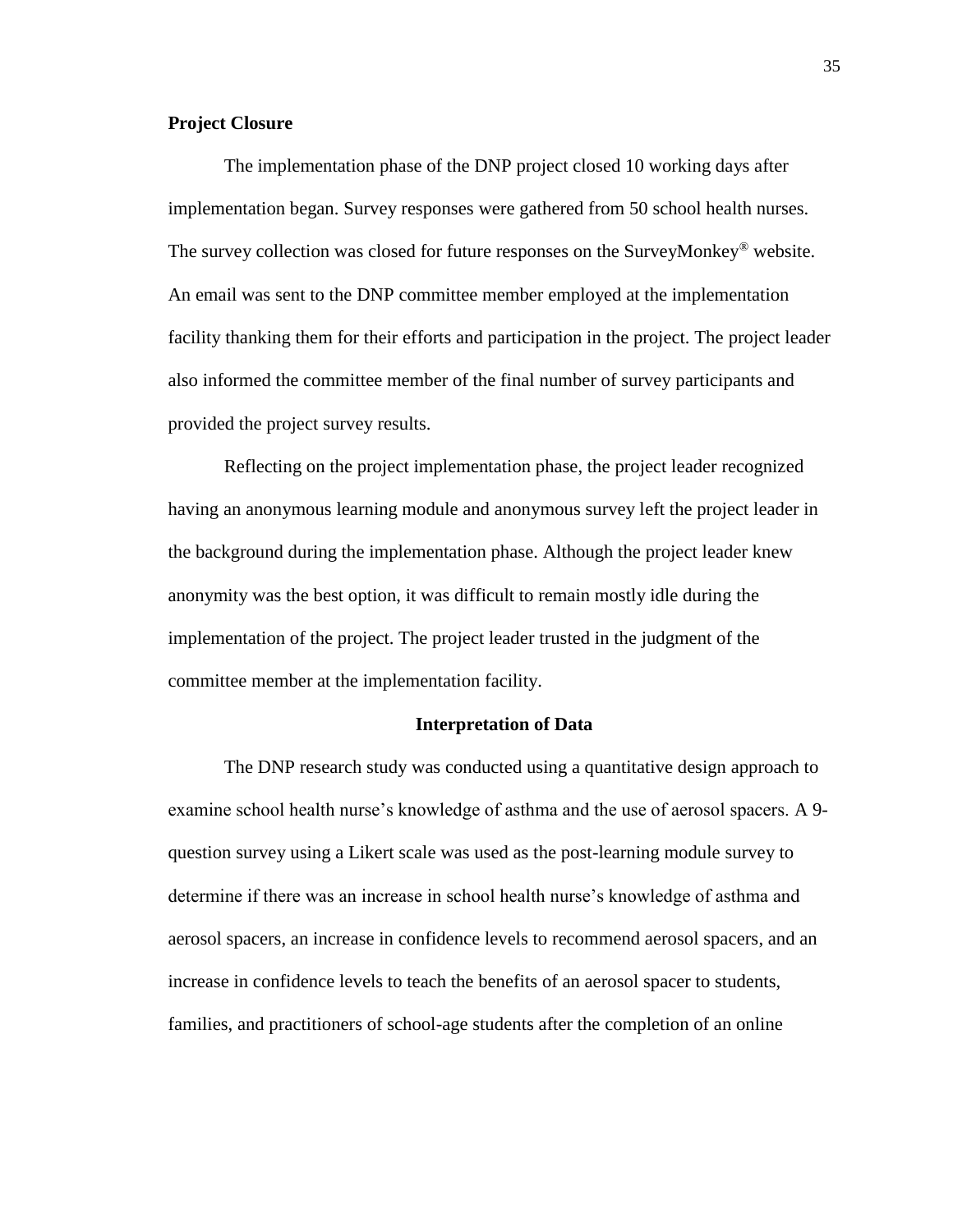#### **Project Closure**

The implementation phase of the DNP project closed 10 working days after implementation began. Survey responses were gathered from 50 school health nurses. The survey collection was closed for future responses on the SurveyMonkey<sup>®</sup> website. An email was sent to the DNP committee member employed at the implementation facility thanking them for their efforts and participation in the project. The project leader also informed the committee member of the final number of survey participants and provided the project survey results.

Reflecting on the project implementation phase, the project leader recognized having an anonymous learning module and anonymous survey left the project leader in the background during the implementation phase. Although the project leader knew anonymity was the best option, it was difficult to remain mostly idle during the implementation of the project. The project leader trusted in the judgment of the committee member at the implementation facility.

#### **Interpretation of Data**

The DNP research study was conducted using a quantitative design approach to examine school health nurse's knowledge of asthma and the use of aerosol spacers. A 9 question survey using a Likert scale was used as the post-learning module survey to determine if there was an increase in school health nurse's knowledge of asthma and aerosol spacers, an increase in confidence levels to recommend aerosol spacers, and an increase in confidence levels to teach the benefits of an aerosol spacer to students, families, and practitioners of school-age students after the completion of an online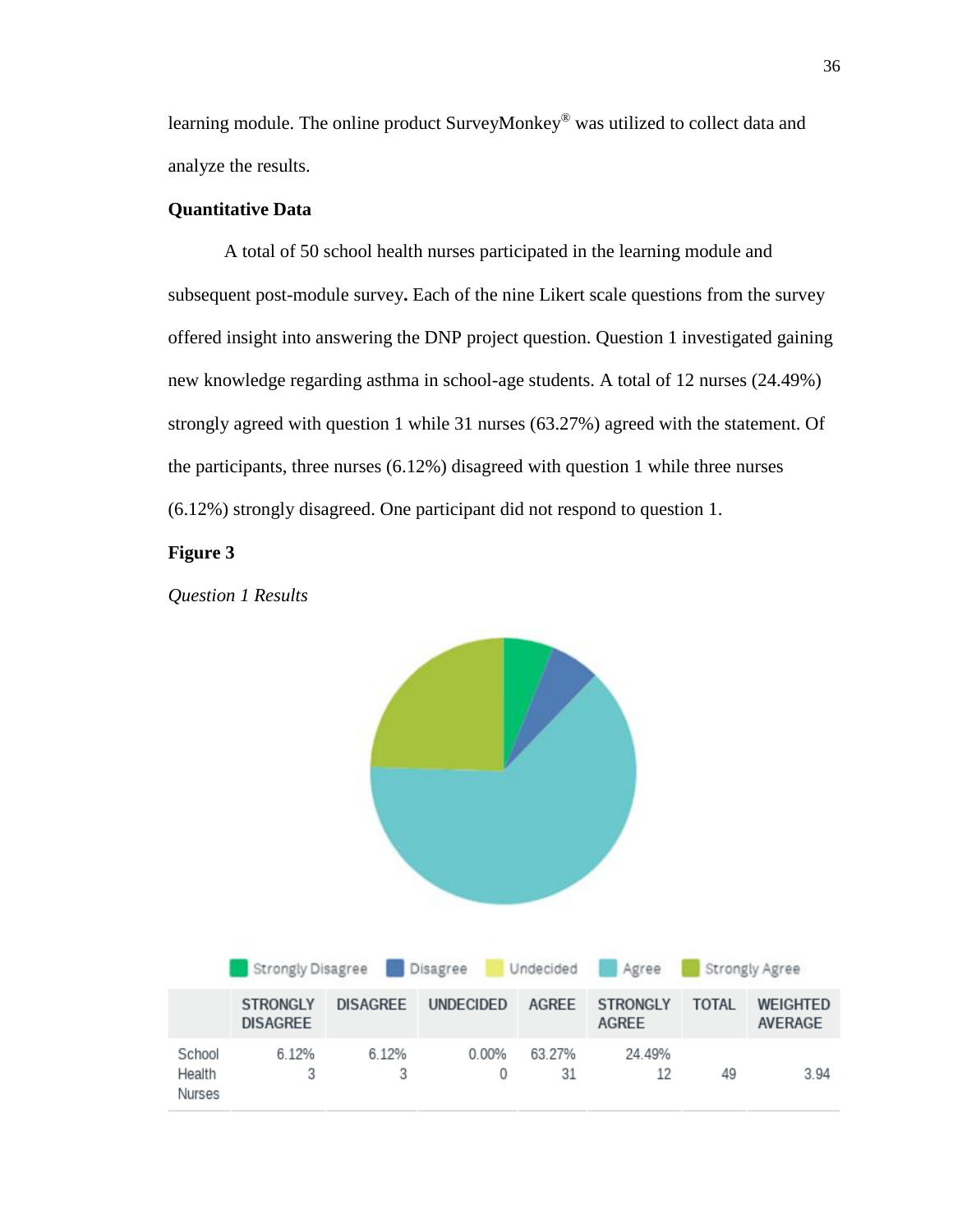learning module. The online product SurveyMonkey® was utilized to collect data and analyze the results.

#### **Quantitative Data**

A total of 50 school health nurses participated in the learning module and subsequent post-module survey**.** Each of the nine Likert scale questions from the survey offered insight into answering the DNP project question. Question 1 investigated gaining new knowledge regarding asthma in school-age students. A total of 12 nurses (24.49%) strongly agreed with question 1 while 31 nurses (63.27%) agreed with the statement. Of the participants, three nurses (6.12%) disagreed with question 1 while three nurses (6.12%) strongly disagreed. One participant did not respond to question 1.

#### **Figure 3**

*Question 1 Results*

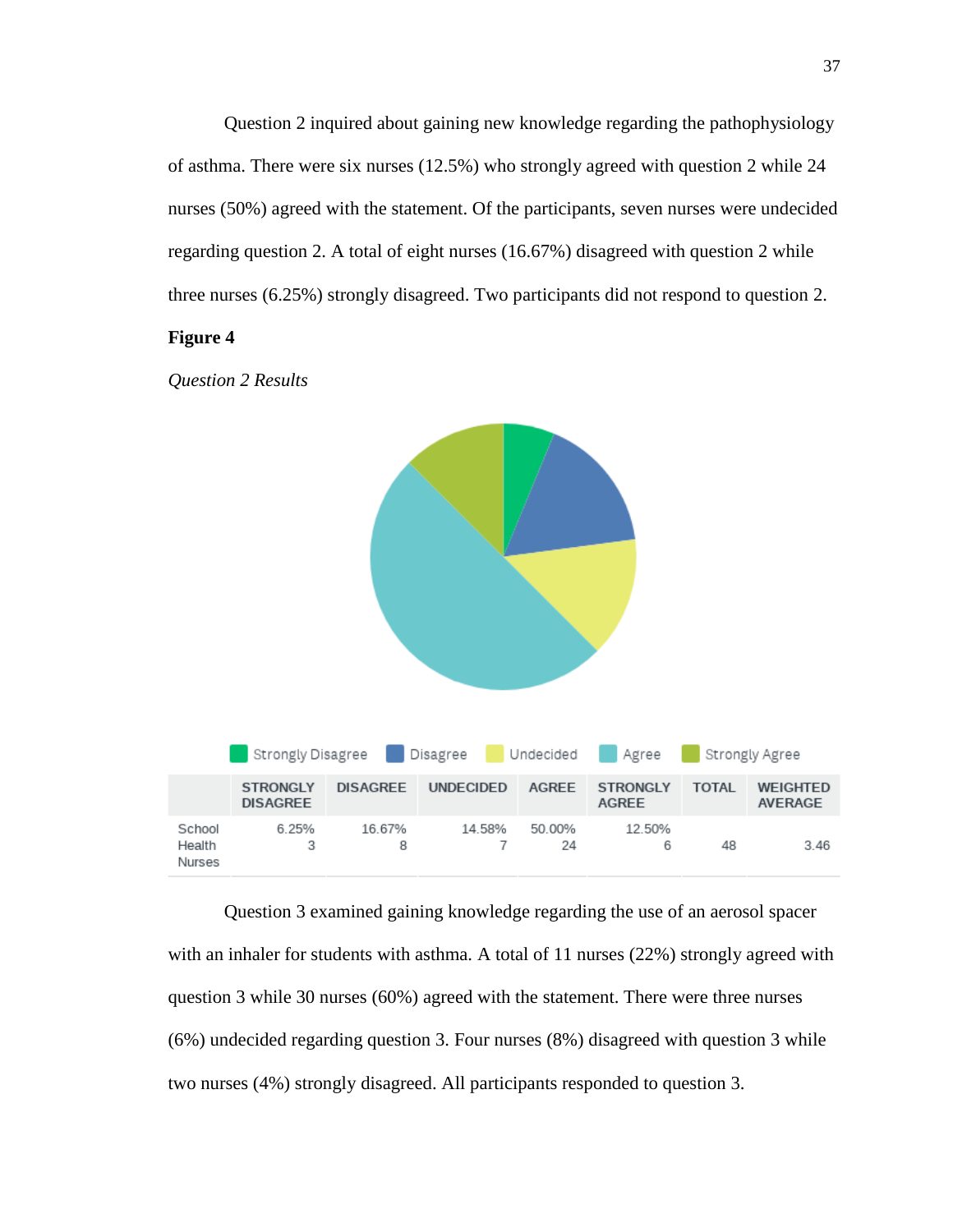Question 2 inquired about gaining new knowledge regarding the pathophysiology of asthma. There were six nurses (12.5%) who strongly agreed with question 2 while 24 nurses (50%) agreed with the statement. Of the participants, seven nurses were undecided regarding question 2. A total of eight nurses (16.67%) disagreed with question 2 while three nurses (6.25%) strongly disagreed. Two participants did not respond to question 2.

#### **Figure 4**





Question 3 examined gaining knowledge regarding the use of an aerosol spacer with an inhaler for students with asthma. A total of 11 nurses (22%) strongly agreed with question 3 while 30 nurses (60%) agreed with the statement. There were three nurses (6%) undecided regarding question 3. Four nurses (8%) disagreed with question 3 while two nurses (4%) strongly disagreed. All participants responded to question 3.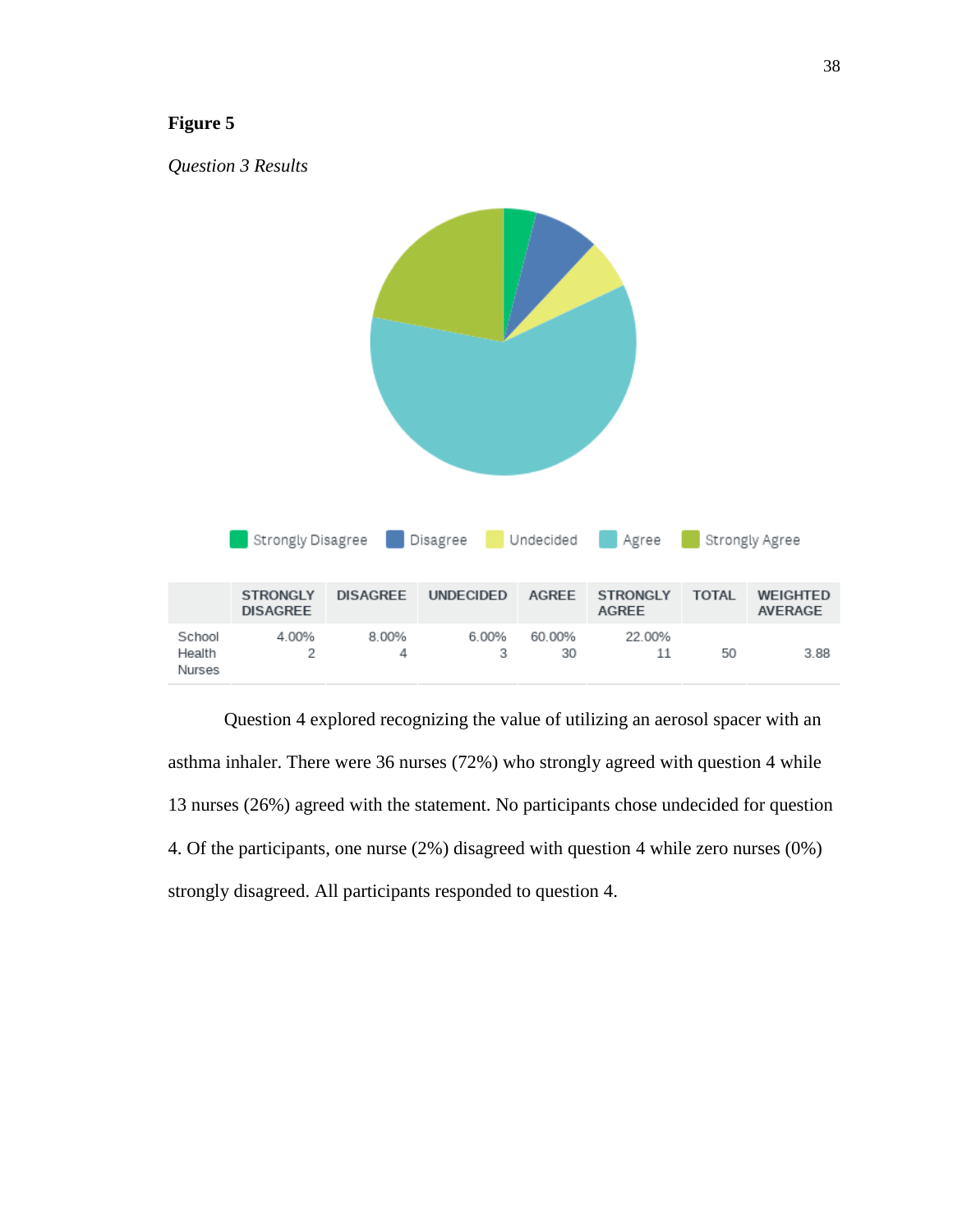

Question 4 explored recognizing the value of utilizing an aerosol spacer with an asthma inhaler. There were 36 nurses (72%) who strongly agreed with question 4 while 13 nurses (26%) agreed with the statement. No participants chose undecided for question 4. Of the participants, one nurse (2%) disagreed with question 4 while zero nurses (0%) strongly disagreed. All participants responded to question 4.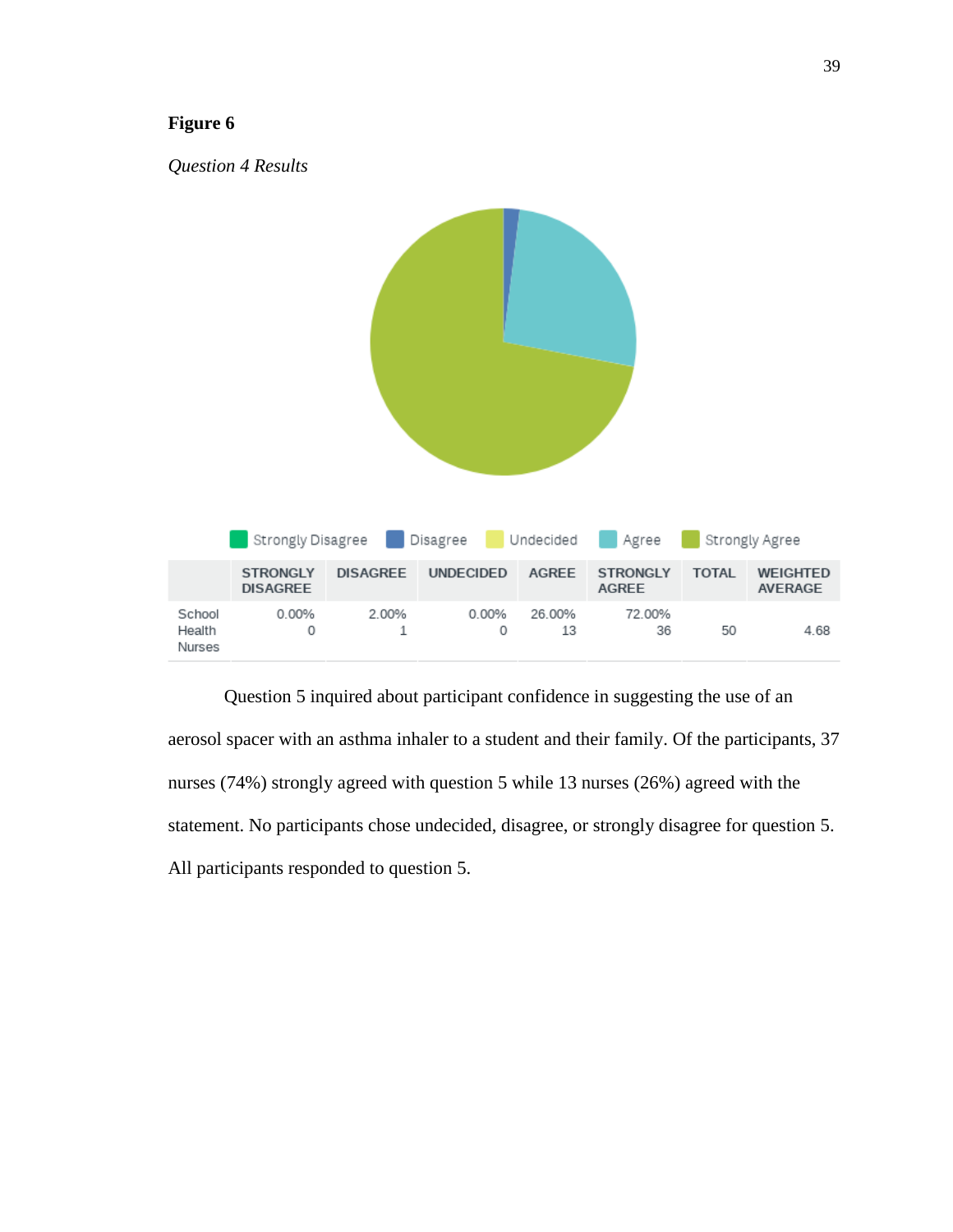

Question 5 inquired about participant confidence in suggesting the use of an aerosol spacer with an asthma inhaler to a student and their family. Of the participants, 37 nurses (74%) strongly agreed with question 5 while 13 nurses (26%) agreed with the statement. No participants chose undecided, disagree, or strongly disagree for question 5. All participants responded to question 5.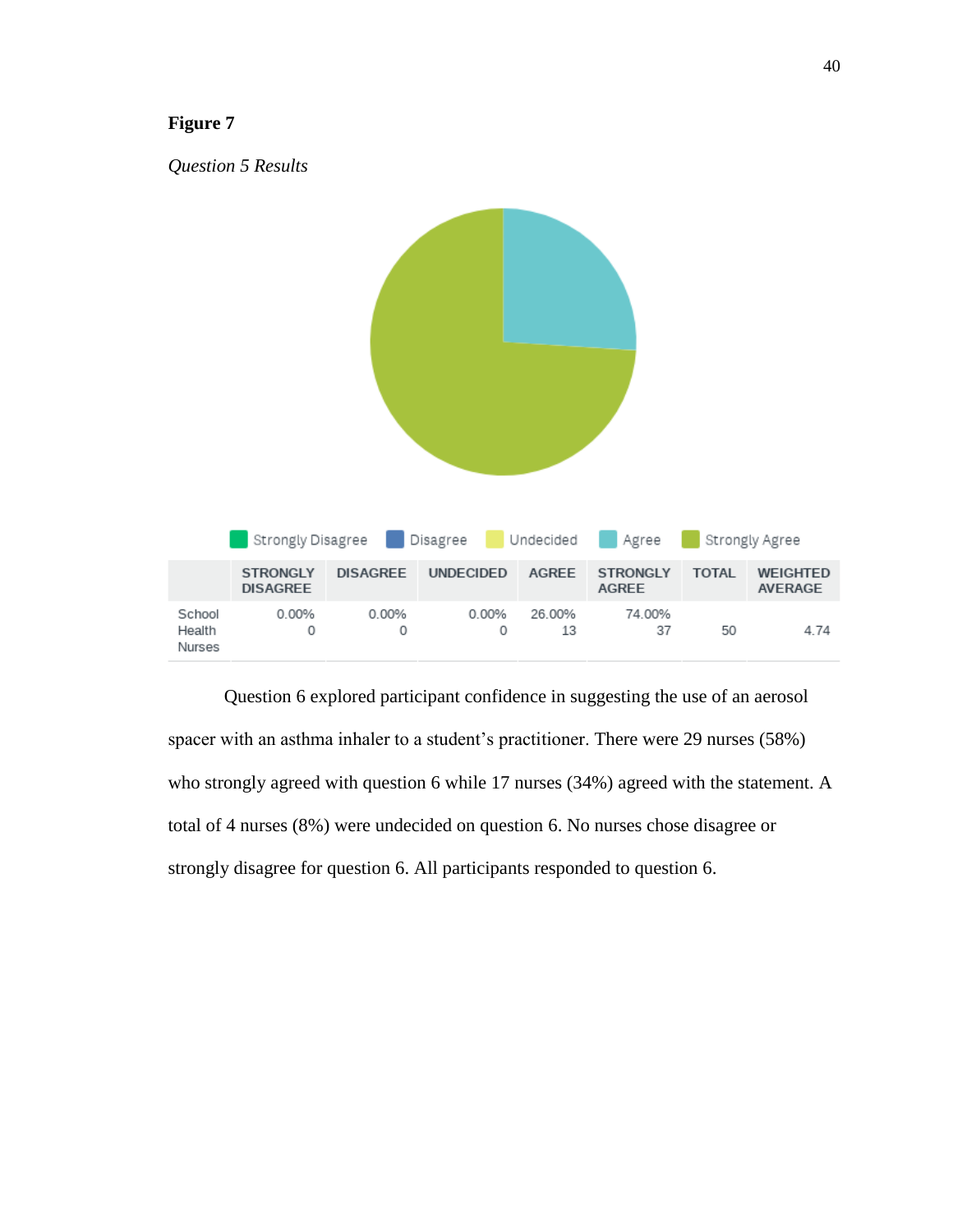

Question 6 explored participant confidence in suggesting the use of an aerosol spacer with an asthma inhaler to a student's practitioner. There were 29 nurses (58%) who strongly agreed with question 6 while 17 nurses (34%) agreed with the statement. A total of 4 nurses (8%) were undecided on question 6. No nurses chose disagree or strongly disagree for question 6. All participants responded to question 6.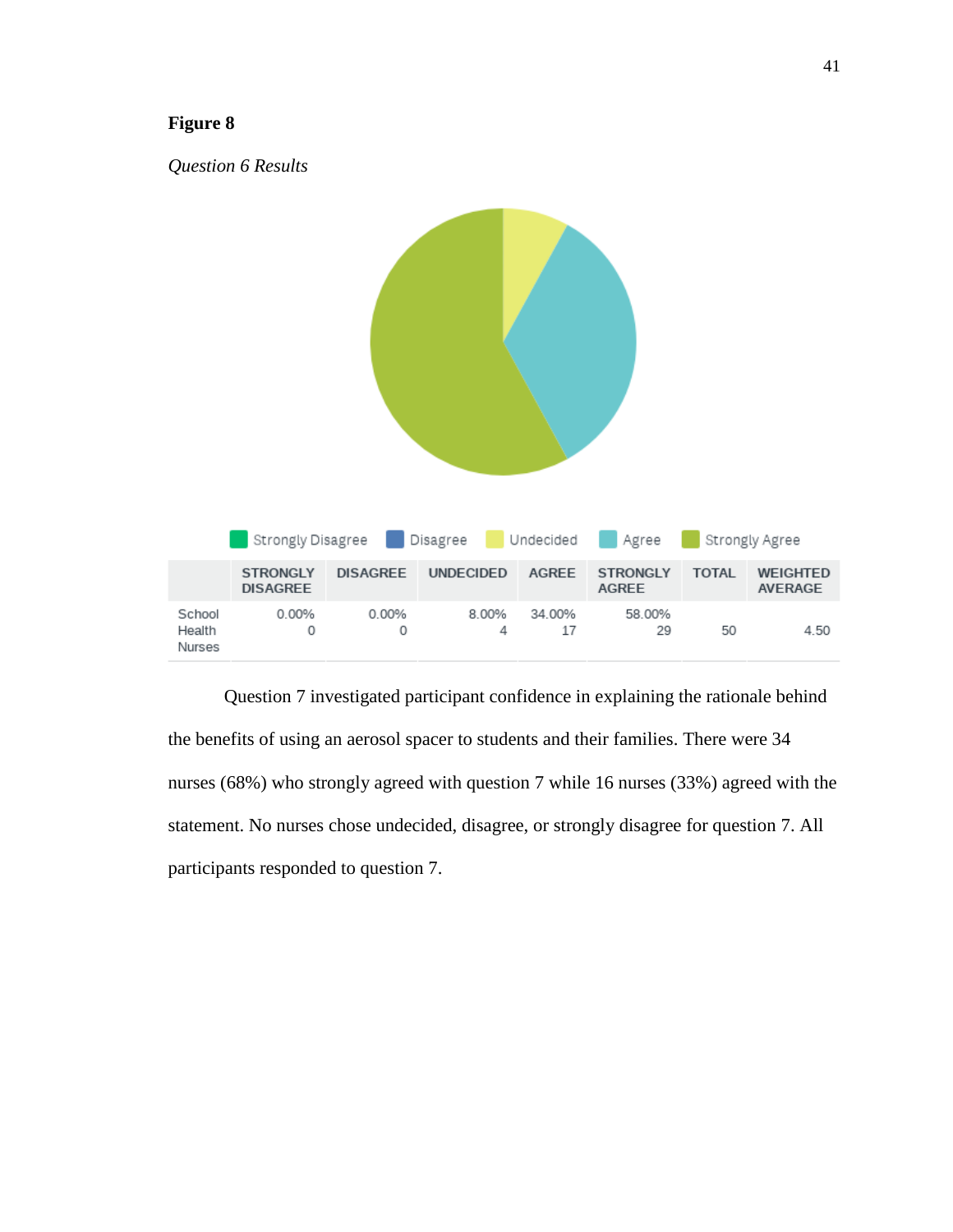

Question 7 investigated participant confidence in explaining the rationale behind the benefits of using an aerosol spacer to students and their families. There were 34 nurses (68%) who strongly agreed with question 7 while 16 nurses (33%) agreed with the statement. No nurses chose undecided, disagree, or strongly disagree for question 7. All participants responded to question 7.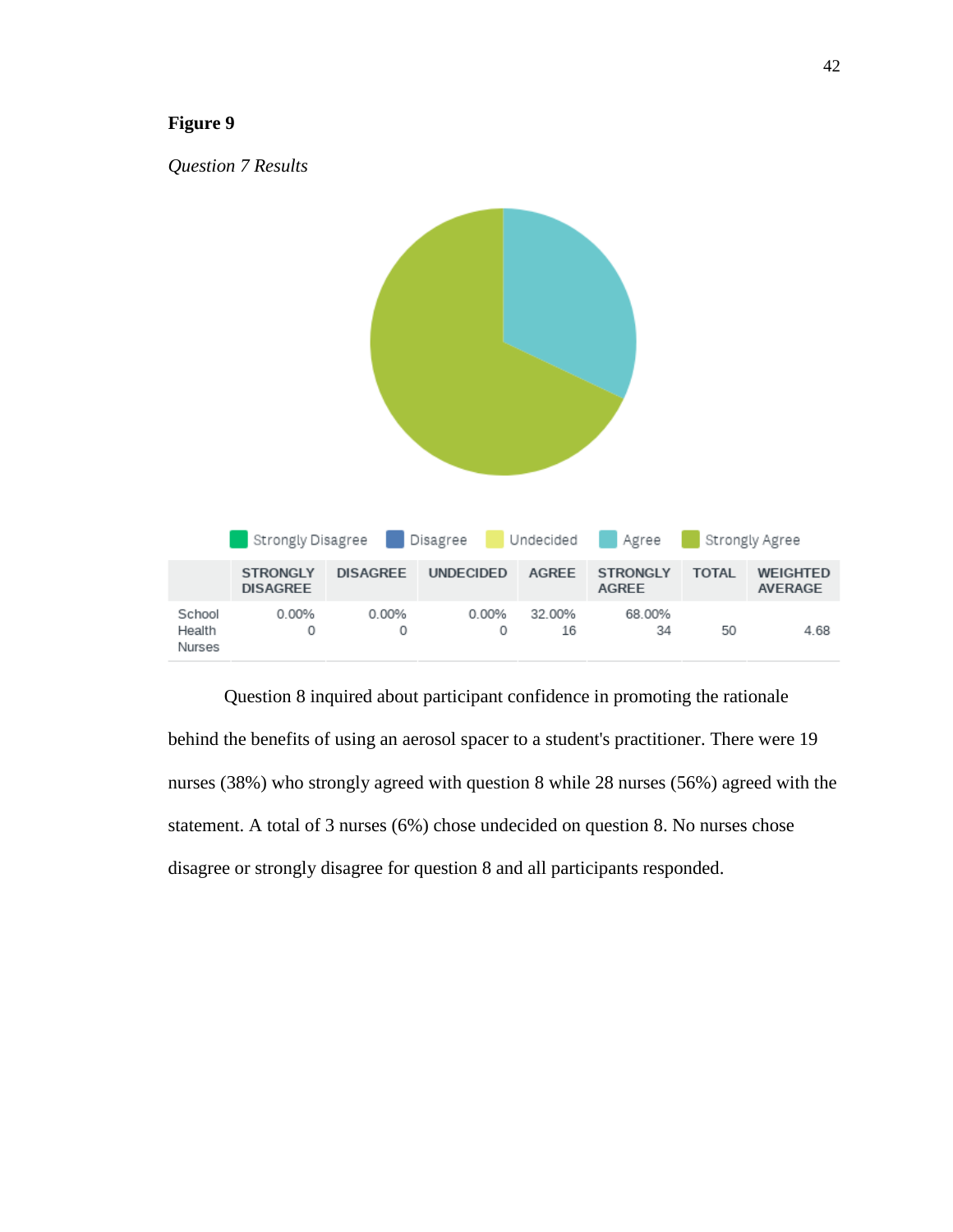

Question 8 inquired about participant confidence in promoting the rationale behind the benefits of using an aerosol spacer to a student's practitioner. There were 19 nurses (38%) who strongly agreed with question 8 while 28 nurses (56%) agreed with the statement. A total of 3 nurses (6%) chose undecided on question 8. No nurses chose disagree or strongly disagree for question 8 and all participants responded.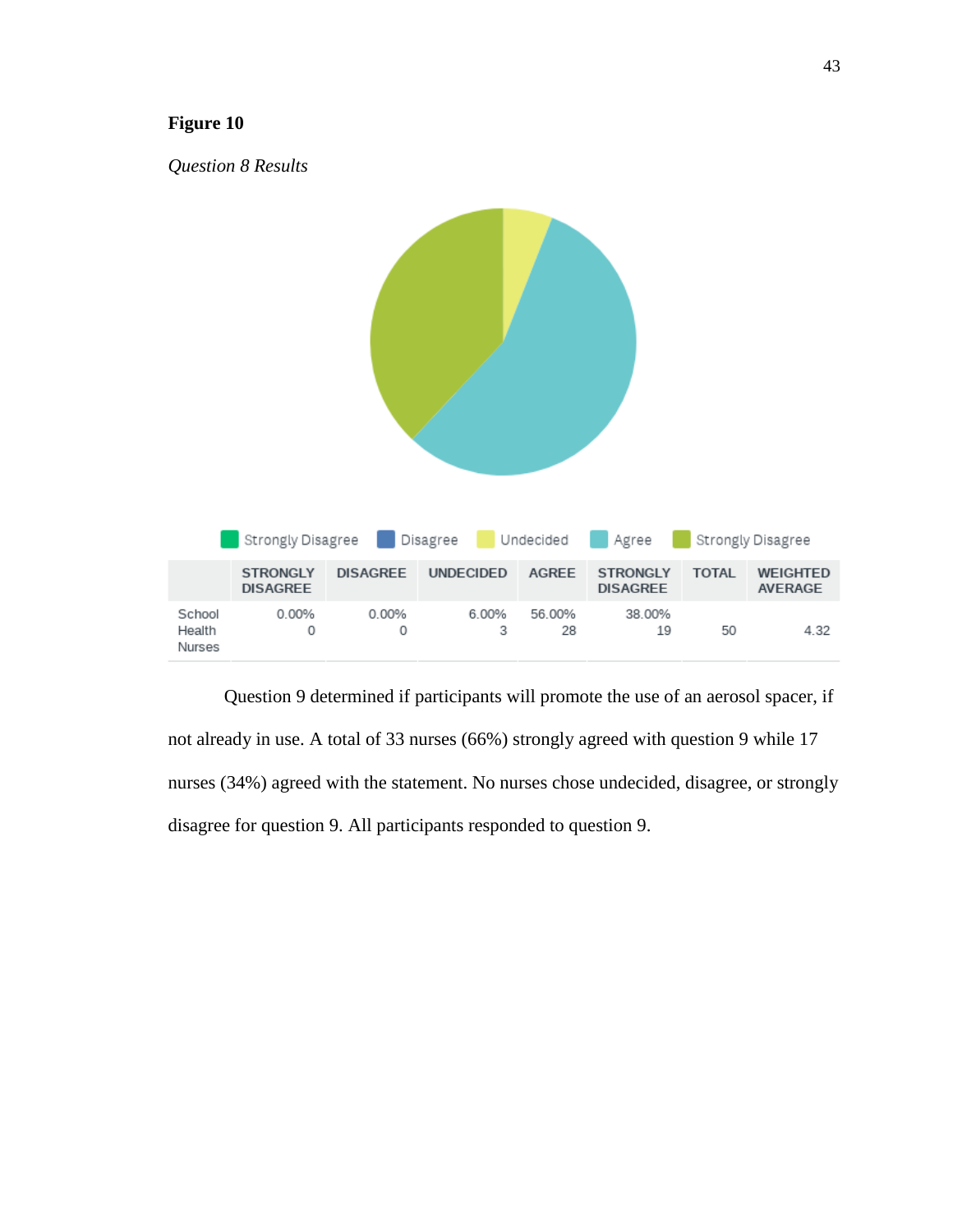

Question 9 determined if participants will promote the use of an aerosol spacer, if not already in use. A total of 33 nurses (66%) strongly agreed with question 9 while 17 nurses (34%) agreed with the statement. No nurses chose undecided, disagree, or strongly disagree for question 9. All participants responded to question 9.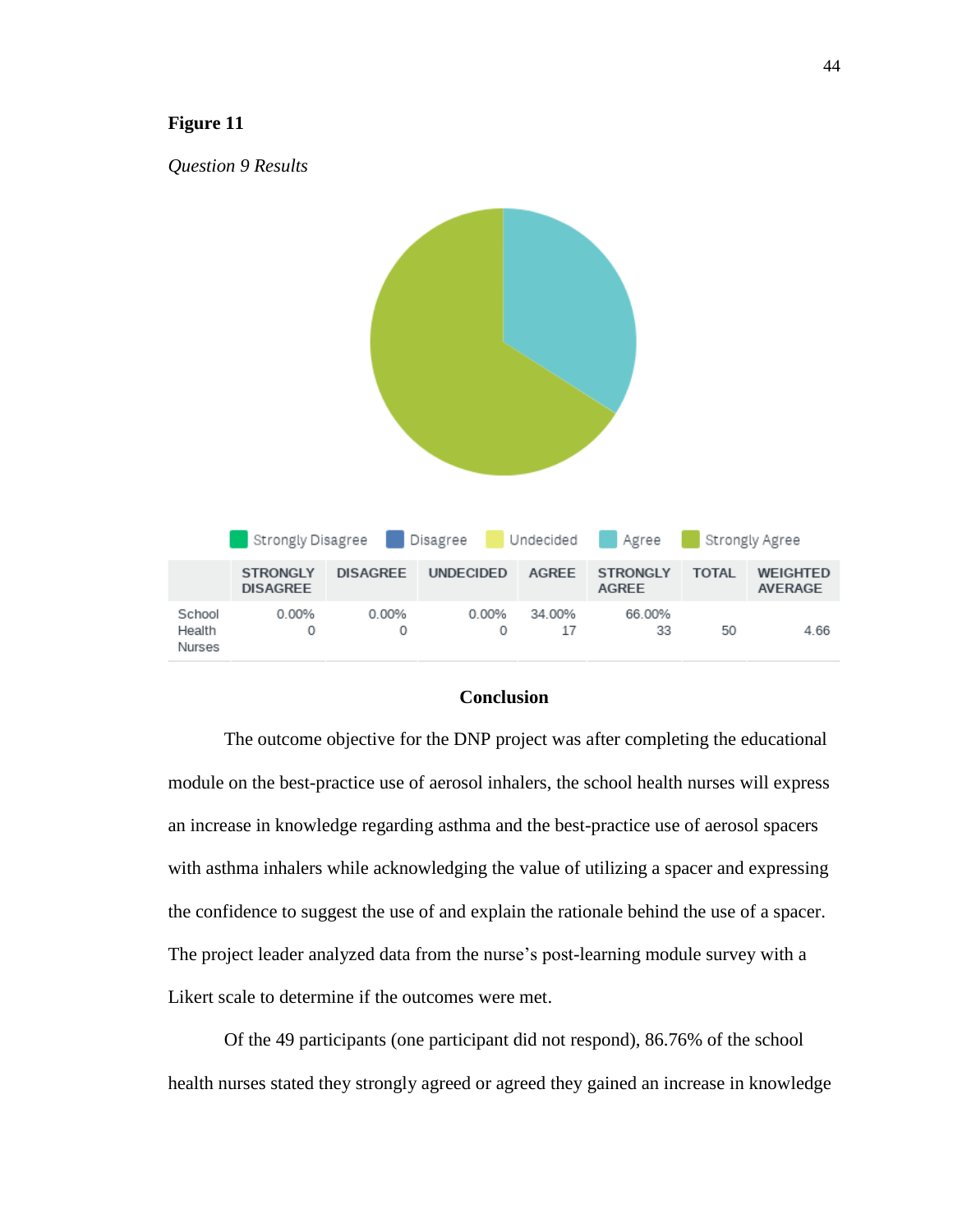

#### **Conclusion**

The outcome objective for the DNP project was after completing the educational module on the best-practice use of aerosol inhalers, the school health nurses will express an increase in knowledge regarding asthma and the best-practice use of aerosol spacers with asthma inhalers while acknowledging the value of utilizing a spacer and expressing the confidence to suggest the use of and explain the rationale behind the use of a spacer. The project leader analyzed data from the nurse's post-learning module survey with a Likert scale to determine if the outcomes were met.

Of the 49 participants (one participant did not respond), 86.76% of the school health nurses stated they strongly agreed or agreed they gained an increase in knowledge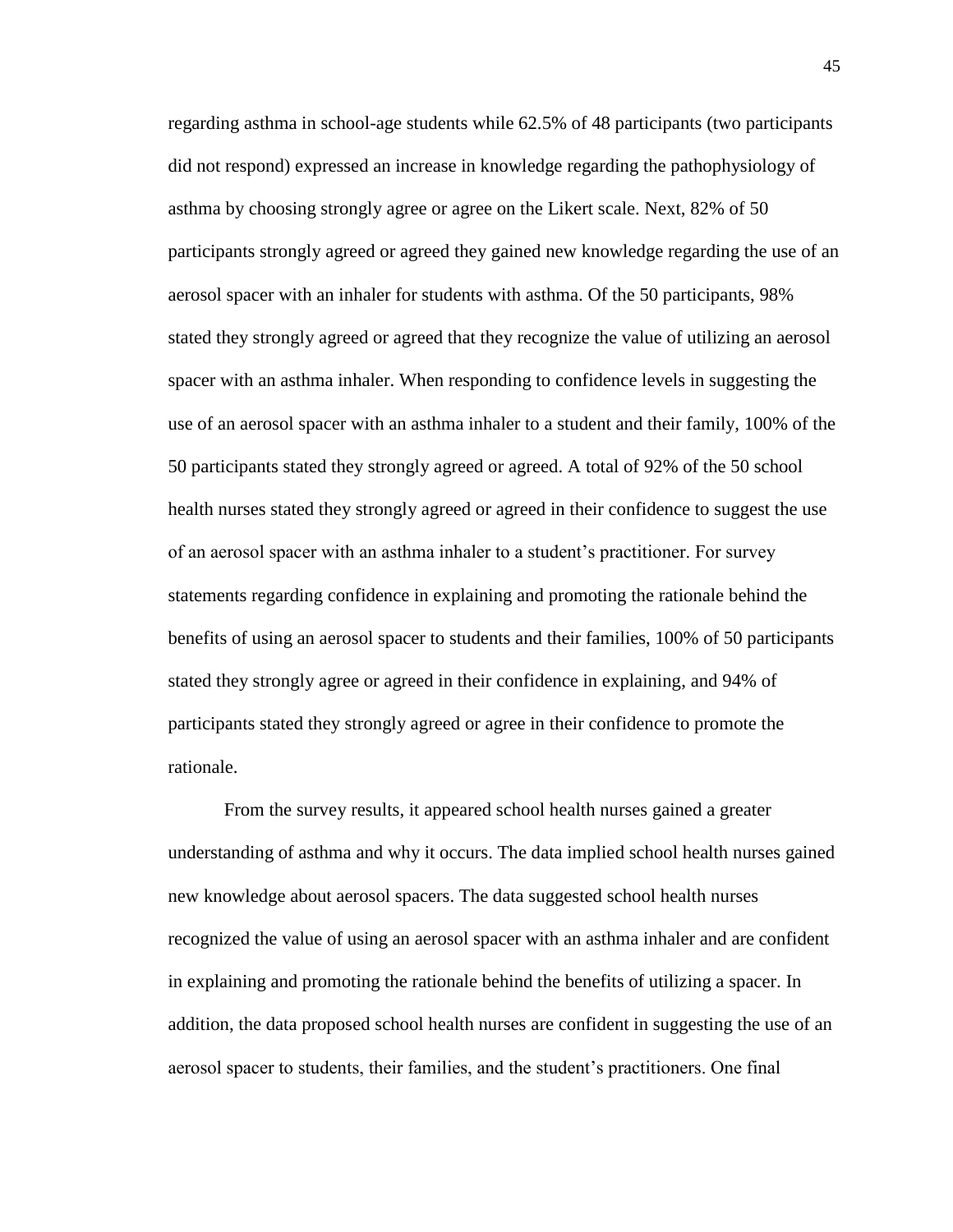regarding asthma in school-age students while 62.5% of 48 participants (two participants did not respond) expressed an increase in knowledge regarding the pathophysiology of asthma by choosing strongly agree or agree on the Likert scale. Next, 82% of 50 participants strongly agreed or agreed they gained new knowledge regarding the use of an aerosol spacer with an inhaler for students with asthma. Of the 50 participants, 98% stated they strongly agreed or agreed that they recognize the value of utilizing an aerosol spacer with an asthma inhaler. When responding to confidence levels in suggesting the use of an aerosol spacer with an asthma inhaler to a student and their family, 100% of the 50 participants stated they strongly agreed or agreed. A total of 92% of the 50 school health nurses stated they strongly agreed or agreed in their confidence to suggest the use of an aerosol spacer with an asthma inhaler to a student's practitioner. For survey statements regarding confidence in explaining and promoting the rationale behind the benefits of using an aerosol spacer to students and their families, 100% of 50 participants stated they strongly agree or agreed in their confidence in explaining, and 94% of participants stated they strongly agreed or agree in their confidence to promote the rationale.

From the survey results, it appeared school health nurses gained a greater understanding of asthma and why it occurs. The data implied school health nurses gained new knowledge about aerosol spacers. The data suggested school health nurses recognized the value of using an aerosol spacer with an asthma inhaler and are confident in explaining and promoting the rationale behind the benefits of utilizing a spacer. In addition, the data proposed school health nurses are confident in suggesting the use of an aerosol spacer to students, their families, and the student's practitioners. One final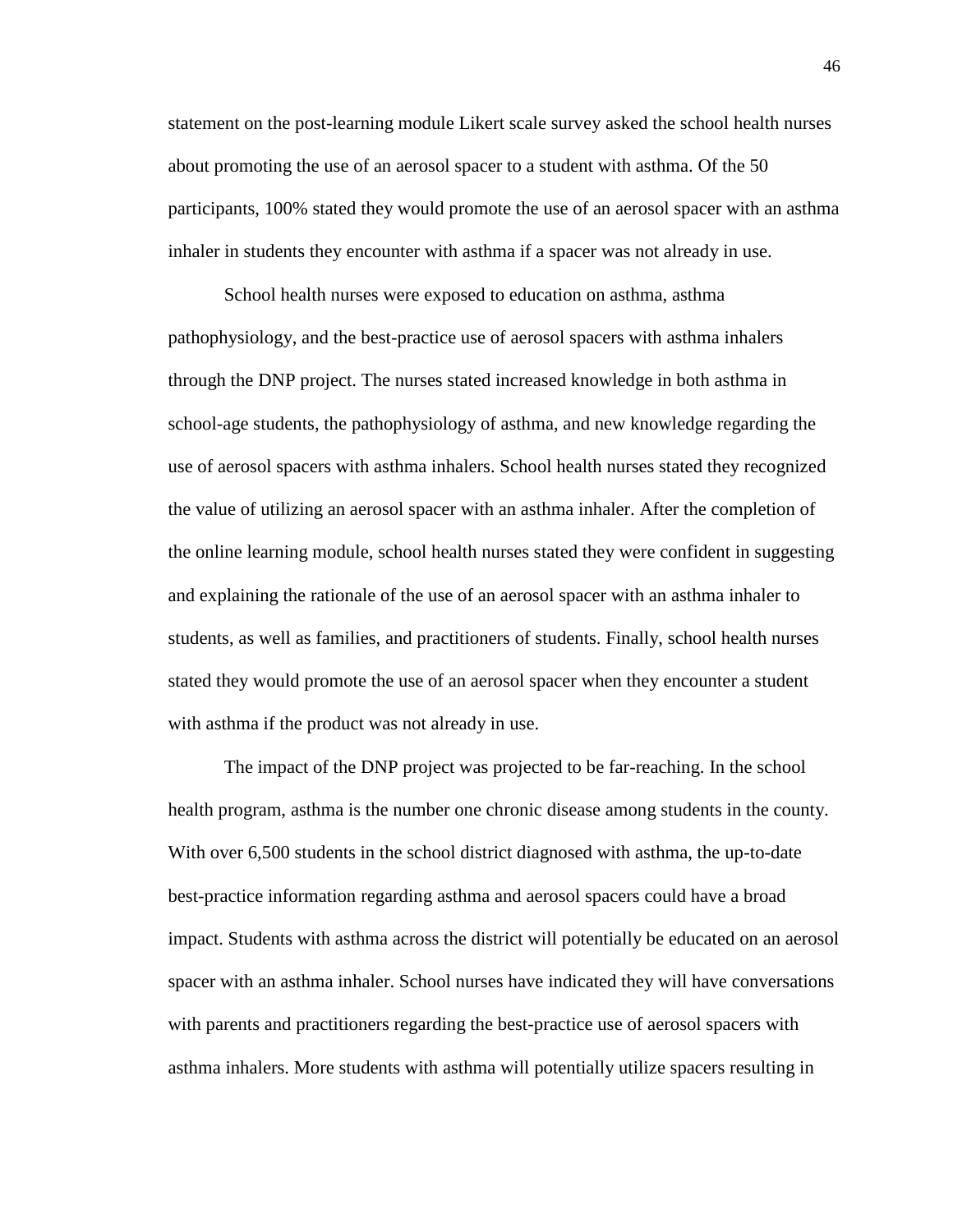statement on the post-learning module Likert scale survey asked the school health nurses about promoting the use of an aerosol spacer to a student with asthma. Of the 50 participants, 100% stated they would promote the use of an aerosol spacer with an asthma inhaler in students they encounter with asthma if a spacer was not already in use.

School health nurses were exposed to education on asthma, asthma pathophysiology, and the best-practice use of aerosol spacers with asthma inhalers through the DNP project. The nurses stated increased knowledge in both asthma in school-age students, the pathophysiology of asthma, and new knowledge regarding the use of aerosol spacers with asthma inhalers. School health nurses stated they recognized the value of utilizing an aerosol spacer with an asthma inhaler. After the completion of the online learning module, school health nurses stated they were confident in suggesting and explaining the rationale of the use of an aerosol spacer with an asthma inhaler to students, as well as families, and practitioners of students. Finally, school health nurses stated they would promote the use of an aerosol spacer when they encounter a student with asthma if the product was not already in use.

The impact of the DNP project was projected to be far-reaching. In the school health program, asthma is the number one chronic disease among students in the county. With over 6,500 students in the school district diagnosed with asthma, the up-to-date best-practice information regarding asthma and aerosol spacers could have a broad impact. Students with asthma across the district will potentially be educated on an aerosol spacer with an asthma inhaler. School nurses have indicated they will have conversations with parents and practitioners regarding the best-practice use of aerosol spacers with asthma inhalers. More students with asthma will potentially utilize spacers resulting in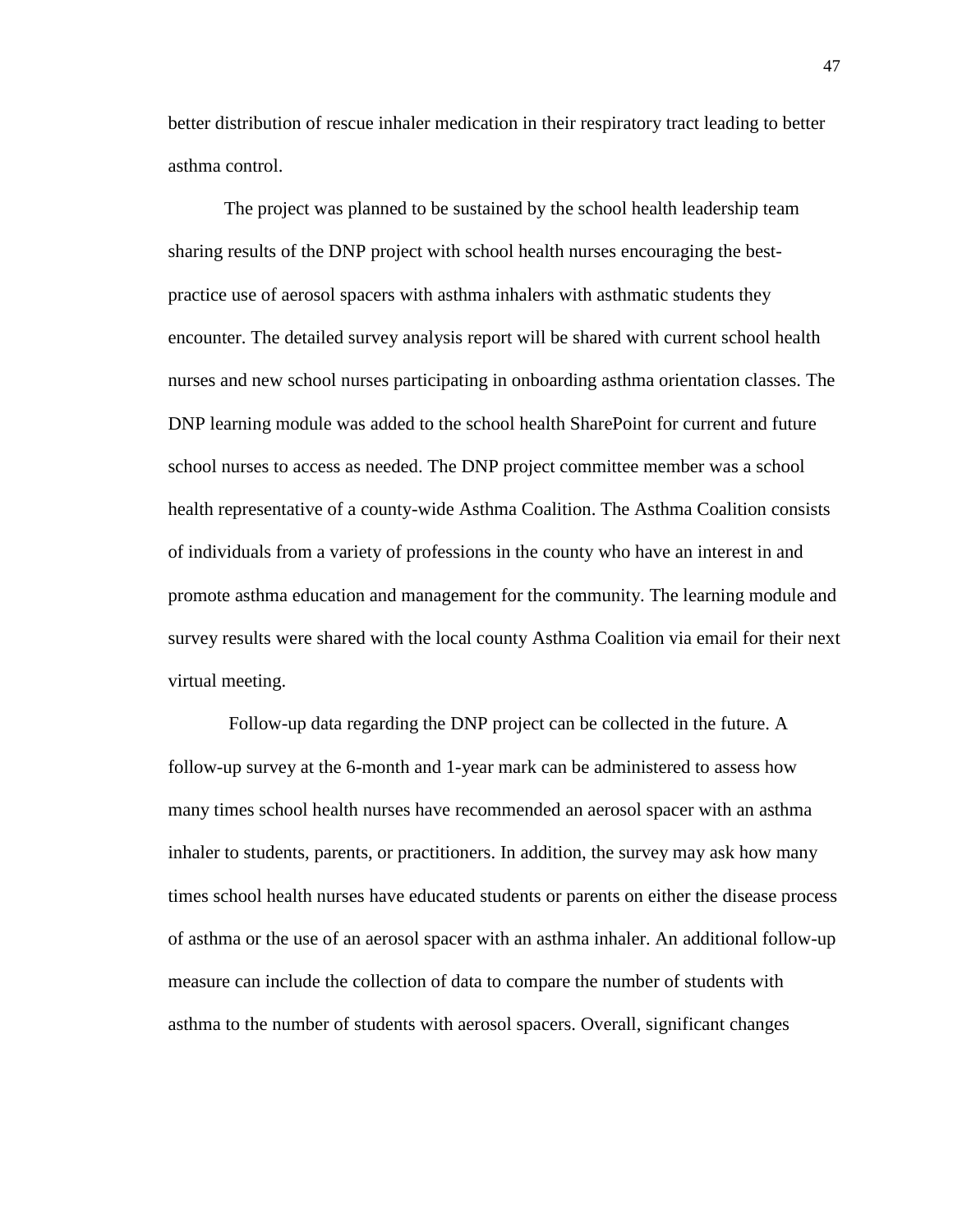better distribution of rescue inhaler medication in their respiratory tract leading to better asthma control.

The project was planned to be sustained by the school health leadership team sharing results of the DNP project with school health nurses encouraging the bestpractice use of aerosol spacers with asthma inhalers with asthmatic students they encounter. The detailed survey analysis report will be shared with current school health nurses and new school nurses participating in onboarding asthma orientation classes. The DNP learning module was added to the school health SharePoint for current and future school nurses to access as needed. The DNP project committee member was a school health representative of a county-wide Asthma Coalition. The Asthma Coalition consists of individuals from a variety of professions in the county who have an interest in and promote asthma education and management for the community. The learning module and survey results were shared with the local county Asthma Coalition via email for their next virtual meeting.

Follow-up data regarding the DNP project can be collected in the future. A follow-up survey at the 6-month and 1-year mark can be administered to assess how many times school health nurses have recommended an aerosol spacer with an asthma inhaler to students, parents, or practitioners. In addition, the survey may ask how many times school health nurses have educated students or parents on either the disease process of asthma or the use of an aerosol spacer with an asthma inhaler. An additional follow-up measure can include the collection of data to compare the number of students with asthma to the number of students with aerosol spacers. Overall, significant changes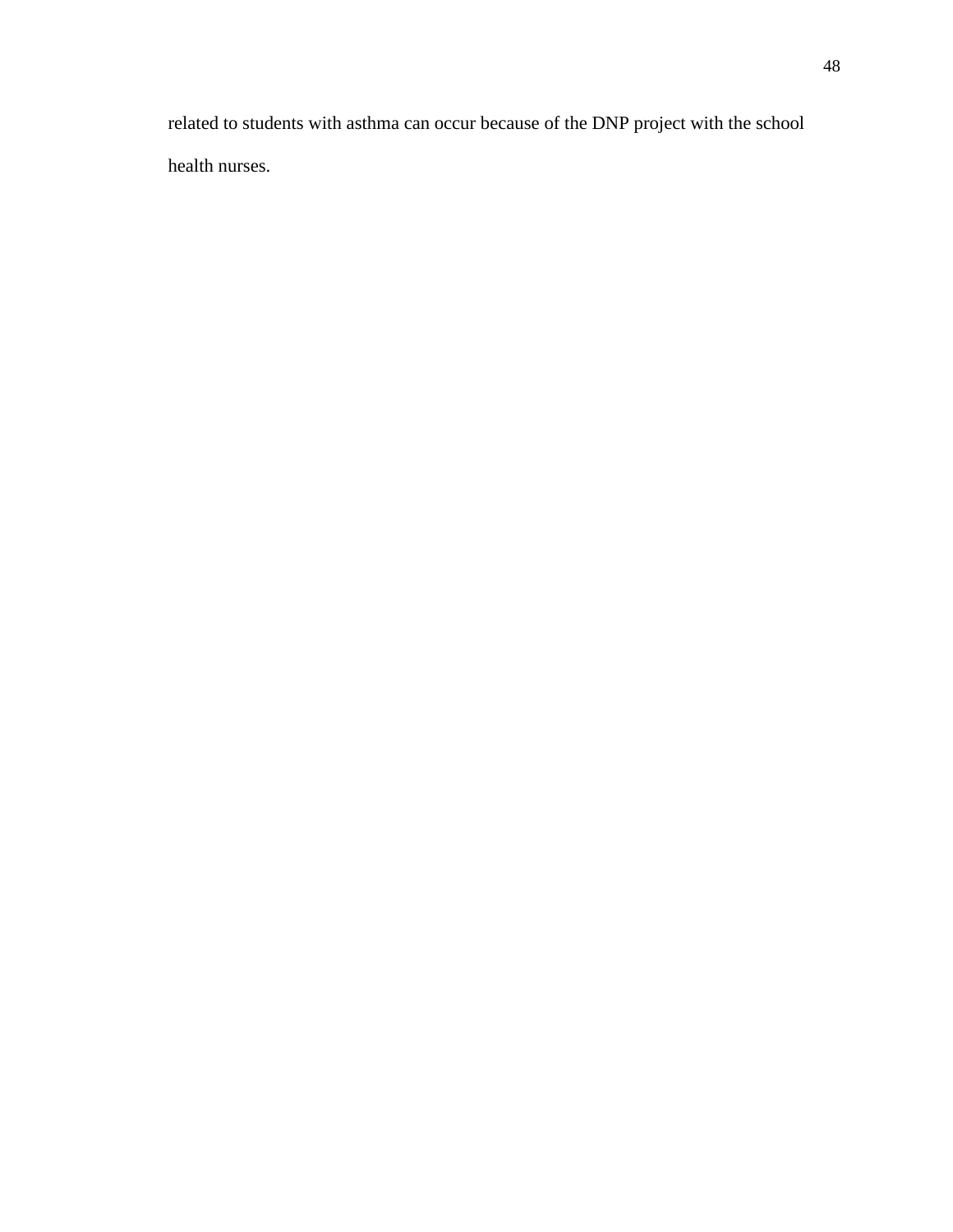related to students with asthma can occur because of the DNP project with the school health nurses.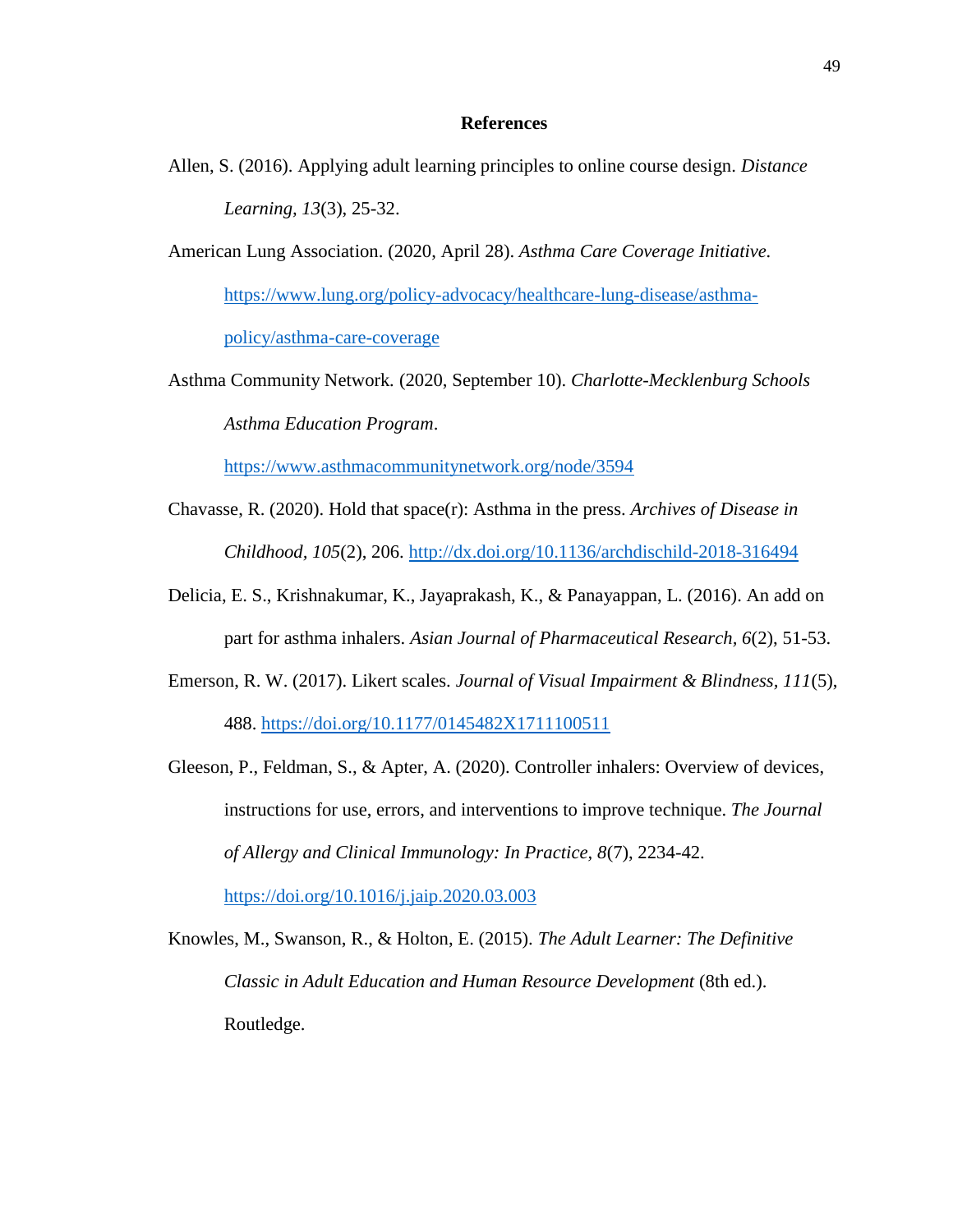#### **References**

- Allen, S. (2016). Applying adult learning principles to online course design. *Distance Learning, 13*(3), 25-32.
- American Lung Association. (2020, April 28). *Asthma Care Coverage Initiative.* [https://www.lung.org/policy-advocacy/healthcare-lung-disease/asthma](https://www.lung.org/policy-advocacy/healthcare-lung-disease/asthma-policy/asthma-care-coverage)[policy/asthma-care-coverage](https://www.lung.org/policy-advocacy/healthcare-lung-disease/asthma-policy/asthma-care-coverage)
- Asthma Community Network*.* (2020, September 10). *Charlotte-Mecklenburg Schools Asthma Education Program*.

<https://www.asthmacommunitynetwork.org/node/3594>

- Chavasse, R. (2020). Hold that space(r): Asthma in the press. *Archives of Disease in Childhood, 105*(2), 206.<http://dx.doi.org/10.1136/archdischild-2018-316494>
- Delicia, E. S., Krishnakumar, K., Jayaprakash, K., & Panayappan, L. (2016). An add on part for asthma inhalers. *Asian Journal of Pharmaceutical Research, 6*(2), 51-53.
- Emerson, R. W. (2017). Likert scales. *Journal of Visual Impairment & Blindness, 111*(5), 488.<https://doi.org/10.1177/0145482X1711100511>
- Gleeson, P., Feldman, S., & Apter, A. (2020). Controller inhalers: Overview of devices, instructions for use, errors, and interventions to improve technique. *The Journal of Allergy and Clinical Immunology: In Practice, 8*(7), 2234-42. <https://doi.org/10.1016/j.jaip.2020.03.003>

Knowles, M., Swanson, R., & Holton, E. (2015). *The Adult Learner: The Definitive Classic in Adult Education and Human Resource Development* (8th ed.). Routledge.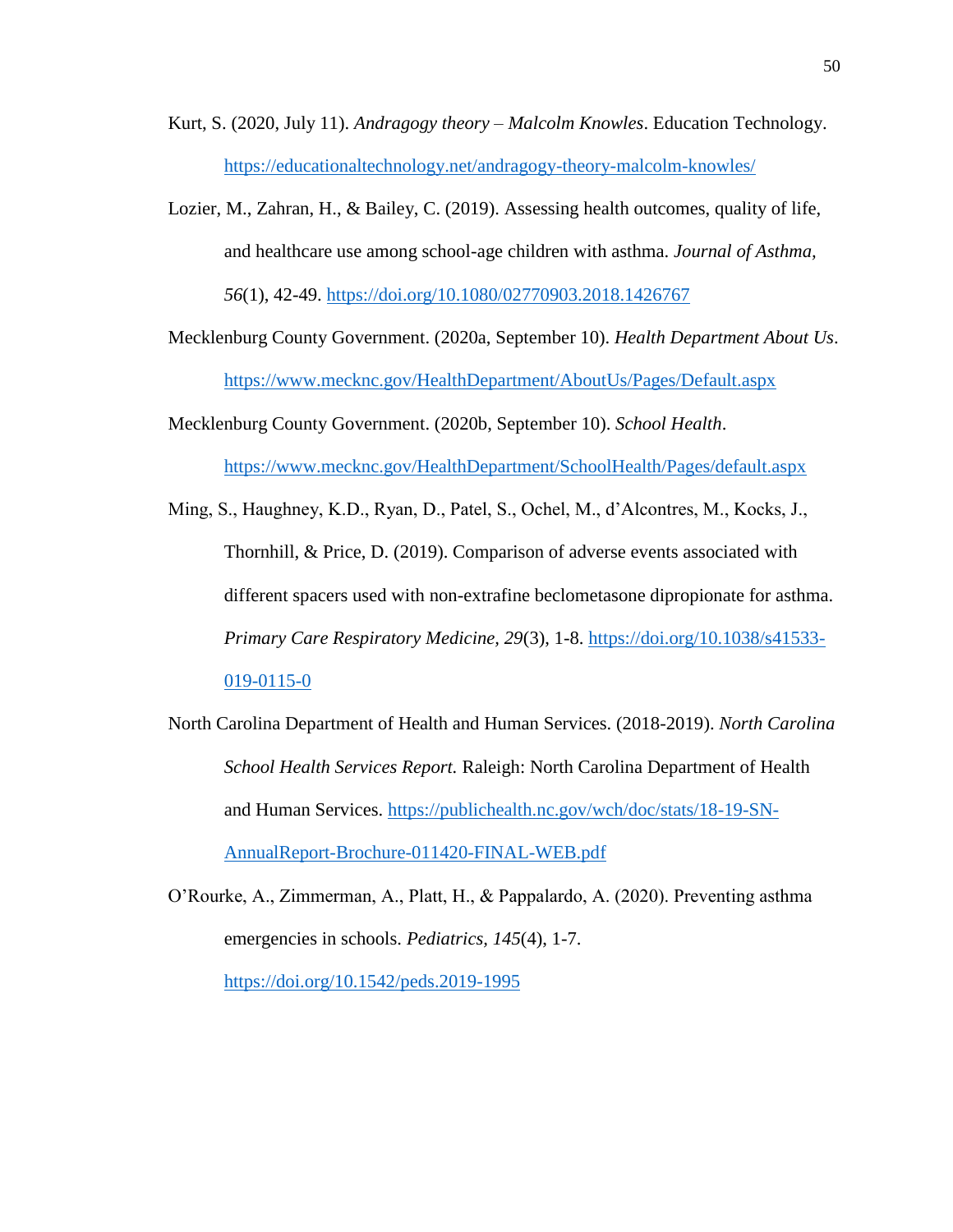- Kurt, S. (2020, July 11). *Andragogy theory – Malcolm Knowles*. Education Technology. <https://educationaltechnology.net/andragogy-theory-malcolm-knowles/>
- Lozier, M., Zahran, H., & Bailey, C. (2019). Assessing health outcomes, quality of life, and healthcare use among school-age children with asthma. *Journal of Asthma, 56*(1), 42-49.<https://doi.org/10.1080/02770903.2018.1426767>

Mecklenburg County Government. (2020a, September 10). *Health Department About Us*. <https://www.mecknc.gov/HealthDepartment/AboutUs/Pages/Default.aspx>

Mecklenburg County Government. (2020b, September 10). *School Health*. <https://www.mecknc.gov/HealthDepartment/SchoolHealth/Pages/default.aspx>

Ming, S., Haughney, K.D., Ryan, D., Patel, S., Ochel, M., d'Alcontres, M., Kocks, J., Thornhill, & Price, D. (2019). Comparison of adverse events associated with different spacers used with non-extrafine beclometasone dipropionate for asthma. *Primary Care Respiratory Medicine, 29*(3), 1-8. [https://doi.org/10.1038/s41533-](https://doi.org/10.1038/s41533-019-0115-0) [019-0115-0](https://doi.org/10.1038/s41533-019-0115-0)

North Carolina Department of Health and Human Services. (2018-2019). *North Carolina School Health Services Report.* Raleigh: North Carolina Department of Health and Human Services. [https://publichealth.nc.gov/wch/doc/stats/18-19-SN-](https://publichealth.nc.gov/wch/doc/stats/18-19-SN-AnnualReport-Brochure-011420-FINAL-WEB.pdf)[AnnualReport-Brochure-011420-FINAL-WEB.pdf](https://publichealth.nc.gov/wch/doc/stats/18-19-SN-AnnualReport-Brochure-011420-FINAL-WEB.pdf)

O'Rourke, A., Zimmerman, A., Platt, H., & Pappalardo, A. (2020). Preventing asthma emergencies in schools. *Pediatrics, 145*(4), 1-7. <https://doi.org/10.1542/peds.2019-1995>